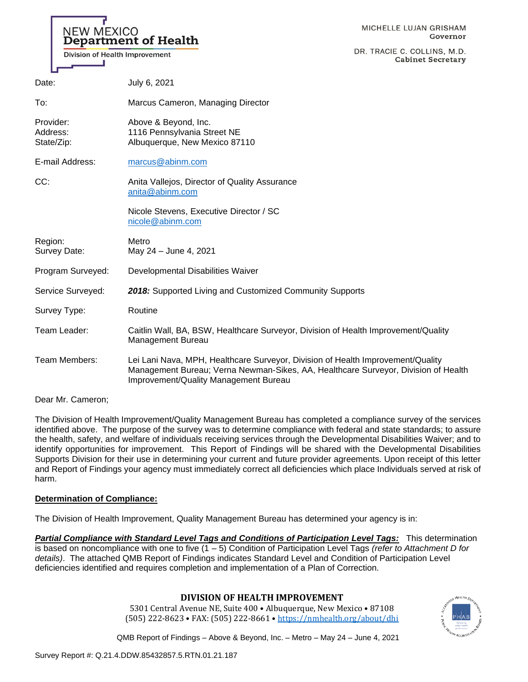# **NEW MEXICO** Department of Health

DR. TRACIE C. COLLINS, M.D. **Cabinet Secretary** 

| Date:                               | July 6, 2021                                                                                                                                                                                                   |
|-------------------------------------|----------------------------------------------------------------------------------------------------------------------------------------------------------------------------------------------------------------|
| To:                                 | Marcus Cameron, Managing Director                                                                                                                                                                              |
| Provider:<br>Address:<br>State/Zip: | Above & Beyond, Inc.<br>1116 Pennsylvania Street NE<br>Albuquerque, New Mexico 87110                                                                                                                           |
| E-mail Address:                     | marcus@abinm.com                                                                                                                                                                                               |
| CC:                                 | Anita Vallejos, Director of Quality Assurance<br>anita@abinm.com                                                                                                                                               |
|                                     | Nicole Stevens, Executive Director / SC<br>nicole@abinm.com                                                                                                                                                    |
| Region:<br>Survey Date:             | Metro<br>May 24 - June 4, 2021                                                                                                                                                                                 |
| Program Surveyed:                   | Developmental Disabilities Waiver                                                                                                                                                                              |
| Service Surveyed:                   | 2018: Supported Living and Customized Community Supports                                                                                                                                                       |
| Survey Type:                        | Routine                                                                                                                                                                                                        |
| Team Leader:                        | Caitlin Wall, BA, BSW, Healthcare Surveyor, Division of Health Improvement/Quality<br>Management Bureau                                                                                                        |
| Team Members:                       | Lei Lani Nava, MPH, Healthcare Surveyor, Division of Health Improvement/Quality<br>Management Bureau; Verna Newman-Sikes, AA, Healthcare Surveyor, Division of Health<br>Improvement/Quality Management Bureau |

Dear Mr. Cameron;

The Division of Health Improvement/Quality Management Bureau has completed a compliance survey of the services identified above. The purpose of the survey was to determine compliance with federal and state standards; to assure the health, safety, and welfare of individuals receiving services through the Developmental Disabilities Waiver; and to identify opportunities for improvement. This Report of Findings will be shared with the Developmental Disabilities Supports Division for their use in determining your current and future provider agreements. Upon receipt of this letter and Report of Findings your agency must immediately correct all deficiencies which place Individuals served at risk of harm.

# **Determination of Compliance:**

The Division of Health Improvement, Quality Management Bureau has determined your agency is in:

*Partial Compliance with Standard Level Tags and Conditions of Participation Level Tags:* This determination is based on noncompliance with one to five (1 – 5) Condition of Participation Level Tags *(refer to Attachment D for details)*. The attached QMB Report of Findings indicates Standard Level and Condition of Participation Level deficiencies identified and requires completion and implementation of a Plan of Correction.

# **DIVISION OF HEALTH IMPROVEMENT**

5301 Central Avenue NE, Suite 400 • Albuquerque, New Mexico • 87108 (505) 222-8623 • FAX: (505) 222-8661 • <https://nmhealth.org/about/dhi>

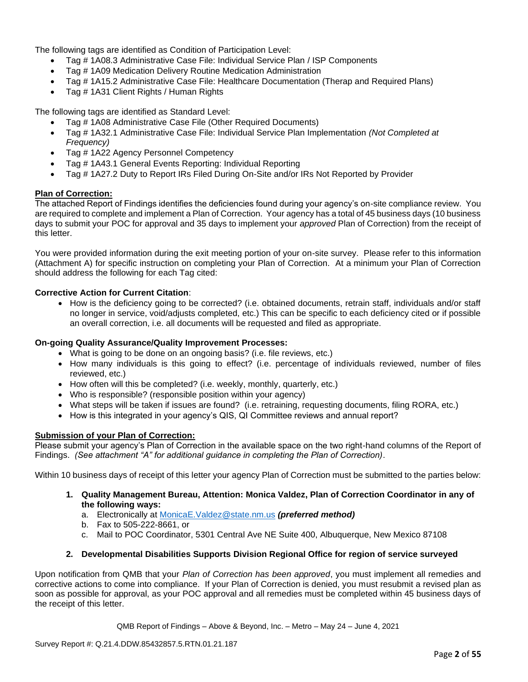The following tags are identified as Condition of Participation Level:

- Tag # 1A08.3 Administrative Case File: Individual Service Plan / ISP Components
- Tag # 1A09 Medication Delivery Routine Medication Administration
- Tag # 1A15.2 Administrative Case File: Healthcare Documentation (Therap and Required Plans)
- Tag # 1A31 Client Rights / Human Rights

The following tags are identified as Standard Level:

- Tag # 1A08 Administrative Case File (Other Required Documents)
- Tag # 1A32.1 Administrative Case File: Individual Service Plan Implementation *(Not Completed at Frequency)*
- Tag # 1A22 Agency Personnel Competency
- Tag # 1A43.1 General Events Reporting: Individual Reporting
- Tag # 1A27.2 Duty to Report IRs Filed During On-Site and/or IRs Not Reported by Provider

### **Plan of Correction:**

The attached Report of Findings identifies the deficiencies found during your agency's on-site compliance review. You are required to complete and implement a Plan of Correction. Your agency has a total of 45 business days (10 business days to submit your POC for approval and 35 days to implement your *approved* Plan of Correction) from the receipt of this letter.

You were provided information during the exit meeting portion of your on-site survey. Please refer to this information (Attachment A) for specific instruction on completing your Plan of Correction. At a minimum your Plan of Correction should address the following for each Tag cited:

### **Corrective Action for Current Citation**:

• How is the deficiency going to be corrected? (i.e. obtained documents, retrain staff, individuals and/or staff no longer in service, void/adjusts completed, etc.) This can be specific to each deficiency cited or if possible an overall correction, i.e. all documents will be requested and filed as appropriate.

### **On-going Quality Assurance/Quality Improvement Processes:**

- What is going to be done on an ongoing basis? (i.e. file reviews, etc.)
- How many individuals is this going to effect? (i.e. percentage of individuals reviewed, number of files reviewed, etc.)
- How often will this be completed? (i.e. weekly, monthly, quarterly, etc.)
- Who is responsible? (responsible position within your agency)
- What steps will be taken if issues are found? (i.e. retraining, requesting documents, filing RORA, etc.)
- How is this integrated in your agency's QIS, QI Committee reviews and annual report?

### **Submission of your Plan of Correction:**

Please submit your agency's Plan of Correction in the available space on the two right-hand columns of the Report of Findings. *(See attachment "A" for additional guidance in completing the Plan of Correction)*.

Within 10 business days of receipt of this letter your agency Plan of Correction must be submitted to the parties below:

- **1. Quality Management Bureau, Attention: Monica Valdez, Plan of Correction Coordinator in any of the following ways:**
	- a. Electronically at [MonicaE.Valdez@state.nm.us](mailto:MonicaE.Valdez@state.nm.us) *(preferred method)*
	- b. Fax to 505-222-8661, or
	- c. Mail to POC Coordinator, 5301 Central Ave NE Suite 400, Albuquerque, New Mexico 87108

### **2. Developmental Disabilities Supports Division Regional Office for region of service surveyed**

Upon notification from QMB that your *Plan of Correction has been approved*, you must implement all remedies and corrective actions to come into compliance. If your Plan of Correction is denied, you must resubmit a revised plan as soon as possible for approval, as your POC approval and all remedies must be completed within 45 business days of the receipt of this letter.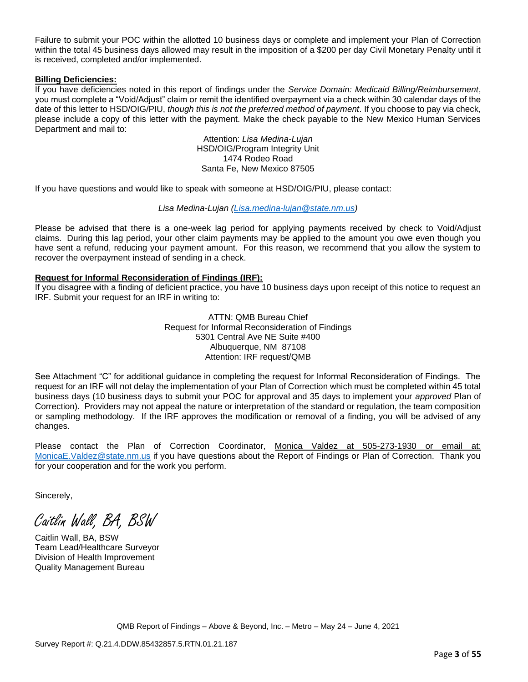Failure to submit your POC within the allotted 10 business days or complete and implement your Plan of Correction within the total 45 business days allowed may result in the imposition of a \$200 per day Civil Monetary Penalty until it is received, completed and/or implemented.

### **Billing Deficiencies:**

If you have deficiencies noted in this report of findings under the *Service Domain: Medicaid Billing/Reimbursement*, you must complete a "Void/Adjust" claim or remit the identified overpayment via a check within 30 calendar days of the date of this letter to HSD/OIG/PIU, *though this is not the preferred method of payment*. If you choose to pay via check, please include a copy of this letter with the payment. Make the check payable to the New Mexico Human Services Department and mail to:

> Attention: *Lisa Medina-Lujan* HSD/OIG/Program Integrity Unit 1474 Rodeo Road Santa Fe, New Mexico 87505

If you have questions and would like to speak with someone at HSD/OIG/PIU, please contact:

### *Lisa Medina-Lujan [\(Lisa.medina-lujan@state.nm.us\)](mailto:Lisa.medina-lujan@state.nm.us)*

Please be advised that there is a one-week lag period for applying payments received by check to Void/Adjust claims. During this lag period, your other claim payments may be applied to the amount you owe even though you have sent a refund, reducing your payment amount. For this reason, we recommend that you allow the system to recover the overpayment instead of sending in a check.

### **Request for Informal Reconsideration of Findings (IRF):**

If you disagree with a finding of deficient practice, you have 10 business days upon receipt of this notice to request an IRF. Submit your request for an IRF in writing to:

> ATTN: QMB Bureau Chief Request for Informal Reconsideration of Findings 5301 Central Ave NE Suite #400 Albuquerque, NM 87108 Attention: IRF request/QMB

See Attachment "C" for additional guidance in completing the request for Informal Reconsideration of Findings. The request for an IRF will not delay the implementation of your Plan of Correction which must be completed within 45 total business days (10 business days to submit your POC for approval and 35 days to implement your *approved* Plan of Correction). Providers may not appeal the nature or interpretation of the standard or regulation, the team composition or sampling methodology. If the IRF approves the modification or removal of a finding, you will be advised of any changes.

Please contact the Plan of Correction Coordinator, Monica Valdez at 505-273-1930 or email at: [MonicaE.Valdez@state.nm.us](mailto:MonicaE.Valdez@state.nm.us) if you have questions about the Report of Findings or Plan of Correction. Thank you for your cooperation and for the work you perform.

Sincerely,

Caitlin Wall, BA, BSW

Caitlin Wall, BA, BSW Team Lead/Healthcare Surveyor Division of Health Improvement Quality Management Bureau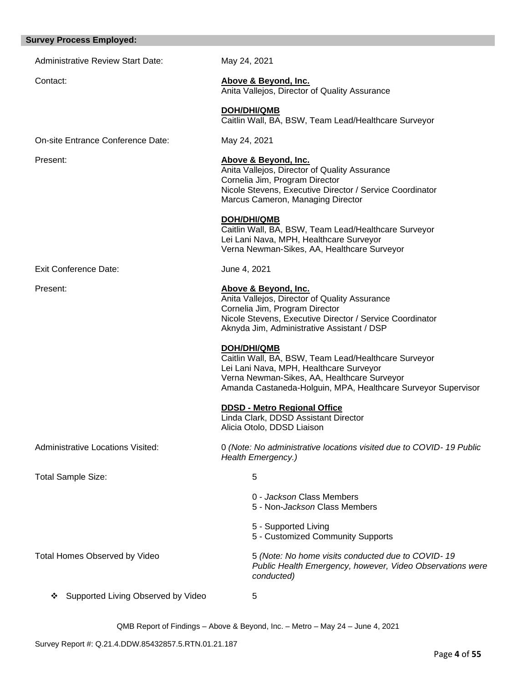#### **Survey Process Employed:**

| urvey Process Employed:                  |                                                                                                                                                                                                                                |
|------------------------------------------|--------------------------------------------------------------------------------------------------------------------------------------------------------------------------------------------------------------------------------|
| <b>Administrative Review Start Date:</b> | May 24, 2021                                                                                                                                                                                                                   |
| Contact:                                 | Above & Beyond, Inc.<br>Anita Vallejos, Director of Quality Assurance                                                                                                                                                          |
|                                          | <b>DOH/DHI/QMB</b><br>Caitlin Wall, BA, BSW, Team Lead/Healthcare Surveyor                                                                                                                                                     |
| On-site Entrance Conference Date:        | May 24, 2021                                                                                                                                                                                                                   |
| Present:                                 | Above & Beyond, Inc.<br>Anita Vallejos, Director of Quality Assurance<br>Cornelia Jim, Program Director<br>Nicole Stevens, Executive Director / Service Coordinator<br>Marcus Cameron, Managing Director                       |
|                                          | <b>DOH/DHI/QMB</b><br>Caitlin Wall, BA, BSW, Team Lead/Healthcare Surveyor<br>Lei Lani Nava, MPH, Healthcare Surveyor<br>Verna Newman-Sikes, AA, Healthcare Surveyor                                                           |
| <b>Exit Conference Date:</b>             | June 4, 2021                                                                                                                                                                                                                   |
| Present:                                 | Above & Beyond, Inc.<br>Anita Vallejos, Director of Quality Assurance<br>Cornelia Jim, Program Director<br>Nicole Stevens, Executive Director / Service Coordinator<br>Aknyda Jim, Administrative Assistant / DSP              |
|                                          | DOH/DHI/QMB<br>Caitlin Wall, BA, BSW, Team Lead/Healthcare Surveyor<br>Lei Lani Nava, MPH, Healthcare Surveyor<br>Verna Newman-Sikes, AA, Healthcare Surveyor<br>Amanda Castaneda-Holguin, MPA, Healthcare Surveyor Supervisor |
|                                          | <b>DDSD - Metro Regional Office</b><br>Linda Clark, DDSD Assistant Director<br>Alicia Otolo, DDSD Liaison                                                                                                                      |
| Administrative Locations Visited:        | 0 (Note: No administrative locations visited due to COVID-19 Public<br>Health Emergency.)                                                                                                                                      |
| <b>Total Sample Size:</b>                | 5                                                                                                                                                                                                                              |
|                                          | 0 - Jackson Class Members<br>5 - Non- <i>Jackson</i> Class Members                                                                                                                                                             |
|                                          | 5 - Supported Living<br>5 - Customized Community Supports                                                                                                                                                                      |
| <b>Total Homes Observed by Video</b>     | 5 (Note: No home visits conducted due to COVID-19<br>Public Health Emergency, however, Video Observations were<br>conducted)                                                                                                   |
| Supported Living Observed by Video<br>❖  | 5                                                                                                                                                                                                                              |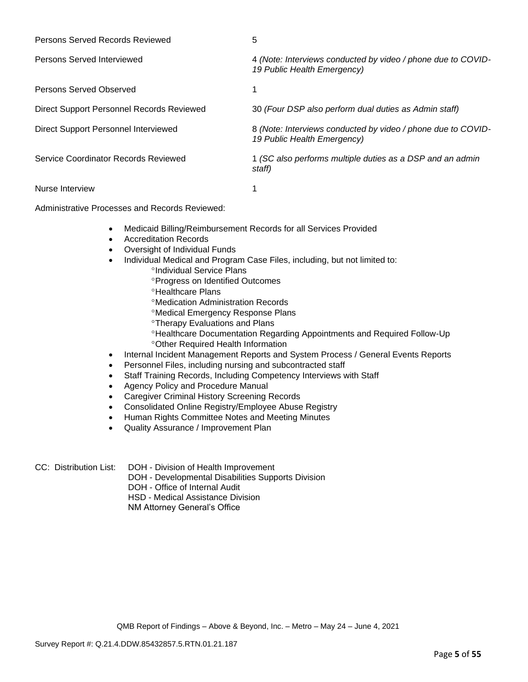| Persons Served Records Reviewed           | 5                                                                                           |
|-------------------------------------------|---------------------------------------------------------------------------------------------|
| Persons Served Interviewed                | 4 (Note: Interviews conducted by video / phone due to COVID-<br>19 Public Health Emergency) |
| Persons Served Observed                   |                                                                                             |
| Direct Support Personnel Records Reviewed | 30 (Four DSP also perform dual duties as Admin staff)                                       |
| Direct Support Personnel Interviewed      | 8 (Note: Interviews conducted by video / phone due to COVID-<br>19 Public Health Emergency) |
| Service Coordinator Records Reviewed      | 1 (SC also performs multiple duties as a DSP and an admin<br>staff)                         |
| Nurse Interview                           |                                                                                             |

Administrative Processes and Records Reviewed:

- Medicaid Billing/Reimbursement Records for all Services Provided
- Accreditation Records
- Oversight of Individual Funds
- Individual Medical and Program Case Files, including, but not limited to:
	- <sup>o</sup>Individual Service Plans
	- **Progress on Identified Outcomes**
	- **<sup>o</sup>Healthcare Plans**
	- Medication Administration Records
	- Medical Emergency Response Plans
	- **<sup>o</sup>Therapy Evaluations and Plans**
	- Healthcare Documentation Regarding Appointments and Required Follow-Up Other Required Health Information
- Internal Incident Management Reports and System Process / General Events Reports
- Personnel Files, including nursing and subcontracted staff
- Staff Training Records, Including Competency Interviews with Staff
- Agency Policy and Procedure Manual
- Caregiver Criminal History Screening Records
- Consolidated Online Registry/Employee Abuse Registry
- Human Rights Committee Notes and Meeting Minutes
- Quality Assurance / Improvement Plan
- CC: Distribution List: DOH Division of Health Improvement
	- DOH Developmental Disabilities Supports Division
	- DOH Office of Internal Audit
	- HSD Medical Assistance Division

NM Attorney General's Office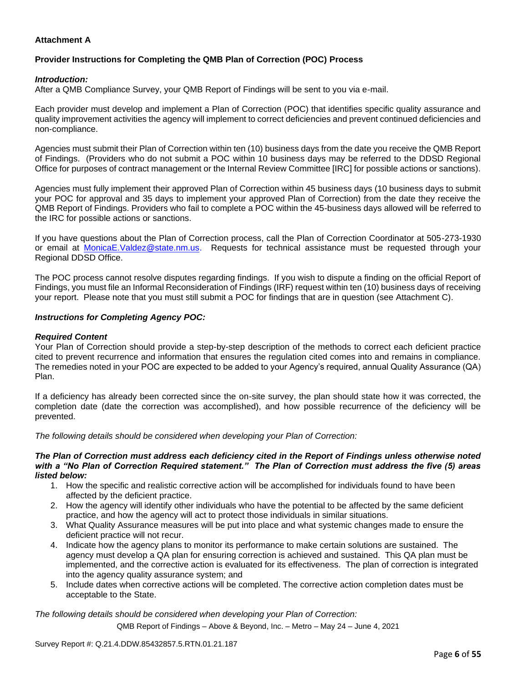### **Attachment A**

## **Provider Instructions for Completing the QMB Plan of Correction (POC) Process**

### *Introduction:*

After a QMB Compliance Survey, your QMB Report of Findings will be sent to you via e-mail.

Each provider must develop and implement a Plan of Correction (POC) that identifies specific quality assurance and quality improvement activities the agency will implement to correct deficiencies and prevent continued deficiencies and non-compliance.

Agencies must submit their Plan of Correction within ten (10) business days from the date you receive the QMB Report of Findings. (Providers who do not submit a POC within 10 business days may be referred to the DDSD Regional Office for purposes of contract management or the Internal Review Committee [IRC] for possible actions or sanctions).

Agencies must fully implement their approved Plan of Correction within 45 business days (10 business days to submit your POC for approval and 35 days to implement your approved Plan of Correction) from the date they receive the QMB Report of Findings. Providers who fail to complete a POC within the 45-business days allowed will be referred to the IRC for possible actions or sanctions.

If you have questions about the Plan of Correction process, call the Plan of Correction Coordinator at 505-273-1930 or email at [MonicaE.Valdez@state.nm.us.](mailto:MonicaE.Valdez@state.nm.us) Requests for technical assistance must be requested through your Regional DDSD Office.

The POC process cannot resolve disputes regarding findings. If you wish to dispute a finding on the official Report of Findings, you must file an Informal Reconsideration of Findings (IRF) request within ten (10) business days of receiving your report. Please note that you must still submit a POC for findings that are in question (see Attachment C).

### *Instructions for Completing Agency POC:*

### *Required Content*

Your Plan of Correction should provide a step-by-step description of the methods to correct each deficient practice cited to prevent recurrence and information that ensures the regulation cited comes into and remains in compliance. The remedies noted in your POC are expected to be added to your Agency's required, annual Quality Assurance (QA) Plan.

If a deficiency has already been corrected since the on-site survey, the plan should state how it was corrected, the completion date (date the correction was accomplished), and how possible recurrence of the deficiency will be prevented.

*The following details should be considered when developing your Plan of Correction:*

#### *The Plan of Correction must address each deficiency cited in the Report of Findings unless otherwise noted with a "No Plan of Correction Required statement." The Plan of Correction must address the five (5) areas listed below:*

- 1. How the specific and realistic corrective action will be accomplished for individuals found to have been affected by the deficient practice.
- 2. How the agency will identify other individuals who have the potential to be affected by the same deficient practice, and how the agency will act to protect those individuals in similar situations.
- 3. What Quality Assurance measures will be put into place and what systemic changes made to ensure the deficient practice will not recur.
- 4. Indicate how the agency plans to monitor its performance to make certain solutions are sustained. The agency must develop a QA plan for ensuring correction is achieved and sustained. This QA plan must be implemented, and the corrective action is evaluated for its effectiveness. The plan of correction is integrated into the agency quality assurance system; and
- 5. Include dates when corrective actions will be completed. The corrective action completion dates must be acceptable to the State.

*The following details should be considered when developing your Plan of Correction:*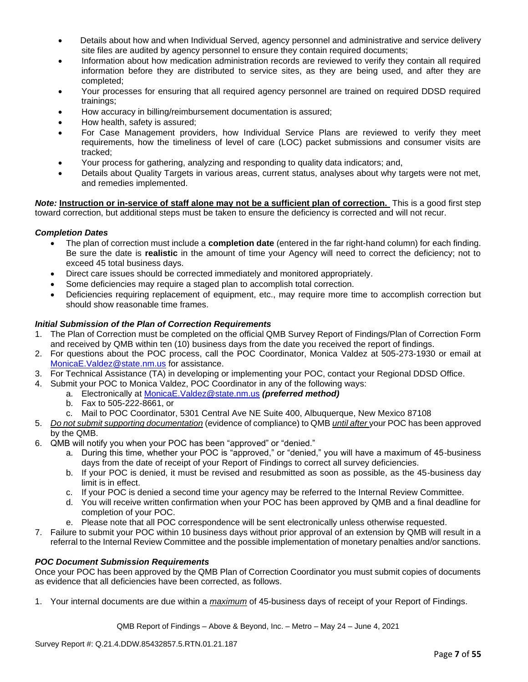- Details about how and when Individual Served, agency personnel and administrative and service delivery site files are audited by agency personnel to ensure they contain required documents;
- Information about how medication administration records are reviewed to verify they contain all required information before they are distributed to service sites, as they are being used, and after they are completed;
- Your processes for ensuring that all required agency personnel are trained on required DDSD required trainings;
- How accuracy in billing/reimbursement documentation is assured;
- How health, safety is assured;
- For Case Management providers, how Individual Service Plans are reviewed to verify they meet requirements, how the timeliness of level of care (LOC) packet submissions and consumer visits are tracked;
- Your process for gathering, analyzing and responding to quality data indicators; and,
- Details about Quality Targets in various areas, current status, analyses about why targets were not met, and remedies implemented.

*Note:* **Instruction or in-service of staff alone may not be a sufficient plan of correction.** This is a good first step toward correction, but additional steps must be taken to ensure the deficiency is corrected and will not recur.

### *Completion Dates*

- The plan of correction must include a **completion date** (entered in the far right-hand column) for each finding. Be sure the date is **realistic** in the amount of time your Agency will need to correct the deficiency; not to exceed 45 total business days.
- Direct care issues should be corrected immediately and monitored appropriately.
- Some deficiencies may require a staged plan to accomplish total correction.
- Deficiencies requiring replacement of equipment, etc., may require more time to accomplish correction but should show reasonable time frames.

### *Initial Submission of the Plan of Correction Requirements*

- 1. The Plan of Correction must be completed on the official QMB Survey Report of Findings/Plan of Correction Form and received by QMB within ten (10) business days from the date you received the report of findings.
- 2. For questions about the POC process, call the POC Coordinator, Monica Valdez at 505-273-1930 or email at [MonicaE.Valdez@state.nm.us](mailto:MonicaE.Valdez@state.nm.us) for assistance.
- 3. For Technical Assistance (TA) in developing or implementing your POC, contact your Regional DDSD Office.
- 4. Submit your POC to Monica Valdez, POC Coordinator in any of the following ways:
	- a. Electronically at [MonicaE.Valdez@state.nm.us](mailto:MonicaE.Valdez@state.nm.us) *(preferred method)*
		- b. Fax to 505-222-8661, or
		- c. Mail to POC Coordinator, 5301 Central Ave NE Suite 400, Albuquerque, New Mexico 87108
- 5. *Do not submit supporting documentation* (evidence of compliance) to QMB *until after* your POC has been approved by the QMB.
- 6. QMB will notify you when your POC has been "approved" or "denied."
	- a. During this time, whether your POC is "approved," or "denied," you will have a maximum of 45-business days from the date of receipt of your Report of Findings to correct all survey deficiencies.
	- b. If your POC is denied, it must be revised and resubmitted as soon as possible, as the 45-business day limit is in effect.
	- c. If your POC is denied a second time your agency may be referred to the Internal Review Committee.
	- d. You will receive written confirmation when your POC has been approved by QMB and a final deadline for completion of your POC.
	- e. Please note that all POC correspondence will be sent electronically unless otherwise requested.
- 7. Failure to submit your POC within 10 business days without prior approval of an extension by QMB will result in a referral to the Internal Review Committee and the possible implementation of monetary penalties and/or sanctions.

### *POC Document Submission Requirements*

Once your POC has been approved by the QMB Plan of Correction Coordinator you must submit copies of documents as evidence that all deficiencies have been corrected, as follows.

1. Your internal documents are due within a *maximum* of 45-business days of receipt of your Report of Findings.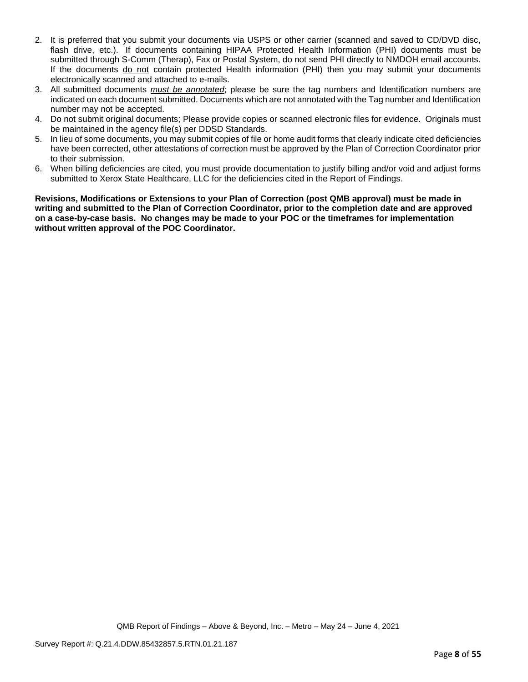- 2. It is preferred that you submit your documents via USPS or other carrier (scanned and saved to CD/DVD disc, flash drive, etc.). If documents containing HIPAA Protected Health Information (PHI) documents must be submitted through S-Comm (Therap), Fax or Postal System, do not send PHI directly to NMDOH email accounts. If the documents do not contain protected Health information (PHI) then you may submit your documents electronically scanned and attached to e-mails.
- 3. All submitted documents *must be annotated*; please be sure the tag numbers and Identification numbers are indicated on each document submitted. Documents which are not annotated with the Tag number and Identification number may not be accepted.
- 4. Do not submit original documents; Please provide copies or scanned electronic files for evidence. Originals must be maintained in the agency file(s) per DDSD Standards.
- 5. In lieu of some documents, you may submit copies of file or home audit forms that clearly indicate cited deficiencies have been corrected, other attestations of correction must be approved by the Plan of Correction Coordinator prior to their submission.
- 6. When billing deficiencies are cited, you must provide documentation to justify billing and/or void and adjust forms submitted to Xerox State Healthcare, LLC for the deficiencies cited in the Report of Findings.

**Revisions, Modifications or Extensions to your Plan of Correction (post QMB approval) must be made in writing and submitted to the Plan of Correction Coordinator, prior to the completion date and are approved on a case-by-case basis. No changes may be made to your POC or the timeframes for implementation without written approval of the POC Coordinator.**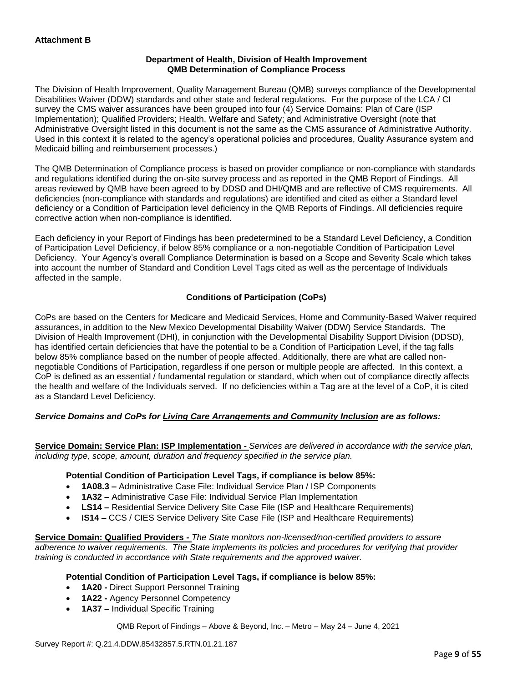### **Department of Health, Division of Health Improvement QMB Determination of Compliance Process**

The Division of Health Improvement, Quality Management Bureau (QMB) surveys compliance of the Developmental Disabilities Waiver (DDW) standards and other state and federal regulations. For the purpose of the LCA / CI survey the CMS waiver assurances have been grouped into four (4) Service Domains: Plan of Care (ISP Implementation); Qualified Providers; Health, Welfare and Safety; and Administrative Oversight (note that Administrative Oversight listed in this document is not the same as the CMS assurance of Administrative Authority. Used in this context it is related to the agency's operational policies and procedures, Quality Assurance system and Medicaid billing and reimbursement processes.)

The QMB Determination of Compliance process is based on provider compliance or non-compliance with standards and regulations identified during the on-site survey process and as reported in the QMB Report of Findings. All areas reviewed by QMB have been agreed to by DDSD and DHI/QMB and are reflective of CMS requirements. All deficiencies (non-compliance with standards and regulations) are identified and cited as either a Standard level deficiency or a Condition of Participation level deficiency in the QMB Reports of Findings. All deficiencies require corrective action when non-compliance is identified.

Each deficiency in your Report of Findings has been predetermined to be a Standard Level Deficiency, a Condition of Participation Level Deficiency, if below 85% compliance or a non-negotiable Condition of Participation Level Deficiency. Your Agency's overall Compliance Determination is based on a Scope and Severity Scale which takes into account the number of Standard and Condition Level Tags cited as well as the percentage of Individuals affected in the sample.

### **Conditions of Participation (CoPs)**

CoPs are based on the Centers for Medicare and Medicaid Services, Home and Community-Based Waiver required assurances, in addition to the New Mexico Developmental Disability Waiver (DDW) Service Standards. The Division of Health Improvement (DHI), in conjunction with the Developmental Disability Support Division (DDSD), has identified certain deficiencies that have the potential to be a Condition of Participation Level, if the tag falls below 85% compliance based on the number of people affected. Additionally, there are what are called nonnegotiable Conditions of Participation, regardless if one person or multiple people are affected. In this context, a CoP is defined as an essential / fundamental regulation or standard, which when out of compliance directly affects the health and welfare of the Individuals served. If no deficiencies within a Tag are at the level of a CoP, it is cited as a Standard Level Deficiency.

### *Service Domains and CoPs for Living Care Arrangements and Community Inclusion are as follows:*

**Service Domain: Service Plan: ISP Implementation -** *Services are delivered in accordance with the service plan, including type, scope, amount, duration and frequency specified in the service plan.*

### **Potential Condition of Participation Level Tags, if compliance is below 85%:**

- **1A08.3 –** Administrative Case File: Individual Service Plan / ISP Components
- **1A32 –** Administrative Case File: Individual Service Plan Implementation
- **LS14 –** Residential Service Delivery Site Case File (ISP and Healthcare Requirements)
- **IS14 –** CCS / CIES Service Delivery Site Case File (ISP and Healthcare Requirements)

**Service Domain: Qualified Providers -** *The State monitors non-licensed/non-certified providers to assure adherence to waiver requirements. The State implements its policies and procedures for verifying that provider training is conducted in accordance with State requirements and the approved waiver.*

### **Potential Condition of Participation Level Tags, if compliance is below 85%:**

- **1A20 -** Direct Support Personnel Training
- **1A22 -** Agency Personnel Competency
- **1A37 –** Individual Specific Training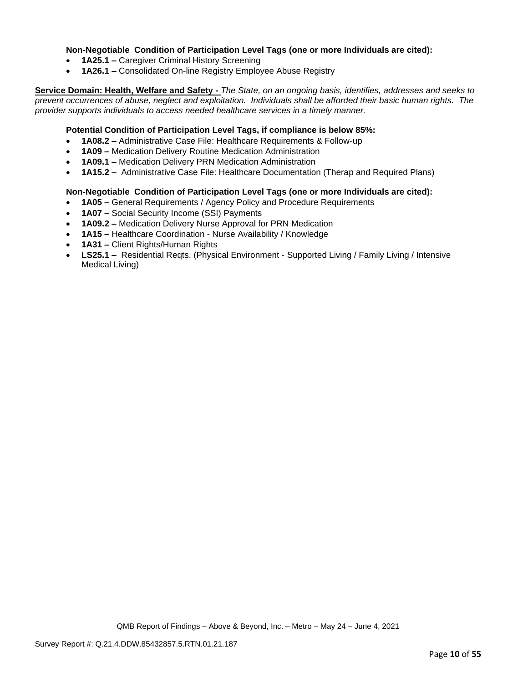### **Non-Negotiable Condition of Participation Level Tags (one or more Individuals are cited):**

- **1A25.1 –** Caregiver Criminal History Screening
- **1A26.1 –** Consolidated On-line Registry Employee Abuse Registry

**Service Domain: Health, Welfare and Safety -** *The State, on an ongoing basis, identifies, addresses and seeks to prevent occurrences of abuse, neglect and exploitation. Individuals shall be afforded their basic human rights. The provider supports individuals to access needed healthcare services in a timely manner.*

### **Potential Condition of Participation Level Tags, if compliance is below 85%:**

- **1A08.2 –** Administrative Case File: Healthcare Requirements & Follow-up
- **1A09 –** Medication Delivery Routine Medication Administration
- **1A09.1 –** Medication Delivery PRN Medication Administration
- **1A15.2 –** Administrative Case File: Healthcare Documentation (Therap and Required Plans)

### **Non-Negotiable Condition of Participation Level Tags (one or more Individuals are cited):**

- **1A05 –** General Requirements / Agency Policy and Procedure Requirements
- **1A07 –** Social Security Income (SSI) Payments
- **1A09.2 –** Medication Delivery Nurse Approval for PRN Medication
- **1A15 –** Healthcare Coordination Nurse Availability / Knowledge
- **1A31 –** Client Rights/Human Rights
- **LS25.1 –** Residential Reqts. (Physical Environment Supported Living / Family Living / Intensive Medical Living)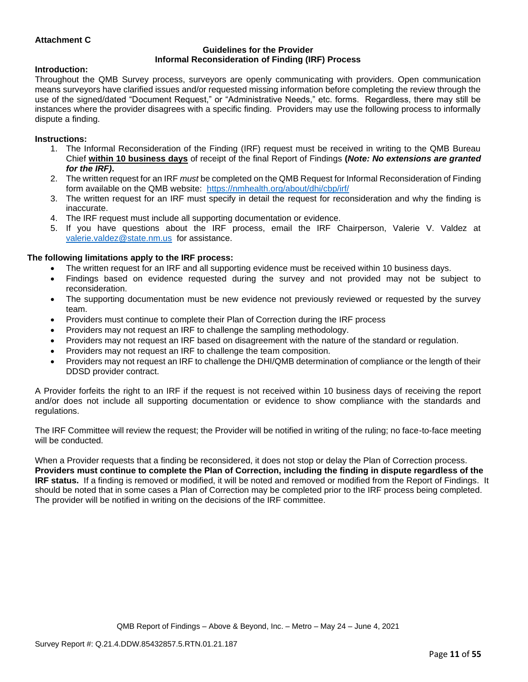### **Attachment C**

#### **Guidelines for the Provider Informal Reconsideration of Finding (IRF) Process**

#### **Introduction:**

Throughout the QMB Survey process, surveyors are openly communicating with providers. Open communication means surveyors have clarified issues and/or requested missing information before completing the review through the use of the signed/dated "Document Request," or "Administrative Needs," etc. forms. Regardless, there may still be instances where the provider disagrees with a specific finding. Providers may use the following process to informally dispute a finding.

#### **Instructions:**

- 1. The Informal Reconsideration of the Finding (IRF) request must be received in writing to the QMB Bureau Chief **within 10 business days** of receipt of the final Report of Findings **(***Note: No extensions are granted for the IRF)***.**
- 2. The written request for an IRF *must* be completed on the QMB Request for Informal Reconsideration of Finding form available on the QMB website: <https://nmhealth.org/about/dhi/cbp/irf/>
- 3. The written request for an IRF must specify in detail the request for reconsideration and why the finding is inaccurate.
- 4. The IRF request must include all supporting documentation or evidence.
- 5. If you have questions about the IRF process, email the IRF Chairperson, Valerie V. Valdez at [valerie.valdez@state.nm.us](mailto:valerie.valdez@state.nm.us) for assistance.

### **The following limitations apply to the IRF process:**

- The written request for an IRF and all supporting evidence must be received within 10 business days.
- Findings based on evidence requested during the survey and not provided may not be subject to reconsideration.
- The supporting documentation must be new evidence not previously reviewed or requested by the survey team.
- Providers must continue to complete their Plan of Correction during the IRF process
- Providers may not request an IRF to challenge the sampling methodology.
- Providers may not request an IRF based on disagreement with the nature of the standard or regulation.
- Providers may not request an IRF to challenge the team composition.
- Providers may not request an IRF to challenge the DHI/QMB determination of compliance or the length of their DDSD provider contract.

A Provider forfeits the right to an IRF if the request is not received within 10 business days of receiving the report and/or does not include all supporting documentation or evidence to show compliance with the standards and regulations.

The IRF Committee will review the request; the Provider will be notified in writing of the ruling; no face-to-face meeting will be conducted.

When a Provider requests that a finding be reconsidered, it does not stop or delay the Plan of Correction process. **Providers must continue to complete the Plan of Correction, including the finding in dispute regardless of the IRF status.** If a finding is removed or modified, it will be noted and removed or modified from the Report of Findings. It should be noted that in some cases a Plan of Correction may be completed prior to the IRF process being completed. The provider will be notified in writing on the decisions of the IRF committee.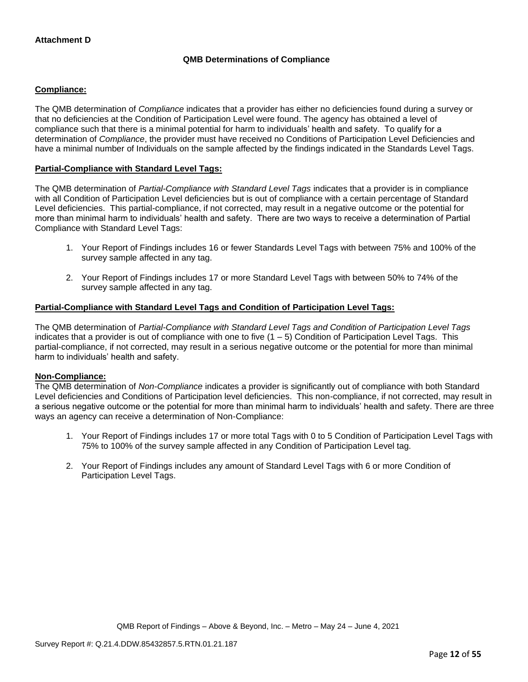## **QMB Determinations of Compliance**

### **Compliance:**

The QMB determination of *Compliance* indicates that a provider has either no deficiencies found during a survey or that no deficiencies at the Condition of Participation Level were found. The agency has obtained a level of compliance such that there is a minimal potential for harm to individuals' health and safety. To qualify for a determination of *Compliance*, the provider must have received no Conditions of Participation Level Deficiencies and have a minimal number of Individuals on the sample affected by the findings indicated in the Standards Level Tags.

### **Partial-Compliance with Standard Level Tags:**

The QMB determination of *Partial-Compliance with Standard Level Tags* indicates that a provider is in compliance with all Condition of Participation Level deficiencies but is out of compliance with a certain percentage of Standard Level deficiencies. This partial-compliance, if not corrected, may result in a negative outcome or the potential for more than minimal harm to individuals' health and safety. There are two ways to receive a determination of Partial Compliance with Standard Level Tags:

- 1. Your Report of Findings includes 16 or fewer Standards Level Tags with between 75% and 100% of the survey sample affected in any tag.
- 2. Your Report of Findings includes 17 or more Standard Level Tags with between 50% to 74% of the survey sample affected in any tag.

### **Partial-Compliance with Standard Level Tags and Condition of Participation Level Tags:**

The QMB determination of *Partial-Compliance with Standard Level Tags and Condition of Participation Level Tags*  indicates that a provider is out of compliance with one to five  $(1 - 5)$  Condition of Participation Level Tags. This partial-compliance, if not corrected, may result in a serious negative outcome or the potential for more than minimal harm to individuals' health and safety.

### **Non-Compliance:**

The QMB determination of *Non-Compliance* indicates a provider is significantly out of compliance with both Standard Level deficiencies and Conditions of Participation level deficiencies. This non-compliance, if not corrected, may result in a serious negative outcome or the potential for more than minimal harm to individuals' health and safety. There are three ways an agency can receive a determination of Non-Compliance:

- 1. Your Report of Findings includes 17 or more total Tags with 0 to 5 Condition of Participation Level Tags with 75% to 100% of the survey sample affected in any Condition of Participation Level tag.
- 2. Your Report of Findings includes any amount of Standard Level Tags with 6 or more Condition of Participation Level Tags.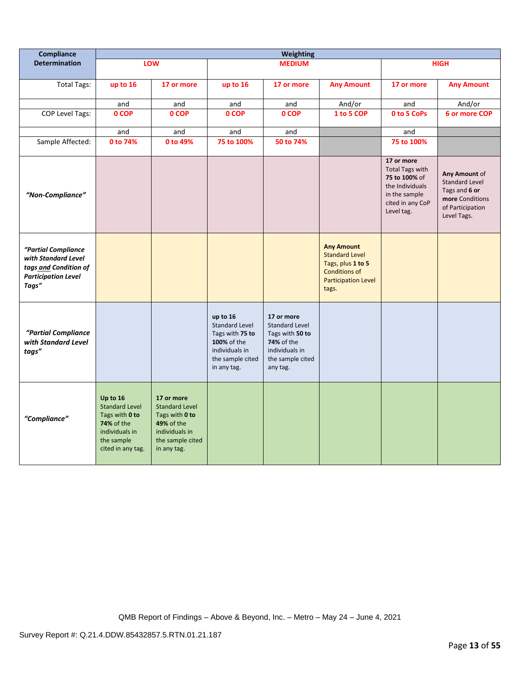| Compliance                                                                                                 | <b>Weighting</b>                                                                                                              |                                                                                                                          |                                                                                                                          |                                                                                                                               |                                                                                                                                |                                                                                                                             |                                                                                                               |
|------------------------------------------------------------------------------------------------------------|-------------------------------------------------------------------------------------------------------------------------------|--------------------------------------------------------------------------------------------------------------------------|--------------------------------------------------------------------------------------------------------------------------|-------------------------------------------------------------------------------------------------------------------------------|--------------------------------------------------------------------------------------------------------------------------------|-----------------------------------------------------------------------------------------------------------------------------|---------------------------------------------------------------------------------------------------------------|
| <b>Determination</b>                                                                                       |                                                                                                                               | LOW                                                                                                                      |                                                                                                                          | <b>MEDIUM</b>                                                                                                                 |                                                                                                                                |                                                                                                                             | <b>HIGH</b>                                                                                                   |
| <b>Total Tags:</b>                                                                                         | up to 16                                                                                                                      | 17 or more                                                                                                               | up to 16                                                                                                                 | 17 or more                                                                                                                    | <b>Any Amount</b>                                                                                                              | 17 or more                                                                                                                  | <b>Any Amount</b>                                                                                             |
|                                                                                                            | and                                                                                                                           | and                                                                                                                      | and                                                                                                                      | and                                                                                                                           | And/or                                                                                                                         | and                                                                                                                         | And/or                                                                                                        |
| <b>COP Level Tags:</b>                                                                                     | 0 COP                                                                                                                         | 0 COP                                                                                                                    | 0 COP                                                                                                                    | 0 COP                                                                                                                         | 1 to 5 COP                                                                                                                     | 0 to 5 CoPs                                                                                                                 | 6 or more COP                                                                                                 |
|                                                                                                            | and                                                                                                                           | and                                                                                                                      | and                                                                                                                      | and                                                                                                                           |                                                                                                                                | and                                                                                                                         |                                                                                                               |
| Sample Affected:                                                                                           | 0 to 74%                                                                                                                      | 0 to 49%                                                                                                                 | 75 to 100%                                                                                                               | 50 to 74%                                                                                                                     |                                                                                                                                | 75 to 100%                                                                                                                  |                                                                                                               |
| "Non-Compliance"                                                                                           |                                                                                                                               |                                                                                                                          |                                                                                                                          |                                                                                                                               |                                                                                                                                | 17 or more<br><b>Total Tags with</b><br>75 to 100% of<br>the Individuals<br>in the sample<br>cited in any CoP<br>Level tag. | Any Amount of<br><b>Standard Level</b><br>Tags and 6 or<br>more Conditions<br>of Participation<br>Level Tags. |
| "Partial Compliance<br>with Standard Level<br>tags and Condition of<br><b>Participation Level</b><br>Tags" |                                                                                                                               |                                                                                                                          |                                                                                                                          |                                                                                                                               | <b>Any Amount</b><br><b>Standard Level</b><br>Tags, plus 1 to 5<br><b>Conditions of</b><br><b>Participation Level</b><br>tags. |                                                                                                                             |                                                                                                               |
| "Partial Compliance<br>with Standard Level<br>tags"                                                        |                                                                                                                               |                                                                                                                          | up to 16<br><b>Standard Level</b><br>Tags with 75 to<br>100% of the<br>individuals in<br>the sample cited<br>in any tag. | 17 or more<br><b>Standard Level</b><br>Tags with 50 to<br><b>74%</b> of the<br>individuals in<br>the sample cited<br>any tag. |                                                                                                                                |                                                                                                                             |                                                                                                               |
| "Compliance"                                                                                               | Up to 16<br><b>Standard Level</b><br>Tags with 0 to<br><b>74% of the</b><br>individuals in<br>the sample<br>cited in any tag. | 17 or more<br><b>Standard Level</b><br>Tags with 0 to<br>49% of the<br>individuals in<br>the sample cited<br>in any tag. |                                                                                                                          |                                                                                                                               |                                                                                                                                |                                                                                                                             |                                                                                                               |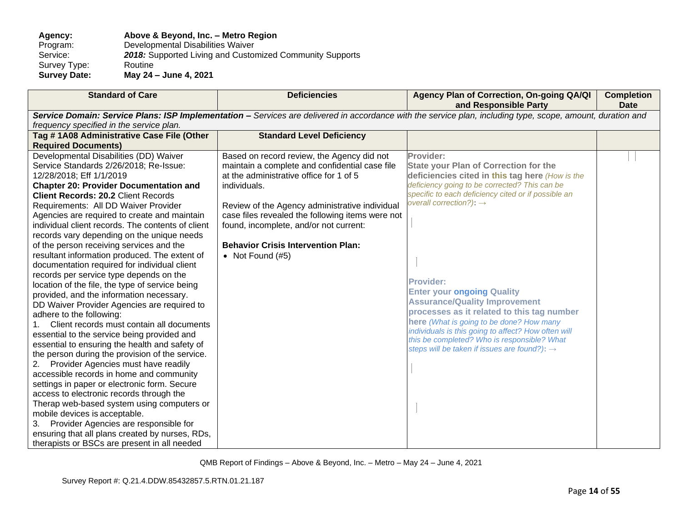### Agency: **Above & Beyond, Inc. – Metro Region**<br>Program: Developmental Disabilities Waiver Program: Developmental Disabilities Waiver<br>Service: 2018: Supported Living and Custor 2018: Supported Living and Customized Community Supports Routine Survey Type:<br>Survey Date: **Survey Date: May 24 – June 4, 2021**

| <b>Standard of Care</b>                           | <b>Deficiencies</b>                              | Agency Plan of Correction, On-going QA/QI<br>and Responsible Party                                                                                          | <b>Completion</b><br><b>Date</b> |
|---------------------------------------------------|--------------------------------------------------|-------------------------------------------------------------------------------------------------------------------------------------------------------------|----------------------------------|
|                                                   |                                                  | Service Domain: Service Plans: ISP Implementation - Services are delivered in accordance with the service plan, including type, scope, amount, duration and |                                  |
| frequency specified in the service plan.          |                                                  |                                                                                                                                                             |                                  |
| Tag #1A08 Administrative Case File (Other         | <b>Standard Level Deficiency</b>                 |                                                                                                                                                             |                                  |
| <b>Required Documents)</b>                        |                                                  |                                                                                                                                                             |                                  |
| Developmental Disabilities (DD) Waiver            | Based on record review, the Agency did not       | Provider:                                                                                                                                                   |                                  |
| Service Standards 2/26/2018; Re-Issue:            | maintain a complete and confidential case file   | <b>State your Plan of Correction for the</b>                                                                                                                |                                  |
| 12/28/2018; Eff 1/1/2019                          | at the administrative office for 1 of 5          | deficiencies cited in this tag here (How is the                                                                                                             |                                  |
| <b>Chapter 20: Provider Documentation and</b>     | individuals.                                     | deficiency going to be corrected? This can be                                                                                                               |                                  |
| <b>Client Records: 20.2 Client Records</b>        |                                                  | specific to each deficiency cited or if possible an                                                                                                         |                                  |
| Requirements: All DD Waiver Provider              | Review of the Agency administrative individual   | overall correction?): $\rightarrow$                                                                                                                         |                                  |
| Agencies are required to create and maintain      | case files revealed the following items were not |                                                                                                                                                             |                                  |
| individual client records. The contents of client | found, incomplete, and/or not current:           |                                                                                                                                                             |                                  |
| records vary depending on the unique needs        |                                                  |                                                                                                                                                             |                                  |
| of the person receiving services and the          | <b>Behavior Crisis Intervention Plan:</b>        |                                                                                                                                                             |                                  |
| resultant information produced. The extent of     | • Not Found $(#5)$                               |                                                                                                                                                             |                                  |
| documentation required for individual client      |                                                  |                                                                                                                                                             |                                  |
| records per service type depends on the           |                                                  | <b>Provider:</b>                                                                                                                                            |                                  |
| location of the file, the type of service being   |                                                  | <b>Enter your ongoing Quality</b>                                                                                                                           |                                  |
| provided, and the information necessary.          |                                                  | <b>Assurance/Quality Improvement</b>                                                                                                                        |                                  |
| DD Waiver Provider Agencies are required to       |                                                  | processes as it related to this tag number                                                                                                                  |                                  |
| adhere to the following:                          |                                                  | here (What is going to be done? How many                                                                                                                    |                                  |
| Client records must contain all documents         |                                                  | individuals is this going to affect? How often will                                                                                                         |                                  |
| essential to the service being provided and       |                                                  | this be completed? Who is responsible? What                                                                                                                 |                                  |
| essential to ensuring the health and safety of    |                                                  | steps will be taken if issues are found?): $\rightarrow$                                                                                                    |                                  |
| the person during the provision of the service.   |                                                  |                                                                                                                                                             |                                  |
| Provider Agencies must have readily<br>2.         |                                                  |                                                                                                                                                             |                                  |
| accessible records in home and community          |                                                  |                                                                                                                                                             |                                  |
| settings in paper or electronic form. Secure      |                                                  |                                                                                                                                                             |                                  |
| access to electronic records through the          |                                                  |                                                                                                                                                             |                                  |
| Therap web-based system using computers or        |                                                  |                                                                                                                                                             |                                  |
| mobile devices is acceptable.                     |                                                  |                                                                                                                                                             |                                  |
| Provider Agencies are responsible for<br>3.       |                                                  |                                                                                                                                                             |                                  |
| ensuring that all plans created by nurses, RDs,   |                                                  |                                                                                                                                                             |                                  |
| therapists or BSCs are present in all needed      |                                                  |                                                                                                                                                             |                                  |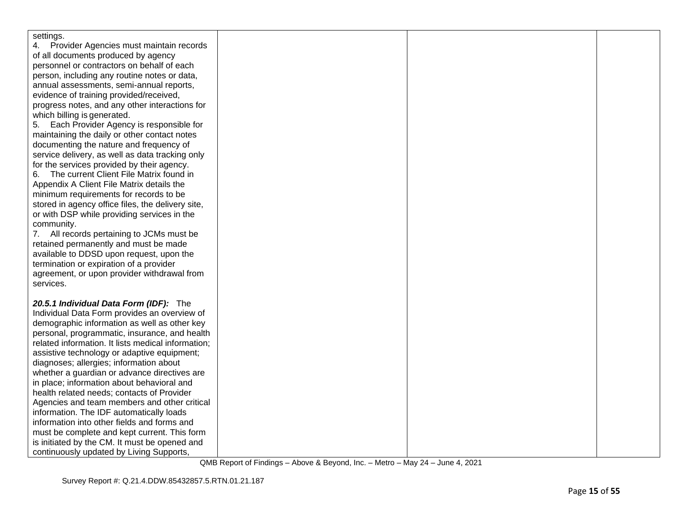| settings.                                          |  |  |
|----------------------------------------------------|--|--|
| Provider Agencies must maintain records            |  |  |
| of all documents produced by agency                |  |  |
| personnel or contractors on behalf of each         |  |  |
| person, including any routine notes or data,       |  |  |
| annual assessments, semi-annual reports,           |  |  |
| evidence of training provided/received,            |  |  |
| progress notes, and any other interactions for     |  |  |
| which billing is generated.                        |  |  |
| Each Provider Agency is responsible for<br>5.      |  |  |
| maintaining the daily or other contact notes       |  |  |
| documenting the nature and frequency of            |  |  |
| service delivery, as well as data tracking only    |  |  |
| for the services provided by their agency.         |  |  |
| The current Client File Matrix found in<br>6.      |  |  |
| Appendix A Client File Matrix details the          |  |  |
| minimum requirements for records to be             |  |  |
| stored in agency office files, the delivery site,  |  |  |
| or with DSP while providing services in the        |  |  |
| community.                                         |  |  |
| 7. All records pertaining to JCMs must be          |  |  |
| retained permanently and must be made              |  |  |
| available to DDSD upon request, upon the           |  |  |
| termination or expiration of a provider            |  |  |
| agreement, or upon provider withdrawal from        |  |  |
| services.                                          |  |  |
|                                                    |  |  |
| 20.5.1 Individual Data Form (IDF): The             |  |  |
| Individual Data Form provides an overview of       |  |  |
| demographic information as well as other key       |  |  |
| personal, programmatic, insurance, and health      |  |  |
| related information. It lists medical information; |  |  |
| assistive technology or adaptive equipment;        |  |  |
| diagnoses; allergies; information about            |  |  |
| whether a guardian or advance directives are       |  |  |
| in place; information about behavioral and         |  |  |
| health related needs; contacts of Provider         |  |  |
| Agencies and team members and other critical       |  |  |
| information. The IDF automatically loads           |  |  |
| information into other fields and forms and        |  |  |
| must be complete and kept current. This form       |  |  |
| is initiated by the CM. It must be opened and      |  |  |
| continuously updated by Living Supports,           |  |  |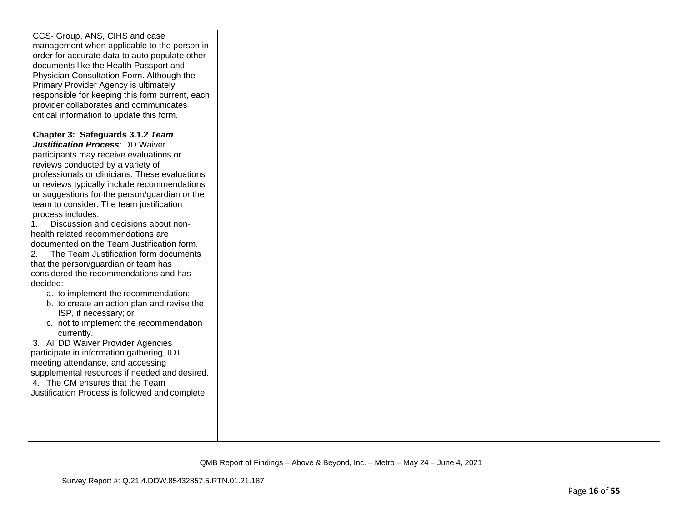| CCS- Group, ANS, CIHS and case                  |  |  |
|-------------------------------------------------|--|--|
| management when applicable to the person in     |  |  |
| order for accurate data to auto populate other  |  |  |
| documents like the Health Passport and          |  |  |
| Physician Consultation Form. Although the       |  |  |
| Primary Provider Agency is ultimately           |  |  |
| responsible for keeping this form current, each |  |  |
| provider collaborates and communicates          |  |  |
| critical information to update this form.       |  |  |
|                                                 |  |  |
| Chapter 3: Safeguards 3.1.2 Team                |  |  |
| Justification Process: DD Waiver                |  |  |
| participants may receive evaluations or         |  |  |
| reviews conducted by a variety of               |  |  |
| professionals or clinicians. These evaluations  |  |  |
| or reviews typically include recommendations    |  |  |
| or suggestions for the person/guardian or the   |  |  |
| team to consider. The team justification        |  |  |
| process includes:                               |  |  |
| Discussion and decisions about non-             |  |  |
| health related recommendations are              |  |  |
| documented on the Team Justification form.      |  |  |
| The Team Justification form documents<br>2.     |  |  |
| that the person/guardian or team has            |  |  |
| considered the recommendations and has          |  |  |
| decided:                                        |  |  |
| a. to implement the recommendation;             |  |  |
| b. to create an action plan and revise the      |  |  |
| ISP, if necessary; or                           |  |  |
| c. not to implement the recommendation          |  |  |
| currently.                                      |  |  |
| 3. All DD Waiver Provider Agencies              |  |  |
| participate in information gathering, IDT       |  |  |
| meeting attendance, and accessing               |  |  |
| supplemental resources if needed and desired.   |  |  |
| 4. The CM ensures that the Team                 |  |  |
| Justification Process is followed and complete. |  |  |
|                                                 |  |  |
|                                                 |  |  |
|                                                 |  |  |
|                                                 |  |  |
|                                                 |  |  |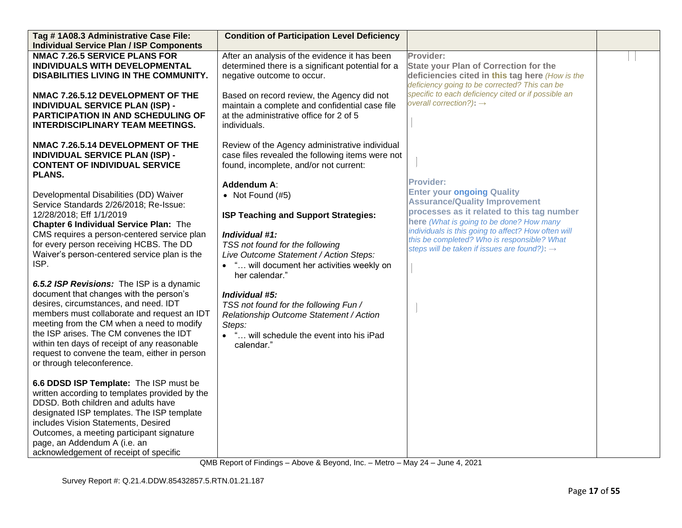| Tag #1A08.3 Administrative Case File:                                            | <b>Condition of Participation Level Deficiency</b> |                                                                           |  |
|----------------------------------------------------------------------------------|----------------------------------------------------|---------------------------------------------------------------------------|--|
| <b>Individual Service Plan / ISP Components</b>                                  |                                                    |                                                                           |  |
| <b>NMAC 7.26.5 SERVICE PLANS FOR</b>                                             | After an analysis of the evidence it has been      | Provider:                                                                 |  |
| INDIVIDUALS WITH DEVELOPMENTAL                                                   | determined there is a significant potential for a  | <b>State your Plan of Correction for the</b>                              |  |
| DISABILITIES LIVING IN THE COMMUNITY.                                            | negative outcome to occur.                         | deficiencies cited in this tag here (How is the                           |  |
|                                                                                  |                                                    | deficiency going to be corrected? This can be                             |  |
| NMAC 7.26.5.12 DEVELOPMENT OF THE                                                | Based on record review, the Agency did not         | specific to each deficiency cited or if possible an                       |  |
| <b>INDIVIDUAL SERVICE PLAN (ISP) -</b>                                           | maintain a complete and confidential case file     | overall correction?): $\rightarrow$                                       |  |
| <b>PARTICIPATION IN AND SCHEDULING OF</b>                                        | at the administrative office for 2 of 5            |                                                                           |  |
| <b>INTERDISCIPLINARY TEAM MEETINGS.</b>                                          | individuals.                                       |                                                                           |  |
| NMAC 7.26.5.14 DEVELOPMENT OF THE                                                | Review of the Agency administrative individual     |                                                                           |  |
| <b>INDIVIDUAL SERVICE PLAN (ISP) -</b>                                           | case files revealed the following items were not   |                                                                           |  |
| <b>CONTENT OF INDIVIDUAL SERVICE</b>                                             | found, incomplete, and/or not current:             |                                                                           |  |
| <b>PLANS.</b>                                                                    |                                                    |                                                                           |  |
|                                                                                  | Addendum A:                                        | <b>Provider:</b>                                                          |  |
| Developmental Disabilities (DD) Waiver                                           | • Not Found $(#5)$                                 | <b>Enter your ongoing Quality</b><br><b>Assurance/Quality Improvement</b> |  |
| Service Standards 2/26/2018; Re-Issue:                                           |                                                    | processes as it related to this tag number                                |  |
| 12/28/2018; Eff 1/1/2019                                                         | ISP Teaching and Support Strategies:               | here (What is going to be done? How many                                  |  |
| <b>Chapter 6 Individual Service Plan: The</b>                                    |                                                    | individuals is this going to affect? How often will                       |  |
| CMS requires a person-centered service plan                                      | Individual #1:                                     | this be completed? Who is responsible? What                               |  |
| for every person receiving HCBS. The DD                                          | TSS not found for the following                    | steps will be taken if issues are found?): $\rightarrow$                  |  |
| Waiver's person-centered service plan is the                                     | Live Outcome Statement / Action Steps:             |                                                                           |  |
| ISP.                                                                             | • " will document her activities weekly on         |                                                                           |  |
|                                                                                  | her calendar."                                     |                                                                           |  |
| 6.5.2 ISP Revisions: The ISP is a dynamic                                        |                                                    |                                                                           |  |
| document that changes with the person's<br>desires, circumstances, and need. IDT | Individual #5:                                     |                                                                           |  |
| members must collaborate and request an IDT                                      | TSS not found for the following Fun /              |                                                                           |  |
| meeting from the CM when a need to modify                                        | Relationship Outcome Statement / Action<br>Steps:  |                                                                           |  |
| the ISP arises. The CM convenes the IDT                                          | • " will schedule the event into his iPad          |                                                                           |  |
| within ten days of receipt of any reasonable                                     | calendar."                                         |                                                                           |  |
| request to convene the team, either in person                                    |                                                    |                                                                           |  |
| or through teleconference.                                                       |                                                    |                                                                           |  |
|                                                                                  |                                                    |                                                                           |  |
| 6.6 DDSD ISP Template: The ISP must be                                           |                                                    |                                                                           |  |
| written according to templates provided by the                                   |                                                    |                                                                           |  |
| DDSD. Both children and adults have                                              |                                                    |                                                                           |  |
| designated ISP templates. The ISP template                                       |                                                    |                                                                           |  |
| includes Vision Statements, Desired                                              |                                                    |                                                                           |  |
| Outcomes, a meeting participant signature                                        |                                                    |                                                                           |  |
| page, an Addendum A (i.e. an                                                     |                                                    |                                                                           |  |
| acknowledgement of receipt of specific                                           |                                                    |                                                                           |  |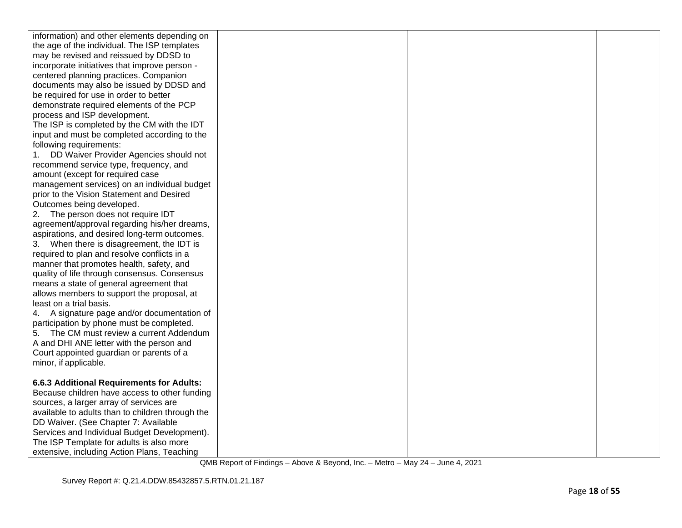| information) and other elements depending on     |  |  |
|--------------------------------------------------|--|--|
| the age of the individual. The ISP templates     |  |  |
| may be revised and reissued by DDSD to           |  |  |
| incorporate initiatives that improve person -    |  |  |
| centered planning practices. Companion           |  |  |
| documents may also be issued by DDSD and         |  |  |
| be required for use in order to better           |  |  |
| demonstrate required elements of the PCP         |  |  |
| process and ISP development.                     |  |  |
| The ISP is completed by the CM with the IDT      |  |  |
| input and must be completed according to the     |  |  |
| following requirements:                          |  |  |
| DD Waiver Provider Agencies should not<br>1.     |  |  |
| recommend service type, frequency, and           |  |  |
| amount (except for required case                 |  |  |
| management services) on an individual budget     |  |  |
| prior to the Vision Statement and Desired        |  |  |
| Outcomes being developed.                        |  |  |
| The person does not require IDT<br>2.            |  |  |
| agreement/approval regarding his/her dreams,     |  |  |
| aspirations, and desired long-term outcomes.     |  |  |
| 3. When there is disagreement, the IDT is        |  |  |
| required to plan and resolve conflicts in a      |  |  |
| manner that promotes health, safety, and         |  |  |
| quality of life through consensus. Consensus     |  |  |
| means a state of general agreement that          |  |  |
| allows members to support the proposal, at       |  |  |
| least on a trial basis.                          |  |  |
| 4. A signature page and/or documentation of      |  |  |
| participation by phone must be completed.        |  |  |
| 5. The CM must review a current Addendum         |  |  |
| A and DHI ANE letter with the person and         |  |  |
| Court appointed guardian or parents of a         |  |  |
| minor, if applicable.                            |  |  |
|                                                  |  |  |
| 6.6.3 Additional Requirements for Adults:        |  |  |
| Because children have access to other funding    |  |  |
| sources, a larger array of services are          |  |  |
| available to adults than to children through the |  |  |
| DD Waiver. (See Chapter 7: Available             |  |  |
| Services and Individual Budget Development).     |  |  |
| The ISP Template for adults is also more         |  |  |
| extensive, including Action Plans, Teaching      |  |  |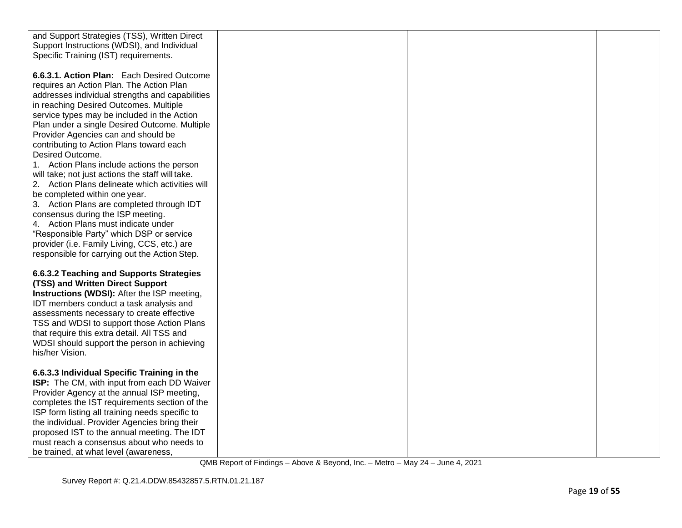| and Support Strategies (TSS), Written Direct       |  |  |
|----------------------------------------------------|--|--|
| Support Instructions (WDSI), and Individual        |  |  |
| Specific Training (IST) requirements.              |  |  |
|                                                    |  |  |
| 6.6.3.1. Action Plan: Each Desired Outcome         |  |  |
| requires an Action Plan. The Action Plan           |  |  |
| addresses individual strengths and capabilities    |  |  |
| in reaching Desired Outcomes. Multiple             |  |  |
| service types may be included in the Action        |  |  |
| Plan under a single Desired Outcome. Multiple      |  |  |
| Provider Agencies can and should be                |  |  |
| contributing to Action Plans toward each           |  |  |
| Desired Outcome.                                   |  |  |
| 1. Action Plans include actions the person         |  |  |
| will take; not just actions the staff will take.   |  |  |
| 2. Action Plans delineate which activities will    |  |  |
| be completed within one year.                      |  |  |
| 3. Action Plans are completed through IDT          |  |  |
| consensus during the ISP meeting.                  |  |  |
| 4. Action Plans must indicate under                |  |  |
| "Responsible Party" which DSP or service           |  |  |
| provider (i.e. Family Living, CCS, etc.) are       |  |  |
| responsible for carrying out the Action Step.      |  |  |
|                                                    |  |  |
| 6.6.3.2 Teaching and Supports Strategies           |  |  |
| (TSS) and Written Direct Support                   |  |  |
| <b>Instructions (WDSI):</b> After the ISP meeting, |  |  |
| IDT members conduct a task analysis and            |  |  |
| assessments necessary to create effective          |  |  |
| TSS and WDSI to support those Action Plans         |  |  |
| that require this extra detail. All TSS and        |  |  |
| WDSI should support the person in achieving        |  |  |
| his/her Vision.                                    |  |  |
|                                                    |  |  |
| 6.6.3.3 Individual Specific Training in the        |  |  |
| ISP: The CM, with input from each DD Waiver        |  |  |
| Provider Agency at the annual ISP meeting,         |  |  |
| completes the IST requirements section of the      |  |  |
| ISP form listing all training needs specific to    |  |  |
| the individual. Provider Agencies bring their      |  |  |
| proposed IST to the annual meeting. The IDT        |  |  |
| must reach a consensus about who needs to          |  |  |
| be trained, at what level (awareness,              |  |  |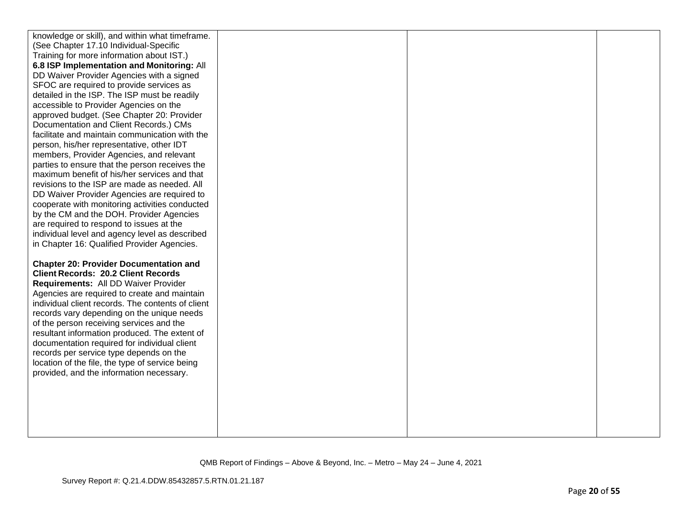| knowledge or skill), and within what timeframe.   |  |  |
|---------------------------------------------------|--|--|
| (See Chapter 17.10 Individual-Specific            |  |  |
| Training for more information about IST.)         |  |  |
| 6.8 ISP Implementation and Monitoring: All        |  |  |
| DD Waiver Provider Agencies with a signed         |  |  |
| SFOC are required to provide services as          |  |  |
| detailed in the ISP. The ISP must be readily      |  |  |
| accessible to Provider Agencies on the            |  |  |
| approved budget. (See Chapter 20: Provider        |  |  |
| Documentation and Client Records.) CMs            |  |  |
| facilitate and maintain communication with the    |  |  |
| person, his/her representative, other IDT         |  |  |
| members, Provider Agencies, and relevant          |  |  |
| parties to ensure that the person receives the    |  |  |
| maximum benefit of his/her services and that      |  |  |
| revisions to the ISP are made as needed. All      |  |  |
| DD Waiver Provider Agencies are required to       |  |  |
| cooperate with monitoring activities conducted    |  |  |
| by the CM and the DOH. Provider Agencies          |  |  |
| are required to respond to issues at the          |  |  |
| individual level and agency level as described    |  |  |
| in Chapter 16: Qualified Provider Agencies.       |  |  |
|                                                   |  |  |
| <b>Chapter 20: Provider Documentation and</b>     |  |  |
| <b>Client Records: 20.2 Client Records</b>        |  |  |
| Requirements: All DD Waiver Provider              |  |  |
| Agencies are required to create and maintain      |  |  |
| individual client records. The contents of client |  |  |
| records vary depending on the unique needs        |  |  |
| of the person receiving services and the          |  |  |
| resultant information produced. The extent of     |  |  |
| documentation required for individual client      |  |  |
| records per service type depends on the           |  |  |
| location of the file, the type of service being   |  |  |
| provided, and the information necessary.          |  |  |
|                                                   |  |  |
|                                                   |  |  |
|                                                   |  |  |
|                                                   |  |  |
|                                                   |  |  |
|                                                   |  |  |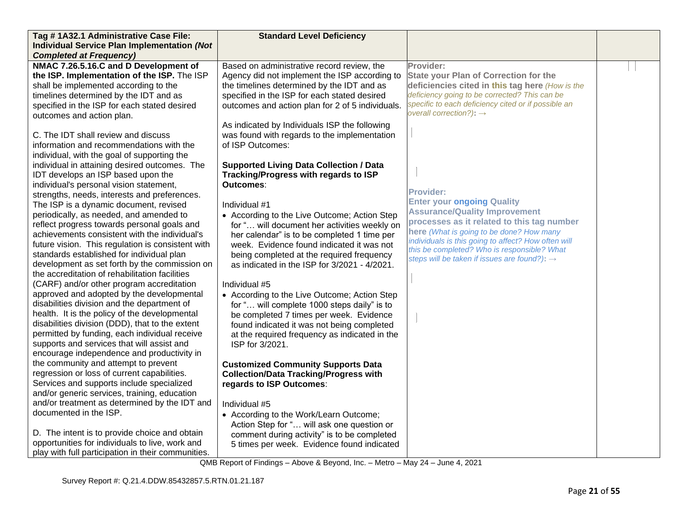| Tag #1A32.1 Administrative Case File:                                                         | <b>Standard Level Deficiency</b>                 |                                                          |  |
|-----------------------------------------------------------------------------------------------|--------------------------------------------------|----------------------------------------------------------|--|
| <b>Individual Service Plan Implementation (Not</b>                                            |                                                  |                                                          |  |
| <b>Completed at Frequency)</b>                                                                |                                                  |                                                          |  |
| NMAC 7.26.5.16.C and D Development of                                                         | Based on administrative record review, the       | Provider:                                                |  |
| the ISP. Implementation of the ISP. The ISP                                                   | Agency did not implement the ISP according to    | <b>State your Plan of Correction for the</b>             |  |
| shall be implemented according to the                                                         | the timelines determined by the IDT and as       | deficiencies cited in this tag here (How is the          |  |
| timelines determined by the IDT and as                                                        | specified in the ISP for each stated desired     | deficiency going to be corrected? This can be            |  |
| specified in the ISP for each stated desired                                                  | outcomes and action plan for 2 of 5 individuals. | specific to each deficiency cited or if possible an      |  |
| outcomes and action plan.                                                                     |                                                  | overall correction?): $\rightarrow$                      |  |
|                                                                                               | As indicated by Individuals ISP the following    |                                                          |  |
| C. The IDT shall review and discuss                                                           | was found with regards to the implementation     |                                                          |  |
| information and recommendations with the                                                      | of ISP Outcomes:                                 |                                                          |  |
| individual, with the goal of supporting the                                                   |                                                  |                                                          |  |
| individual in attaining desired outcomes. The                                                 | <b>Supported Living Data Collection / Data</b>   |                                                          |  |
| IDT develops an ISP based upon the                                                            | Tracking/Progress with regards to ISP            |                                                          |  |
| individual's personal vision statement,                                                       | Outcomes:                                        | <b>Provider:</b>                                         |  |
| strengths, needs, interests and preferences.                                                  |                                                  | <b>Enter your ongoing Quality</b>                        |  |
| The ISP is a dynamic document, revised                                                        | Individual #1                                    | <b>Assurance/Quality Improvement</b>                     |  |
| periodically, as needed, and amended to                                                       | • According to the Live Outcome; Action Step     | processes as it related to this tag number               |  |
| reflect progress towards personal goals and                                                   | for " will document her activities weekly on     | here (What is going to be done? How many                 |  |
| achievements consistent with the individual's                                                 | her calendar" is to be completed 1 time per      | individuals is this going to affect? How often will      |  |
| future vision. This regulation is consistent with                                             | week. Evidence found indicated it was not        | this be completed? Who is responsible? What              |  |
| standards established for individual plan                                                     | being completed at the required frequency        | steps will be taken if issues are found?): $\rightarrow$ |  |
| development as set forth by the commission on                                                 | as indicated in the ISP for 3/2021 - 4/2021.     |                                                          |  |
| the accreditation of rehabilitation facilities                                                |                                                  |                                                          |  |
| (CARF) and/or other program accreditation                                                     | Individual #5                                    |                                                          |  |
| approved and adopted by the developmental                                                     | • According to the Live Outcome; Action Step     |                                                          |  |
| disabilities division and the department of                                                   | for " will complete 1000 steps daily" is to      |                                                          |  |
| health. It is the policy of the developmental                                                 | be completed 7 times per week. Evidence          |                                                          |  |
| disabilities division (DDD), that to the extent                                               | found indicated it was not being completed       |                                                          |  |
| permitted by funding, each individual receive                                                 | at the required frequency as indicated in the    |                                                          |  |
| supports and services that will assist and                                                    | ISP for 3/2021.                                  |                                                          |  |
| encourage independence and productivity in                                                    |                                                  |                                                          |  |
| the community and attempt to prevent                                                          | <b>Customized Community Supports Data</b>        |                                                          |  |
| regression or loss of current capabilities.                                                   | <b>Collection/Data Tracking/Progress with</b>    |                                                          |  |
| Services and supports include specialized                                                     | regards to ISP Outcomes:                         |                                                          |  |
| and/or generic services, training, education<br>and/or treatment as determined by the IDT and |                                                  |                                                          |  |
| documented in the ISP.                                                                        | Individual #5                                    |                                                          |  |
|                                                                                               | • According to the Work/Learn Outcome;           |                                                          |  |
| D. The intent is to provide choice and obtain                                                 | Action Step for " will ask one question or       |                                                          |  |
| opportunities for individuals to live, work and                                               | comment during activity" is to be completed      |                                                          |  |
|                                                                                               | 5 times per week. Evidence found indicated       |                                                          |  |
| play with full participation in their communities.                                            |                                                  |                                                          |  |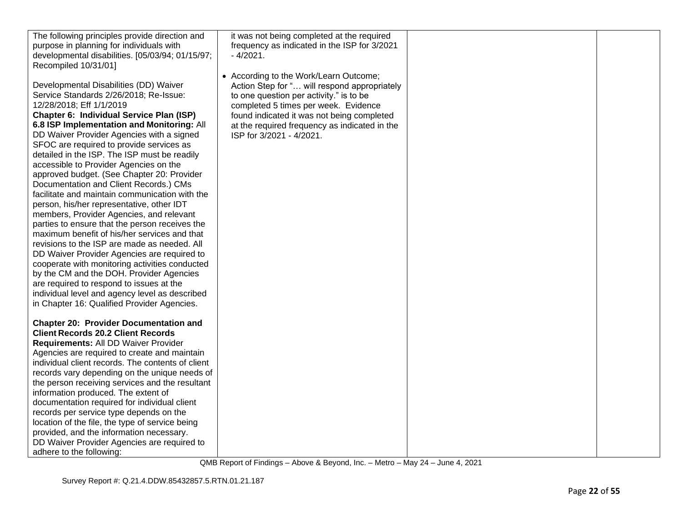| The following principles provide direction and<br>purpose in planning for individuals with<br>developmental disabilities. [05/03/94; 01/15/97; | it was not being completed at the required<br>frequency as indicated in the ISP for 3/2021<br>$-4/2021.$ |  |
|------------------------------------------------------------------------------------------------------------------------------------------------|----------------------------------------------------------------------------------------------------------|--|
| Recompiled 10/31/01]                                                                                                                           |                                                                                                          |  |
|                                                                                                                                                | • According to the Work/Learn Outcome;                                                                   |  |
| Developmental Disabilities (DD) Waiver<br>Service Standards 2/26/2018; Re-Issue:                                                               | Action Step for " will respond appropriately<br>to one question per activity." is to be                  |  |
| 12/28/2018; Eff 1/1/2019                                                                                                                       | completed 5 times per week. Evidence                                                                     |  |
| Chapter 6: Individual Service Plan (ISP)                                                                                                       | found indicated it was not being completed                                                               |  |
| 6.8 ISP Implementation and Monitoring: All                                                                                                     | at the required frequency as indicated in the                                                            |  |
| DD Waiver Provider Agencies with a signed                                                                                                      | ISP for 3/2021 - 4/2021.                                                                                 |  |
| SFOC are required to provide services as                                                                                                       |                                                                                                          |  |
| detailed in the ISP. The ISP must be readily<br>accessible to Provider Agencies on the                                                         |                                                                                                          |  |
| approved budget. (See Chapter 20: Provider                                                                                                     |                                                                                                          |  |
| Documentation and Client Records.) CMs                                                                                                         |                                                                                                          |  |
| facilitate and maintain communication with the                                                                                                 |                                                                                                          |  |
| person, his/her representative, other IDT                                                                                                      |                                                                                                          |  |
| members, Provider Agencies, and relevant                                                                                                       |                                                                                                          |  |
| parties to ensure that the person receives the<br>maximum benefit of his/her services and that                                                 |                                                                                                          |  |
| revisions to the ISP are made as needed. All                                                                                                   |                                                                                                          |  |
| DD Waiver Provider Agencies are required to                                                                                                    |                                                                                                          |  |
| cooperate with monitoring activities conducted                                                                                                 |                                                                                                          |  |
| by the CM and the DOH. Provider Agencies                                                                                                       |                                                                                                          |  |
| are required to respond to issues at the<br>individual level and agency level as described                                                     |                                                                                                          |  |
| in Chapter 16: Qualified Provider Agencies.                                                                                                    |                                                                                                          |  |
|                                                                                                                                                |                                                                                                          |  |
| <b>Chapter 20: Provider Documentation and</b>                                                                                                  |                                                                                                          |  |
| <b>Client Records 20.2 Client Records</b>                                                                                                      |                                                                                                          |  |
| Requirements: All DD Waiver Provider<br>Agencies are required to create and maintain                                                           |                                                                                                          |  |
| individual client records. The contents of client                                                                                              |                                                                                                          |  |
| records vary depending on the unique needs of                                                                                                  |                                                                                                          |  |
| the person receiving services and the resultant                                                                                                |                                                                                                          |  |
| information produced. The extent of                                                                                                            |                                                                                                          |  |
| documentation required for individual client                                                                                                   |                                                                                                          |  |
| records per service type depends on the<br>location of the file, the type of service being                                                     |                                                                                                          |  |
| provided, and the information necessary.                                                                                                       |                                                                                                          |  |
| DD Waiver Provider Agencies are required to                                                                                                    |                                                                                                          |  |
| adhere to the following:                                                                                                                       |                                                                                                          |  |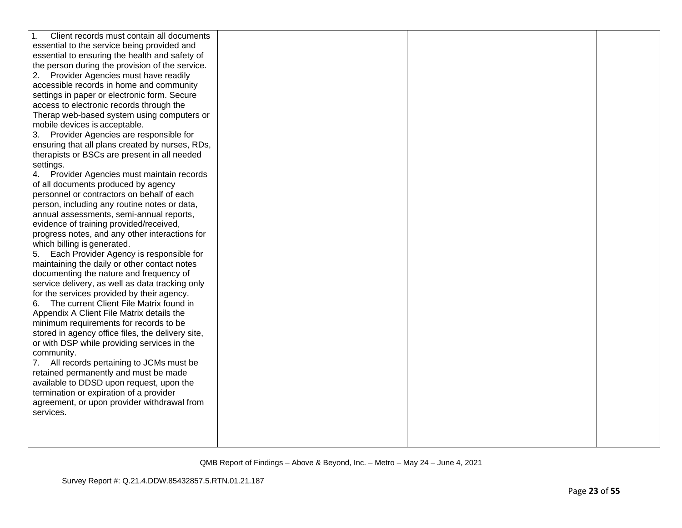| $\mathbf{1}$ .<br>Client records must contain all documents |  |  |
|-------------------------------------------------------------|--|--|
| essential to the service being provided and                 |  |  |
| essential to ensuring the health and safety of              |  |  |
| the person during the provision of the service.             |  |  |
| Provider Agencies must have readily<br>2.                   |  |  |
| accessible records in home and community                    |  |  |
| settings in paper or electronic form. Secure                |  |  |
| access to electronic records through the                    |  |  |
| Therap web-based system using computers or                  |  |  |
| mobile devices is acceptable.                               |  |  |
| Provider Agencies are responsible for<br>3.                 |  |  |
| ensuring that all plans created by nurses, RDs,             |  |  |
| therapists or BSCs are present in all needed                |  |  |
| settings.                                                   |  |  |
| Provider Agencies must maintain records<br>4.               |  |  |
| of all documents produced by agency                         |  |  |
| personnel or contractors on behalf of each                  |  |  |
| person, including any routine notes or data,                |  |  |
| annual assessments, semi-annual reports,                    |  |  |
| evidence of training provided/received,                     |  |  |
| progress notes, and any other interactions for              |  |  |
| which billing is generated.                                 |  |  |
| Each Provider Agency is responsible for<br>5.               |  |  |
| maintaining the daily or other contact notes                |  |  |
| documenting the nature and frequency of                     |  |  |
| service delivery, as well as data tracking only             |  |  |
| for the services provided by their agency.                  |  |  |
| The current Client File Matrix found in<br>6.               |  |  |
| Appendix A Client File Matrix details the                   |  |  |
| minimum requirements for records to be                      |  |  |
| stored in agency office files, the delivery site,           |  |  |
| or with DSP while providing services in the                 |  |  |
| community.                                                  |  |  |
| All records pertaining to JCMs must be<br>7.                |  |  |
| retained permanently and must be made                       |  |  |
| available to DDSD upon request, upon the                    |  |  |
| termination or expiration of a provider                     |  |  |
| agreement, or upon provider withdrawal from                 |  |  |
| services.                                                   |  |  |
|                                                             |  |  |
|                                                             |  |  |
|                                                             |  |  |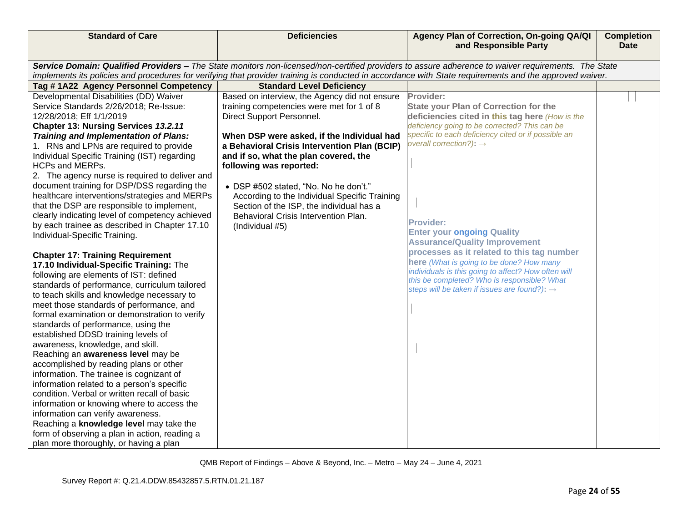| <b>Standard of Care</b>                                                         | <b>Deficiencies</b>                           | Agency Plan of Correction, On-going QA/QI<br>and Responsible Party                                                                                      | <b>Completion</b><br><b>Date</b> |
|---------------------------------------------------------------------------------|-----------------------------------------------|---------------------------------------------------------------------------------------------------------------------------------------------------------|----------------------------------|
|                                                                                 |                                               |                                                                                                                                                         |                                  |
|                                                                                 |                                               | Service Domain: Qualified Providers - The State monitors non-licensed/non-certified providers to assure adherence to waiver requirements. The State     |                                  |
|                                                                                 |                                               | implements its policies and procedures for verifying that provider training is conducted in accordance with State requirements and the approved waiver. |                                  |
| Tag #1A22 Agency Personnel Competency                                           | <b>Standard Level Deficiency</b>              |                                                                                                                                                         |                                  |
| Developmental Disabilities (DD) Waiver                                          | Based on interview, the Agency did not ensure | Provider:                                                                                                                                               |                                  |
| Service Standards 2/26/2018; Re-Issue:                                          | training competencies were met for 1 of 8     | <b>State your Plan of Correction for the</b>                                                                                                            |                                  |
| 12/28/2018; Eff 1/1/2019                                                        | Direct Support Personnel.                     | deficiencies cited in this tag here (How is the                                                                                                         |                                  |
| Chapter 13: Nursing Services 13.2.11                                            |                                               | deficiency going to be corrected? This can be                                                                                                           |                                  |
| Training and Implementation of Plans:                                           | When DSP were asked, if the Individual had    | specific to each deficiency cited or if possible an                                                                                                     |                                  |
| 1. RNs and LPNs are required to provide                                         | a Behavioral Crisis Intervention Plan (BCIP)  | overall correction?): $\rightarrow$                                                                                                                     |                                  |
| Individual Specific Training (IST) regarding                                    | and if so, what the plan covered, the         |                                                                                                                                                         |                                  |
| <b>HCPs and MERPs.</b>                                                          | following was reported:                       |                                                                                                                                                         |                                  |
| 2. The agency nurse is required to deliver and                                  |                                               |                                                                                                                                                         |                                  |
| document training for DSP/DSS regarding the                                     | • DSP #502 stated, "No. No he don't."         |                                                                                                                                                         |                                  |
| healthcare interventions/strategies and MERPs                                   | According to the Individual Specific Training |                                                                                                                                                         |                                  |
| that the DSP are responsible to implement,                                      | Section of the ISP, the individual has a      |                                                                                                                                                         |                                  |
| clearly indicating level of competency achieved                                 | Behavioral Crisis Intervention Plan.          | <b>Provider:</b>                                                                                                                                        |                                  |
| by each trainee as described in Chapter 17.10                                   | (Individual #5)                               | <b>Enter your ongoing Quality</b>                                                                                                                       |                                  |
| Individual-Specific Training.                                                   |                                               | <b>Assurance/Quality Improvement</b>                                                                                                                    |                                  |
|                                                                                 |                                               | processes as it related to this tag number                                                                                                              |                                  |
| <b>Chapter 17: Training Requirement</b>                                         |                                               | here (What is going to be done? How many                                                                                                                |                                  |
| 17.10 Individual-Specific Training: The                                         |                                               | individuals is this going to affect? How often will                                                                                                     |                                  |
| following are elements of IST: defined                                          |                                               | this be completed? Who is responsible? What                                                                                                             |                                  |
| standards of performance, curriculum tailored                                   |                                               | steps will be taken if issues are found?): $\rightarrow$                                                                                                |                                  |
| to teach skills and knowledge necessary to                                      |                                               |                                                                                                                                                         |                                  |
| meet those standards of performance, and                                        |                                               |                                                                                                                                                         |                                  |
| formal examination or demonstration to verify                                   |                                               |                                                                                                                                                         |                                  |
| standards of performance, using the                                             |                                               |                                                                                                                                                         |                                  |
| established DDSD training levels of                                             |                                               |                                                                                                                                                         |                                  |
| awareness, knowledge, and skill.                                                |                                               |                                                                                                                                                         |                                  |
| Reaching an awareness level may be                                              |                                               |                                                                                                                                                         |                                  |
| accomplished by reading plans or other                                          |                                               |                                                                                                                                                         |                                  |
| information. The trainee is cognizant of                                        |                                               |                                                                                                                                                         |                                  |
| information related to a person's specific                                      |                                               |                                                                                                                                                         |                                  |
| condition. Verbal or written recall of basic                                    |                                               |                                                                                                                                                         |                                  |
| information or knowing where to access the<br>information can verify awareness. |                                               |                                                                                                                                                         |                                  |
|                                                                                 |                                               |                                                                                                                                                         |                                  |
| Reaching a knowledge level may take the                                         |                                               |                                                                                                                                                         |                                  |
| form of observing a plan in action, reading a                                   |                                               |                                                                                                                                                         |                                  |
| plan more thoroughly, or having a plan                                          |                                               |                                                                                                                                                         |                                  |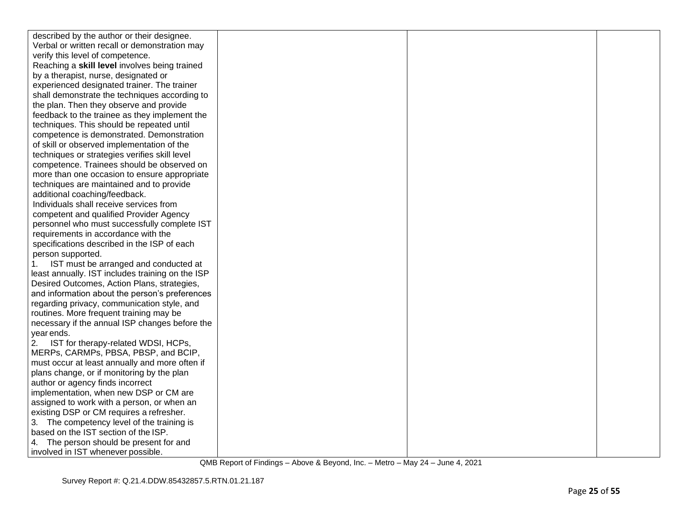| described by the author or their designee.       |  |  |
|--------------------------------------------------|--|--|
| Verbal or written recall or demonstration may    |  |  |
| verify this level of competence.                 |  |  |
| Reaching a skill level involves being trained    |  |  |
| by a therapist, nurse, designated or             |  |  |
| experienced designated trainer. The trainer      |  |  |
| shall demonstrate the techniques according to    |  |  |
| the plan. Then they observe and provide          |  |  |
| feedback to the trainee as they implement the    |  |  |
| techniques. This should be repeated until        |  |  |
| competence is demonstrated. Demonstration        |  |  |
| of skill or observed implementation of the       |  |  |
| techniques or strategies verifies skill level    |  |  |
| competence. Trainees should be observed on       |  |  |
| more than one occasion to ensure appropriate     |  |  |
| techniques are maintained and to provide         |  |  |
| additional coaching/feedback.                    |  |  |
| Individuals shall receive services from          |  |  |
| competent and qualified Provider Agency          |  |  |
| personnel who must successfully complete IST     |  |  |
| requirements in accordance with the              |  |  |
| specifications described in the ISP of each      |  |  |
| person supported.                                |  |  |
| IST must be arranged and conducted at<br>1.      |  |  |
| least annually. IST includes training on the ISP |  |  |
| Desired Outcomes, Action Plans, strategies,      |  |  |
| and information about the person's preferences   |  |  |
| regarding privacy, communication style, and      |  |  |
| routines. More frequent training may be          |  |  |
| necessary if the annual ISP changes before the   |  |  |
| year ends.                                       |  |  |
| IST for therapy-related WDSI, HCPs,<br>2.        |  |  |
| MERPs, CARMPs, PBSA, PBSP, and BCIP,             |  |  |
| must occur at least annually and more often if   |  |  |
| plans change, or if monitoring by the plan       |  |  |
| author or agency finds incorrect                 |  |  |
| implementation, when new DSP or CM are           |  |  |
| assigned to work with a person, or when an       |  |  |
| existing DSP or CM requires a refresher.         |  |  |
| 3. The competency level of the training is       |  |  |
| based on the IST section of the ISP.             |  |  |
| 4. The person should be present for and          |  |  |
| involved in IST whenever possible.               |  |  |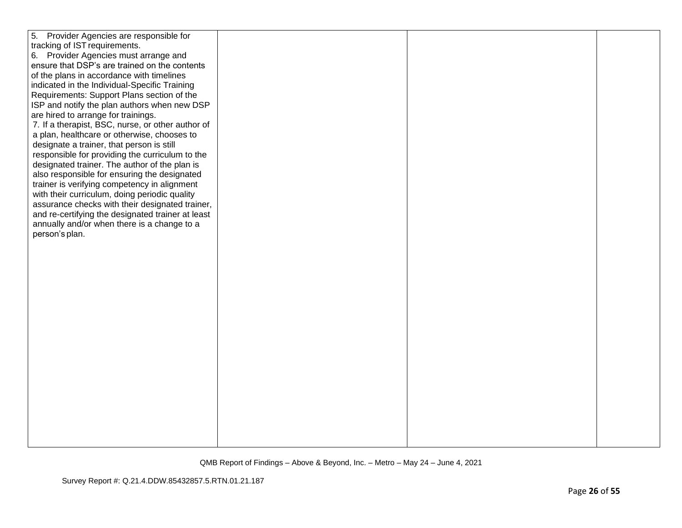| 5. Provider Agencies are responsible for          |  |  |
|---------------------------------------------------|--|--|
| tracking of IST requirements.                     |  |  |
| 6. Provider Agencies must arrange and             |  |  |
| ensure that DSP's are trained on the contents     |  |  |
| of the plans in accordance with timelines         |  |  |
|                                                   |  |  |
| indicated in the Individual-Specific Training     |  |  |
| Requirements: Support Plans section of the        |  |  |
| ISP and notify the plan authors when new DSP      |  |  |
| are hired to arrange for trainings.               |  |  |
| 7. If a therapist, BSC, nurse, or other author of |  |  |
| a plan, healthcare or otherwise, chooses to       |  |  |
| designate a trainer, that person is still         |  |  |
| responsible for providing the curriculum to the   |  |  |
| designated trainer. The author of the plan is     |  |  |
| also responsible for ensuring the designated      |  |  |
| trainer is verifying competency in alignment      |  |  |
| with their curriculum, doing periodic quality     |  |  |
| assurance checks with their designated trainer,   |  |  |
| and re-certifying the designated trainer at least |  |  |
| annually and/or when there is a change to a       |  |  |
| person's plan.                                    |  |  |
|                                                   |  |  |
|                                                   |  |  |
|                                                   |  |  |
|                                                   |  |  |
|                                                   |  |  |
|                                                   |  |  |
|                                                   |  |  |
|                                                   |  |  |
|                                                   |  |  |
|                                                   |  |  |
|                                                   |  |  |
|                                                   |  |  |
|                                                   |  |  |
|                                                   |  |  |
|                                                   |  |  |
|                                                   |  |  |
|                                                   |  |  |
|                                                   |  |  |
|                                                   |  |  |
|                                                   |  |  |
|                                                   |  |  |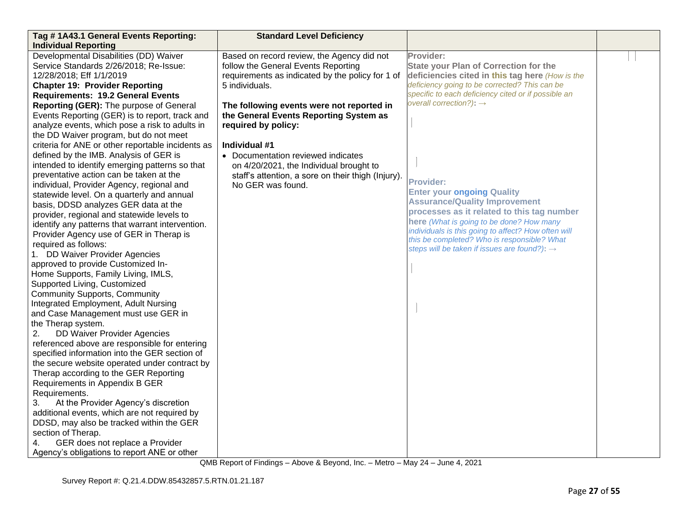| Tag #1A43.1 General Events Reporting:                                                                                                                                                                                                                                                                                                                                                                                                                                                                                                                                                                                                                                                                                                                                                                                                                                                                                                                                                                                                                                                                                                                                                                                                                                                                                                                                                                                                                      | <b>Standard Level Deficiency</b>                                                                                                                                                                                                                                                                                                                                                                                                                   |                                                                                                                                                                                                                                                                                                                                                                                                                                                                                                                                                                                                                          |  |
|------------------------------------------------------------------------------------------------------------------------------------------------------------------------------------------------------------------------------------------------------------------------------------------------------------------------------------------------------------------------------------------------------------------------------------------------------------------------------------------------------------------------------------------------------------------------------------------------------------------------------------------------------------------------------------------------------------------------------------------------------------------------------------------------------------------------------------------------------------------------------------------------------------------------------------------------------------------------------------------------------------------------------------------------------------------------------------------------------------------------------------------------------------------------------------------------------------------------------------------------------------------------------------------------------------------------------------------------------------------------------------------------------------------------------------------------------------|----------------------------------------------------------------------------------------------------------------------------------------------------------------------------------------------------------------------------------------------------------------------------------------------------------------------------------------------------------------------------------------------------------------------------------------------------|--------------------------------------------------------------------------------------------------------------------------------------------------------------------------------------------------------------------------------------------------------------------------------------------------------------------------------------------------------------------------------------------------------------------------------------------------------------------------------------------------------------------------------------------------------------------------------------------------------------------------|--|
|                                                                                                                                                                                                                                                                                                                                                                                                                                                                                                                                                                                                                                                                                                                                                                                                                                                                                                                                                                                                                                                                                                                                                                                                                                                                                                                                                                                                                                                            |                                                                                                                                                                                                                                                                                                                                                                                                                                                    |                                                                                                                                                                                                                                                                                                                                                                                                                                                                                                                                                                                                                          |  |
| <b>Individual Reporting</b><br>Developmental Disabilities (DD) Waiver<br>Service Standards 2/26/2018; Re-Issue:<br>12/28/2018; Eff 1/1/2019<br><b>Chapter 19: Provider Reporting</b><br><b>Requirements: 19.2 General Events</b><br>Reporting (GER): The purpose of General<br>Events Reporting (GER) is to report, track and<br>analyze events, which pose a risk to adults in<br>the DD Waiver program, but do not meet<br>criteria for ANE or other reportable incidents as<br>defined by the IMB. Analysis of GER is<br>intended to identify emerging patterns so that<br>preventative action can be taken at the<br>individual, Provider Agency, regional and<br>statewide level. On a quarterly and annual<br>basis, DDSD analyzes GER data at the<br>provider, regional and statewide levels to<br>identify any patterns that warrant intervention.<br>Provider Agency use of GER in Therap is<br>required as follows:<br>1. DD Waiver Provider Agencies<br>approved to provide Customized In-<br>Home Supports, Family Living, IMLS,<br>Supported Living, Customized<br><b>Community Supports, Community</b><br>Integrated Employment, Adult Nursing<br>and Case Management must use GER in<br>the Therap system.<br>DD Waiver Provider Agencies<br>2.<br>referenced above are responsible for entering<br>specified information into the GER section of<br>the secure website operated under contract by<br>Therap according to the GER Reporting | Based on record review, the Agency did not<br>follow the General Events Reporting<br>requirements as indicated by the policy for 1 of<br>5 individuals.<br>The following events were not reported in<br>the General Events Reporting System as<br>required by policy:<br>Individual #1<br>• Documentation reviewed indicates<br>on 4/20/2021, the Individual brought to<br>staff's attention, a sore on their thigh (Injury).<br>No GER was found. | Provider:<br><b>State your Plan of Correction for the</b><br>deficiencies cited in this tag here (How is the<br>deficiency going to be corrected? This can be<br>specific to each deficiency cited or if possible an<br>overall correction?): $\rightarrow$<br><b>Provider:</b><br><b>Enter your ongoing Quality</b><br><b>Assurance/Quality Improvement</b><br>processes as it related to this tag number<br>here (What is going to be done? How many<br>individuals is this going to affect? How often will<br>this be completed? Who is responsible? What<br>steps will be taken if issues are found?): $\rightarrow$ |  |
|                                                                                                                                                                                                                                                                                                                                                                                                                                                                                                                                                                                                                                                                                                                                                                                                                                                                                                                                                                                                                                                                                                                                                                                                                                                                                                                                                                                                                                                            |                                                                                                                                                                                                                                                                                                                                                                                                                                                    |                                                                                                                                                                                                                                                                                                                                                                                                                                                                                                                                                                                                                          |  |
| Requirements in Appendix B GER<br>Requirements.                                                                                                                                                                                                                                                                                                                                                                                                                                                                                                                                                                                                                                                                                                                                                                                                                                                                                                                                                                                                                                                                                                                                                                                                                                                                                                                                                                                                            |                                                                                                                                                                                                                                                                                                                                                                                                                                                    |                                                                                                                                                                                                                                                                                                                                                                                                                                                                                                                                                                                                                          |  |
| 3.<br>At the Provider Agency's discretion<br>additional events, which are not required by<br>DDSD, may also be tracked within the GER<br>section of Therap.<br>GER does not replace a Provider<br>4.                                                                                                                                                                                                                                                                                                                                                                                                                                                                                                                                                                                                                                                                                                                                                                                                                                                                                                                                                                                                                                                                                                                                                                                                                                                       |                                                                                                                                                                                                                                                                                                                                                                                                                                                    |                                                                                                                                                                                                                                                                                                                                                                                                                                                                                                                                                                                                                          |  |
| Agency's obligations to report ANE or other                                                                                                                                                                                                                                                                                                                                                                                                                                                                                                                                                                                                                                                                                                                                                                                                                                                                                                                                                                                                                                                                                                                                                                                                                                                                                                                                                                                                                |                                                                                                                                                                                                                                                                                                                                                                                                                                                    |                                                                                                                                                                                                                                                                                                                                                                                                                                                                                                                                                                                                                          |  |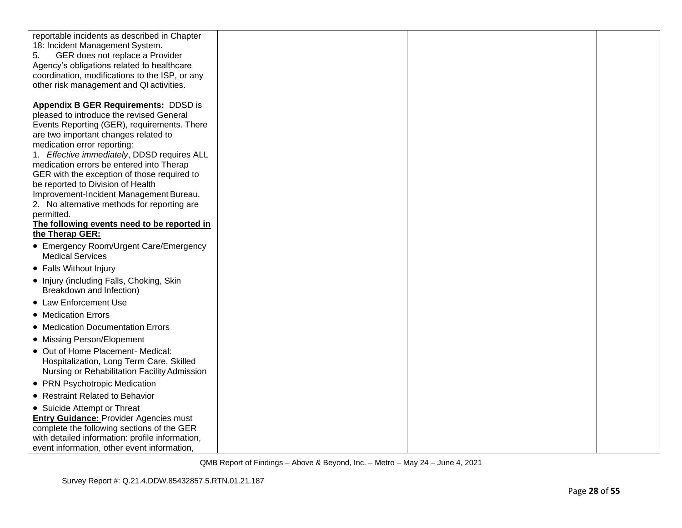| reportable incidents as described in Chapter<br>18: Incident Management System.<br>GER does not replace a Provider<br>5.<br>Agency's obligations related to healthcare<br>coordination, modifications to the ISP, or any<br>other risk management and QI activities. |  |  |
|----------------------------------------------------------------------------------------------------------------------------------------------------------------------------------------------------------------------------------------------------------------------|--|--|
|                                                                                                                                                                                                                                                                      |  |  |
| <b>Appendix B GER Requirements: DDSD is</b><br>pleased to introduce the revised General<br>Events Reporting (GER), requirements. There<br>are two important changes related to                                                                                       |  |  |
| medication error reporting:                                                                                                                                                                                                                                          |  |  |
| 1. Effective immediately, DDSD requires ALL                                                                                                                                                                                                                          |  |  |
| medication errors be entered into Therap                                                                                                                                                                                                                             |  |  |
| GER with the exception of those required to                                                                                                                                                                                                                          |  |  |
| be reported to Division of Health                                                                                                                                                                                                                                    |  |  |
| Improvement-Incident Management Bureau.<br>2. No alternative methods for reporting are                                                                                                                                                                               |  |  |
| permitted.                                                                                                                                                                                                                                                           |  |  |
| The following events need to be reported in                                                                                                                                                                                                                          |  |  |
| the Therap GER:                                                                                                                                                                                                                                                      |  |  |
| • Emergency Room/Urgent Care/Emergency<br><b>Medical Services</b>                                                                                                                                                                                                    |  |  |
| • Falls Without Injury                                                                                                                                                                                                                                               |  |  |
| • Injury (including Falls, Choking, Skin<br>Breakdown and Infection)                                                                                                                                                                                                 |  |  |
| • Law Enforcement Use                                                                                                                                                                                                                                                |  |  |
| • Medication Errors                                                                                                                                                                                                                                                  |  |  |
| • Medication Documentation Errors                                                                                                                                                                                                                                    |  |  |
| • Missing Person/Elopement                                                                                                                                                                                                                                           |  |  |
| • Out of Home Placement- Medical:<br>Hospitalization, Long Term Care, Skilled<br>Nursing or Rehabilitation Facility Admission                                                                                                                                        |  |  |
| • PRN Psychotropic Medication                                                                                                                                                                                                                                        |  |  |
| • Restraint Related to Behavior                                                                                                                                                                                                                                      |  |  |
| • Suicide Attempt or Threat                                                                                                                                                                                                                                          |  |  |
| <b>Entry Guidance: Provider Agencies must</b><br>complete the following sections of the GER<br>with detailed information: profile information,<br>event information, other event information,                                                                        |  |  |
|                                                                                                                                                                                                                                                                      |  |  |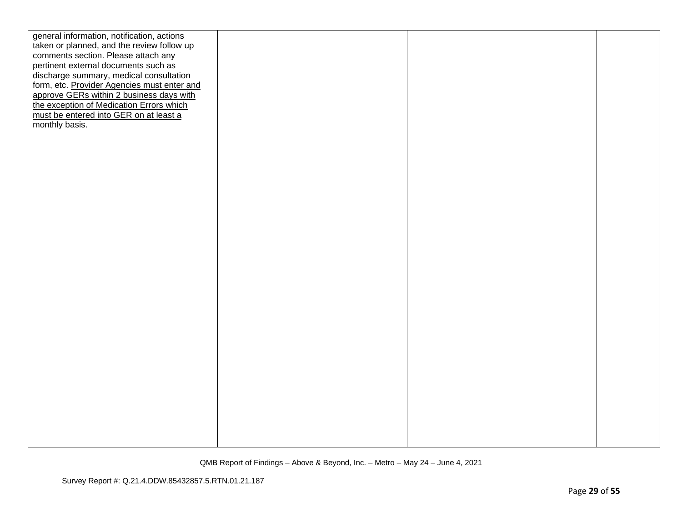| general information, notification, actions  |  |  |
|---------------------------------------------|--|--|
| taken or planned, and the review follow up  |  |  |
| comments section. Please attach any         |  |  |
| pertinent external documents such as        |  |  |
| discharge summary, medical consultation     |  |  |
| form, etc. Provider Agencies must enter and |  |  |
| approve GERs within 2 business days with    |  |  |
| the exception of Medication Errors which    |  |  |
|                                             |  |  |
| must be entered into GER on at least a      |  |  |
| monthly basis.                              |  |  |
|                                             |  |  |
|                                             |  |  |
|                                             |  |  |
|                                             |  |  |
|                                             |  |  |
|                                             |  |  |
|                                             |  |  |
|                                             |  |  |
|                                             |  |  |
|                                             |  |  |
|                                             |  |  |
|                                             |  |  |
|                                             |  |  |
|                                             |  |  |
|                                             |  |  |
|                                             |  |  |
|                                             |  |  |
|                                             |  |  |
|                                             |  |  |
|                                             |  |  |
|                                             |  |  |
|                                             |  |  |
|                                             |  |  |
|                                             |  |  |
|                                             |  |  |
|                                             |  |  |
|                                             |  |  |
|                                             |  |  |
|                                             |  |  |
|                                             |  |  |
|                                             |  |  |
|                                             |  |  |
|                                             |  |  |
|                                             |  |  |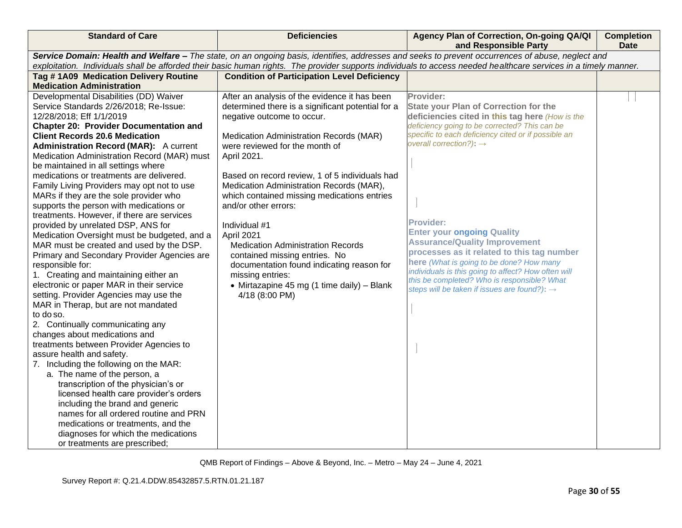| <b>Standard of Care</b>                                                                                                                                          | <b>Deficiencies</b>                                                                                | Agency Plan of Correction, On-going QA/QI<br>and Responsible Party                                      | <b>Completion</b><br><b>Date</b> |
|------------------------------------------------------------------------------------------------------------------------------------------------------------------|----------------------------------------------------------------------------------------------------|---------------------------------------------------------------------------------------------------------|----------------------------------|
| Service Domain: Health and Welfare - The state, on an ongoing basis, identifies, addresses and seeks to prevent occurrences of abuse, neglect and                |                                                                                                    |                                                                                                         |                                  |
| exploitation. Individuals shall be afforded their basic human rights. The provider supports individuals to access needed healthcare services in a timely manner. |                                                                                                    |                                                                                                         |                                  |
| Tag #1A09 Medication Delivery Routine                                                                                                                            | <b>Condition of Participation Level Deficiency</b>                                                 |                                                                                                         |                                  |
| <b>Medication Administration</b>                                                                                                                                 |                                                                                                    |                                                                                                         |                                  |
| Developmental Disabilities (DD) Waiver<br>Service Standards 2/26/2018; Re-Issue:                                                                                 | After an analysis of the evidence it has been<br>determined there is a significant potential for a | Provider:<br><b>State your Plan of Correction for the</b>                                               |                                  |
| 12/28/2018; Eff 1/1/2019                                                                                                                                         | negative outcome to occur.                                                                         | deficiencies cited in this tag here (How is the                                                         |                                  |
| <b>Chapter 20: Provider Documentation and</b>                                                                                                                    |                                                                                                    | deficiency going to be corrected? This can be                                                           |                                  |
| <b>Client Records 20.6 Medication</b>                                                                                                                            | Medication Administration Records (MAR)                                                            | specific to each deficiency cited or if possible an                                                     |                                  |
| <b>Administration Record (MAR):</b> A current                                                                                                                    | were reviewed for the month of                                                                     | overall correction?): $\rightarrow$                                                                     |                                  |
| Medication Administration Record (MAR) must                                                                                                                      | April 2021.                                                                                        |                                                                                                         |                                  |
| be maintained in all settings where                                                                                                                              |                                                                                                    |                                                                                                         |                                  |
| medications or treatments are delivered.                                                                                                                         | Based on record review, 1 of 5 individuals had                                                     |                                                                                                         |                                  |
| Family Living Providers may opt not to use                                                                                                                       | Medication Administration Records (MAR),                                                           |                                                                                                         |                                  |
| MARs if they are the sole provider who                                                                                                                           | which contained missing medications entries<br>and/or other errors:                                |                                                                                                         |                                  |
| supports the person with medications or<br>treatments. However, if there are services                                                                            |                                                                                                    |                                                                                                         |                                  |
| provided by unrelated DSP, ANS for                                                                                                                               | Individual #1                                                                                      | <b>Provider:</b>                                                                                        |                                  |
| Medication Oversight must be budgeted, and a                                                                                                                     | April 2021                                                                                         | <b>Enter your ongoing Quality</b>                                                                       |                                  |
| MAR must be created and used by the DSP.                                                                                                                         | <b>Medication Administration Records</b>                                                           | <b>Assurance/Quality Improvement</b>                                                                    |                                  |
| Primary and Secondary Provider Agencies are                                                                                                                      | contained missing entries. No                                                                      | processes as it related to this tag number                                                              |                                  |
| responsible for:                                                                                                                                                 | documentation found indicating reason for                                                          | here (What is going to be done? How many                                                                |                                  |
| 1. Creating and maintaining either an                                                                                                                            | missing entries:                                                                                   | individuals is this going to affect? How often will                                                     |                                  |
| electronic or paper MAR in their service                                                                                                                         | • Mirtazapine 45 mg (1 time daily) - Blank                                                         | this be completed? Who is responsible? What<br>steps will be taken if issues are found?): $\rightarrow$ |                                  |
| setting. Provider Agencies may use the                                                                                                                           | 4/18 (8:00 PM)                                                                                     |                                                                                                         |                                  |
| MAR in Therap, but are not mandated                                                                                                                              |                                                                                                    |                                                                                                         |                                  |
| to do so.                                                                                                                                                        |                                                                                                    |                                                                                                         |                                  |
| 2. Continually communicating any                                                                                                                                 |                                                                                                    |                                                                                                         |                                  |
| changes about medications and                                                                                                                                    |                                                                                                    |                                                                                                         |                                  |
| treatments between Provider Agencies to<br>assure health and safety.                                                                                             |                                                                                                    |                                                                                                         |                                  |
| 7. Including the following on the MAR:                                                                                                                           |                                                                                                    |                                                                                                         |                                  |
| a. The name of the person, a                                                                                                                                     |                                                                                                    |                                                                                                         |                                  |
| transcription of the physician's or                                                                                                                              |                                                                                                    |                                                                                                         |                                  |
| licensed health care provider's orders                                                                                                                           |                                                                                                    |                                                                                                         |                                  |
| including the brand and generic                                                                                                                                  |                                                                                                    |                                                                                                         |                                  |
| names for all ordered routine and PRN                                                                                                                            |                                                                                                    |                                                                                                         |                                  |
| medications or treatments, and the                                                                                                                               |                                                                                                    |                                                                                                         |                                  |
| diagnoses for which the medications                                                                                                                              |                                                                                                    |                                                                                                         |                                  |
| or treatments are prescribed;                                                                                                                                    |                                                                                                    |                                                                                                         |                                  |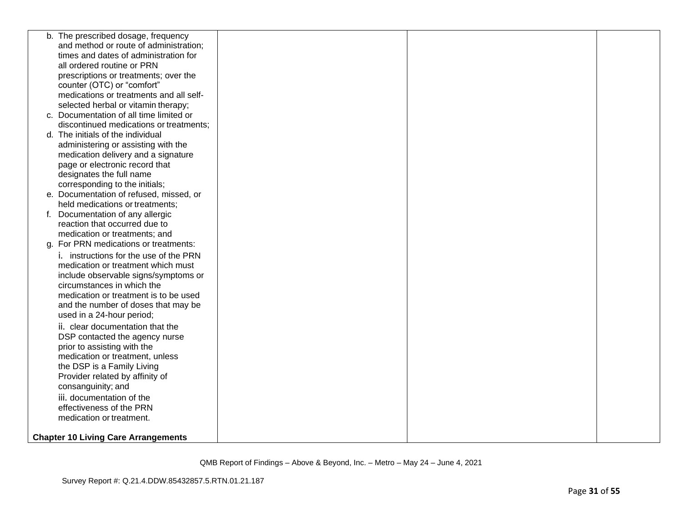| b. The prescribed dosage, frequency        |  |  |
|--------------------------------------------|--|--|
| and method or route of administration;     |  |  |
| times and dates of administration for      |  |  |
| all ordered routine or PRN                 |  |  |
| prescriptions or treatments; over the      |  |  |
| counter (OTC) or "comfort"                 |  |  |
| medications or treatments and all self-    |  |  |
| selected herbal or vitamin therapy;        |  |  |
| c. Documentation of all time limited or    |  |  |
| discontinued medications or treatments;    |  |  |
| d. The initials of the individual          |  |  |
| administering or assisting with the        |  |  |
| medication delivery and a signature        |  |  |
| page or electronic record that             |  |  |
| designates the full name                   |  |  |
| corresponding to the initials;             |  |  |
| e. Documentation of refused, missed, or    |  |  |
| held medications or treatments;            |  |  |
| f. Documentation of any allergic           |  |  |
| reaction that occurred due to              |  |  |
| medication or treatments; and              |  |  |
| g. For PRN medications or treatments:      |  |  |
| i. instructions for the use of the PRN     |  |  |
| medication or treatment which must         |  |  |
| include observable signs/symptoms or       |  |  |
| circumstances in which the                 |  |  |
| medication or treatment is to be used      |  |  |
| and the number of doses that may be        |  |  |
| used in a 24-hour period;                  |  |  |
| ii. clear documentation that the           |  |  |
| DSP contacted the agency nurse             |  |  |
| prior to assisting with the                |  |  |
| medication or treatment, unless            |  |  |
| the DSP is a Family Living                 |  |  |
| Provider related by affinity of            |  |  |
| consanguinity; and                         |  |  |
| iii. documentation of the                  |  |  |
| effectiveness of the PRN                   |  |  |
| medication or treatment.                   |  |  |
| <b>Chapter 10 Living Care Arrangements</b> |  |  |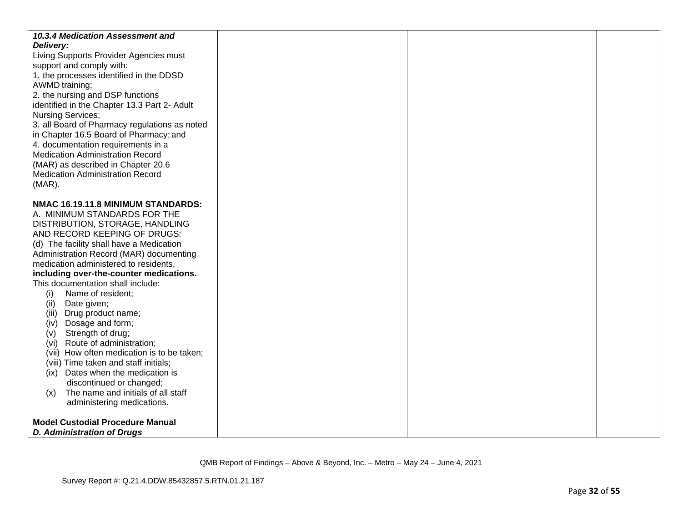| 10.3.4 Medication Assessment and<br>Delivery:<br>Living Supports Provider Agencies must<br>support and comply with:<br>1. the processes identified in the DDSD<br>AWMD training;<br>2. the nursing and DSP functions<br>identified in the Chapter 13.3 Part 2- Adult<br><b>Nursing Services;</b><br>3. all Board of Pharmacy regulations as noted<br>in Chapter 16.5 Board of Pharmacy; and<br>4. documentation requirements in a<br><b>Medication Administration Record</b><br>(MAR) as described in Chapter 20.6<br><b>Medication Administration Record</b><br>$(MAR)$ .                                                                                                                                                                                          |  |  |
|---------------------------------------------------------------------------------------------------------------------------------------------------------------------------------------------------------------------------------------------------------------------------------------------------------------------------------------------------------------------------------------------------------------------------------------------------------------------------------------------------------------------------------------------------------------------------------------------------------------------------------------------------------------------------------------------------------------------------------------------------------------------|--|--|
| NMAC 16.19.11.8 MINIMUM STANDARDS:<br>A. MINIMUM STANDARDS FOR THE<br>DISTRIBUTION, STORAGE, HANDLING<br>AND RECORD KEEPING OF DRUGS:<br>(d) The facility shall have a Medication<br>Administration Record (MAR) documenting<br>medication administered to residents,<br>including over-the-counter medications.<br>This documentation shall include:<br>Name of resident;<br>(i)<br>Date given;<br>(ii)<br>(iii) Drug product name;<br>Dosage and form;<br>(iv)<br>Strength of drug;<br>(v)<br>Route of administration;<br>(Vi)<br>(vii) How often medication is to be taken;<br>(viii) Time taken and staff initials;<br>(ix) Dates when the medication is<br>discontinued or changed;<br>The name and initials of all staff<br>(x)<br>administering medications. |  |  |
| <b>Model Custodial Procedure Manual</b><br>D. Administration of Drugs                                                                                                                                                                                                                                                                                                                                                                                                                                                                                                                                                                                                                                                                                               |  |  |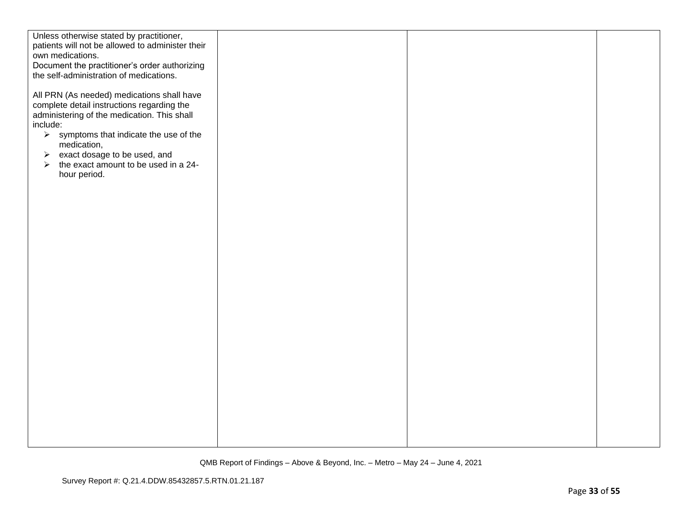| Unless otherwise stated by practitioner,<br>patients will not be allowed to administer their<br>own medications.<br>Document the practitioner's order authorizing<br>the self-administration of medications.                                                                                                                       |  |  |
|------------------------------------------------------------------------------------------------------------------------------------------------------------------------------------------------------------------------------------------------------------------------------------------------------------------------------------|--|--|
| All PRN (As needed) medications shall have<br>complete detail instructions regarding the<br>administering of the medication. This shall<br>include:<br>$\triangleright$ symptoms that indicate the use of the<br>medication,<br>exact dosage to be used, and<br>$\blacktriangleright$<br>the exact amount to be used in a 24-<br>➤ |  |  |
| hour period.                                                                                                                                                                                                                                                                                                                       |  |  |
|                                                                                                                                                                                                                                                                                                                                    |  |  |
|                                                                                                                                                                                                                                                                                                                                    |  |  |
|                                                                                                                                                                                                                                                                                                                                    |  |  |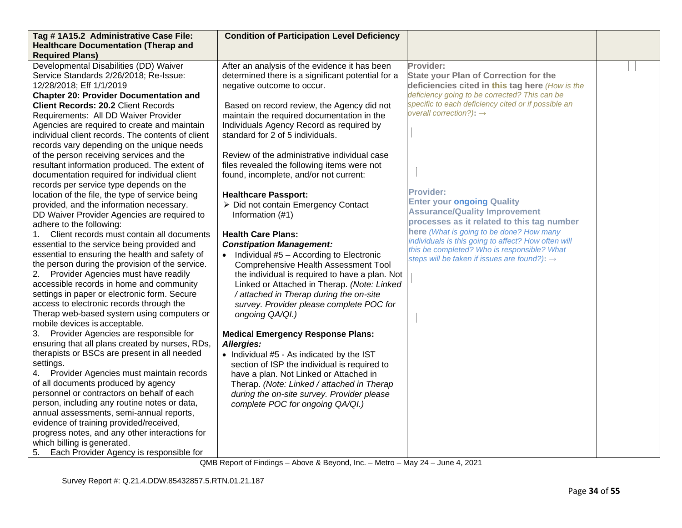| Tag #1A15.2 Administrative Case File:             | <b>Condition of Participation Level Deficiency</b> |                                                                                                         |  |
|---------------------------------------------------|----------------------------------------------------|---------------------------------------------------------------------------------------------------------|--|
| <b>Healthcare Documentation (Therap and</b>       |                                                    |                                                                                                         |  |
| <b>Required Plans)</b>                            |                                                    |                                                                                                         |  |
| Developmental Disabilities (DD) Waiver            | After an analysis of the evidence it has been      | Provider:                                                                                               |  |
| Service Standards 2/26/2018; Re-Issue:            | determined there is a significant potential for a  | <b>State your Plan of Correction for the</b>                                                            |  |
| 12/28/2018; Eff 1/1/2019                          | negative outcome to occur.                         | deficiencies cited in this tag here (How is the                                                         |  |
| <b>Chapter 20: Provider Documentation and</b>     |                                                    | deficiency going to be corrected? This can be                                                           |  |
| <b>Client Records: 20.2 Client Records</b>        | Based on record review, the Agency did not         | specific to each deficiency cited or if possible an                                                     |  |
| Requirements: All DD Waiver Provider              | maintain the required documentation in the         | overall correction?): $\rightarrow$                                                                     |  |
| Agencies are required to create and maintain      | Individuals Agency Record as required by           |                                                                                                         |  |
| individual client records. The contents of client | standard for 2 of 5 individuals.                   |                                                                                                         |  |
| records vary depending on the unique needs        |                                                    |                                                                                                         |  |
| of the person receiving services and the          | Review of the administrative individual case       |                                                                                                         |  |
| resultant information produced. The extent of     | files revealed the following items were not        |                                                                                                         |  |
| documentation required for individual client      | found, incomplete, and/or not current:             |                                                                                                         |  |
| records per service type depends on the           |                                                    |                                                                                                         |  |
| location of the file, the type of service being   | <b>Healthcare Passport:</b>                        | <b>Provider:</b>                                                                                        |  |
| provided, and the information necessary.          | > Did not contain Emergency Contact                | <b>Enter your ongoing Quality</b>                                                                       |  |
| DD Waiver Provider Agencies are required to       | Information (#1)                                   | <b>Assurance/Quality Improvement</b>                                                                    |  |
| adhere to the following:                          |                                                    | processes as it related to this tag number                                                              |  |
| Client records must contain all documents         | <b>Health Care Plans:</b>                          | here (What is going to be done? How many                                                                |  |
| essential to the service being provided and       | <b>Constipation Management:</b>                    | individuals is this going to affect? How often will                                                     |  |
| essential to ensuring the health and safety of    | • Individual $#5$ – According to Electronic        | this be completed? Who is responsible? What<br>steps will be taken if issues are found?): $\rightarrow$ |  |
| the person during the provision of the service.   | <b>Comprehensive Health Assessment Tool</b>        |                                                                                                         |  |
| 2. Provider Agencies must have readily            | the individual is required to have a plan. Not     |                                                                                                         |  |
| accessible records in home and community          | Linked or Attached in Therap. (Note: Linked        |                                                                                                         |  |
| settings in paper or electronic form. Secure      | / attached in Therap during the on-site            |                                                                                                         |  |
| access to electronic records through the          | survey. Provider please complete POC for           |                                                                                                         |  |
| Therap web-based system using computers or        | ongoing QA/QI.)                                    |                                                                                                         |  |
| mobile devices is acceptable.                     |                                                    |                                                                                                         |  |
| 3. Provider Agencies are responsible for          | <b>Medical Emergency Response Plans:</b>           |                                                                                                         |  |
| ensuring that all plans created by nurses, RDs,   | Allergies:                                         |                                                                                                         |  |
| therapists or BSCs are present in all needed      | • Individual #5 - As indicated by the IST          |                                                                                                         |  |
| settings.                                         | section of ISP the individual is required to       |                                                                                                         |  |
| Provider Agencies must maintain records<br>4.     | have a plan. Not Linked or Attached in             |                                                                                                         |  |
| of all documents produced by agency               | Therap. (Note: Linked / attached in Therap         |                                                                                                         |  |
| personnel or contractors on behalf of each        | during the on-site survey. Provider please         |                                                                                                         |  |
| person, including any routine notes or data,      | complete POC for ongoing QA/QI.)                   |                                                                                                         |  |
| annual assessments, semi-annual reports,          |                                                    |                                                                                                         |  |
| evidence of training provided/received,           |                                                    |                                                                                                         |  |
| progress notes, and any other interactions for    |                                                    |                                                                                                         |  |
| which billing is generated.                       |                                                    |                                                                                                         |  |
| Each Provider Agency is responsible for<br>5.     |                                                    |                                                                                                         |  |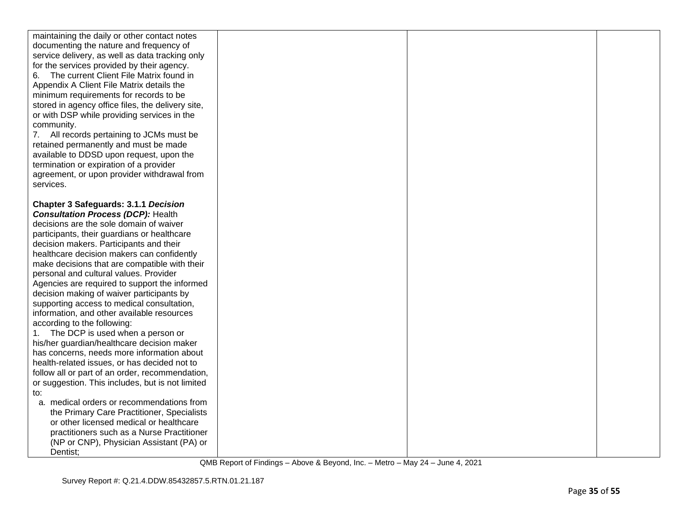| maintaining the daily or other contact notes<br>documenting the nature and frequency of<br>service delivery, as well as data tracking only<br>for the services provided by their agency.<br>The current Client File Matrix found in<br>Appendix A Client File Matrix details the<br>minimum requirements for records to be<br>stored in agency office files, the delivery site,<br>or with DSP while providing services in the<br>community.<br>7. All records pertaining to JCMs must be<br>retained permanently and must be made<br>available to DDSD upon request, upon the<br>termination or expiration of a provider<br>agreement, or upon provider withdrawal from<br>services.                                                                                                                                                                                                            |  |  |
|--------------------------------------------------------------------------------------------------------------------------------------------------------------------------------------------------------------------------------------------------------------------------------------------------------------------------------------------------------------------------------------------------------------------------------------------------------------------------------------------------------------------------------------------------------------------------------------------------------------------------------------------------------------------------------------------------------------------------------------------------------------------------------------------------------------------------------------------------------------------------------------------------|--|--|
| <b>Chapter 3 Safeguards: 3.1.1 Decision</b><br><b>Consultation Process (DCP): Health</b><br>decisions are the sole domain of waiver<br>participants, their guardians or healthcare<br>decision makers. Participants and their<br>healthcare decision makers can confidently<br>make decisions that are compatible with their<br>personal and cultural values. Provider<br>Agencies are required to support the informed<br>decision making of waiver participants by<br>supporting access to medical consultation,<br>information, and other available resources<br>according to the following:<br>1. The DCP is used when a person or<br>his/her guardian/healthcare decision maker<br>has concerns, needs more information about<br>health-related issues, or has decided not to<br>follow all or part of an order, recommendation,<br>or suggestion. This includes, but is not limited<br>to: |  |  |
| a. medical orders or recommendations from<br>the Primary Care Practitioner, Specialists<br>or other licensed medical or healthcare<br>practitioners such as a Nurse Practitioner<br>(NP or CNP), Physician Assistant (PA) or<br>Dentist;                                                                                                                                                                                                                                                                                                                                                                                                                                                                                                                                                                                                                                                         |  |  |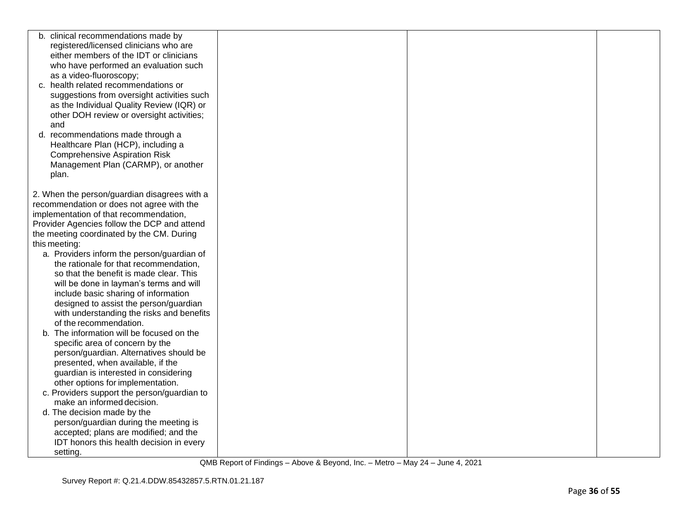| b. clinical recommendations made by          |  |  |
|----------------------------------------------|--|--|
| registered/licensed clinicians who are       |  |  |
| either members of the IDT or clinicians      |  |  |
| who have performed an evaluation such        |  |  |
| as a video-fluoroscopy;                      |  |  |
| c. health related recommendations or         |  |  |
| suggestions from oversight activities such   |  |  |
| as the Individual Quality Review (IQR) or    |  |  |
| other DOH review or oversight activities;    |  |  |
| and                                          |  |  |
| d. recommendations made through a            |  |  |
| Healthcare Plan (HCP), including a           |  |  |
| <b>Comprehensive Aspiration Risk</b>         |  |  |
| Management Plan (CARMP), or another          |  |  |
| plan.                                        |  |  |
|                                              |  |  |
| 2. When the person/guardian disagrees with a |  |  |
| recommendation or does not agree with the    |  |  |
| implementation of that recommendation,       |  |  |
| Provider Agencies follow the DCP and attend  |  |  |
| the meeting coordinated by the CM. During    |  |  |
| this meeting:                                |  |  |
| a. Providers inform the person/guardian of   |  |  |
| the rationale for that recommendation,       |  |  |
| so that the benefit is made clear. This      |  |  |
| will be done in layman's terms and will      |  |  |
| include basic sharing of information         |  |  |
| designed to assist the person/guardian       |  |  |
| with understanding the risks and benefits    |  |  |
| of the recommendation.                       |  |  |
| The information will be focused on the<br>b. |  |  |
| specific area of concern by the              |  |  |
| person/guardian. Alternatives should be      |  |  |
| presented, when available, if the            |  |  |
| guardian is interested in considering        |  |  |
| other options for implementation.            |  |  |
| c. Providers support the person/guardian to  |  |  |
| make an informed decision.                   |  |  |
| d. The decision made by the                  |  |  |
| person/guardian during the meeting is        |  |  |
| accepted; plans are modified; and the        |  |  |
| IDT honors this health decision in every     |  |  |
| setting.                                     |  |  |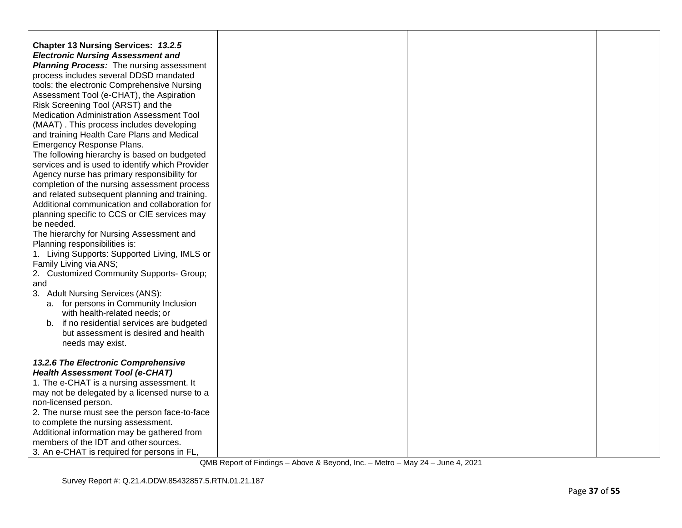| <b>Chapter 13 Nursing Services: 13.2.5</b><br><b>Electronic Nursing Assessment and</b><br><b>Planning Process:</b> The nursing assessment<br>process includes several DDSD mandated |  |  |
|-------------------------------------------------------------------------------------------------------------------------------------------------------------------------------------|--|--|
| tools: the electronic Comprehensive Nursing<br>Assessment Tool (e-CHAT), the Aspiration<br>Risk Screening Tool (ARST) and the                                                       |  |  |
| <b>Medication Administration Assessment Tool</b><br>(MAAT). This process includes developing<br>and training Health Care Plans and Medical                                          |  |  |
| Emergency Response Plans.<br>The following hierarchy is based on budgeted<br>services and is used to identify which Provider                                                        |  |  |
| Agency nurse has primary responsibility for<br>completion of the nursing assessment process<br>and related subsequent planning and training.                                        |  |  |
| Additional communication and collaboration for<br>planning specific to CCS or CIE services may<br>be needed.                                                                        |  |  |
| The hierarchy for Nursing Assessment and<br>Planning responsibilities is:<br>1. Living Supports: Supported Living, IMLS or                                                          |  |  |
| Family Living via ANS;<br>2. Customized Community Supports- Group;                                                                                                                  |  |  |
| and<br>3. Adult Nursing Services (ANS):<br>a. for persons in Community Inclusion                                                                                                    |  |  |
| with health-related needs; or<br>b. if no residential services are budgeted<br>but assessment is desired and health<br>needs may exist.                                             |  |  |
| 13.2.6 The Electronic Comprehensive<br><b>Health Assessment Tool (e-CHAT)</b>                                                                                                       |  |  |
| 1. The e-CHAT is a nursing assessment. It<br>may not be delegated by a licensed nurse to a<br>non-licensed person.                                                                  |  |  |
| 2. The nurse must see the person face-to-face<br>to complete the nursing assessment.                                                                                                |  |  |
| Additional information may be gathered from<br>members of the IDT and other sources.<br>3. An e-CHAT is required for persons in FL,                                                 |  |  |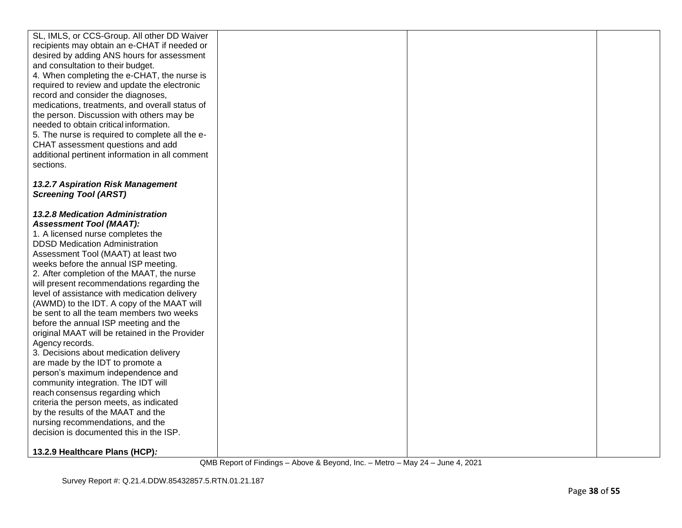| SL, IMLS, or CCS-Group. All other DD Waiver     |  |  |
|-------------------------------------------------|--|--|
| recipients may obtain an e-CHAT if needed or    |  |  |
| desired by adding ANS hours for assessment      |  |  |
| and consultation to their budget.               |  |  |
|                                                 |  |  |
| 4. When completing the e-CHAT, the nurse is     |  |  |
| required to review and update the electronic    |  |  |
| record and consider the diagnoses,              |  |  |
| medications, treatments, and overall status of  |  |  |
| the person. Discussion with others may be       |  |  |
| needed to obtain critical information.          |  |  |
| 5. The nurse is required to complete all the e- |  |  |
| CHAT assessment questions and add               |  |  |
| additional pertinent information in all comment |  |  |
| sections.                                       |  |  |
|                                                 |  |  |
| 13.2.7 Aspiration Risk Management               |  |  |
| <b>Screening Tool (ARST)</b>                    |  |  |
|                                                 |  |  |
| 13.2.8 Medication Administration                |  |  |
| <b>Assessment Tool (MAAT):</b>                  |  |  |
| 1. A licensed nurse completes the               |  |  |
| <b>DDSD Medication Administration</b>           |  |  |
| Assessment Tool (MAAT) at least two             |  |  |
| weeks before the annual ISP meeting.            |  |  |
| 2. After completion of the MAAT, the nurse      |  |  |
| will present recommendations regarding the      |  |  |
| level of assistance with medication delivery    |  |  |
| (AWMD) to the IDT. A copy of the MAAT will      |  |  |
| be sent to all the team members two weeks       |  |  |
| before the annual ISP meeting and the           |  |  |
| original MAAT will be retained in the Provider  |  |  |
| Agency records.                                 |  |  |
| 3. Decisions about medication delivery          |  |  |
| are made by the IDT to promote a                |  |  |
| person's maximum independence and               |  |  |
| community integration. The IDT will             |  |  |
| reach consensus regarding which                 |  |  |
| criteria the person meets, as indicated         |  |  |
| by the results of the MAAT and the              |  |  |
| nursing recommendations, and the                |  |  |
| decision is documented this in the ISP.         |  |  |
|                                                 |  |  |
| 13.2.9 Healthcare Plans (HCP):                  |  |  |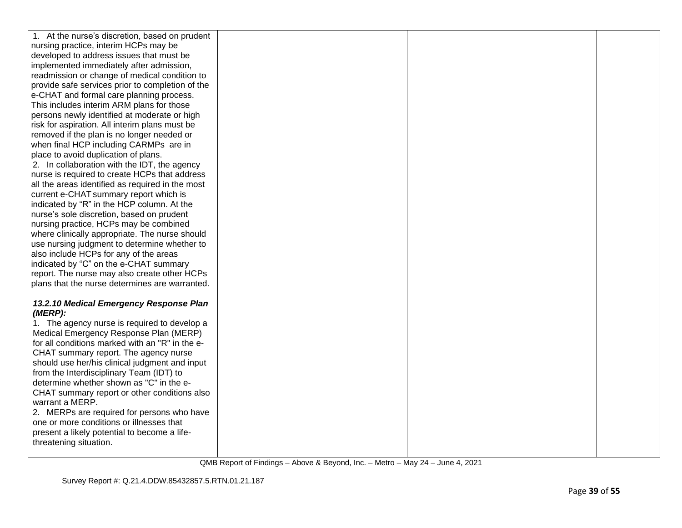| 1. At the nurse's discretion, based on prudent   |  |  |
|--------------------------------------------------|--|--|
| nursing practice, interim HCPs may be            |  |  |
| developed to address issues that must be         |  |  |
| implemented immediately after admission,         |  |  |
| readmission or change of medical condition to    |  |  |
| provide safe services prior to completion of the |  |  |
| e-CHAT and formal care planning process.         |  |  |
| This includes interim ARM plans for those        |  |  |
| persons newly identified at moderate or high     |  |  |
| risk for aspiration. All interim plans must be   |  |  |
| removed if the plan is no longer needed or       |  |  |
| when final HCP including CARMPs are in           |  |  |
| place to avoid duplication of plans.             |  |  |
| 2. In collaboration with the IDT, the agency     |  |  |
| nurse is required to create HCPs that address    |  |  |
| all the areas identified as required in the most |  |  |
| current e-CHAT summary report which is           |  |  |
| indicated by "R" in the HCP column. At the       |  |  |
| nurse's sole discretion, based on prudent        |  |  |
| nursing practice, HCPs may be combined           |  |  |
| where clinically appropriate. The nurse should   |  |  |
| use nursing judgment to determine whether to     |  |  |
| also include HCPs for any of the areas           |  |  |
| indicated by "C" on the e-CHAT summary           |  |  |
| report. The nurse may also create other HCPs     |  |  |
| plans that the nurse determines are warranted.   |  |  |
|                                                  |  |  |
| 13.2.10 Medical Emergency Response Plan          |  |  |
| (MERP):                                          |  |  |
| 1. The agency nurse is required to develop a     |  |  |
| Medical Emergency Response Plan (MERP)           |  |  |
| for all conditions marked with an "R" in the e-  |  |  |
| CHAT summary report. The agency nurse            |  |  |
| should use her/his clinical judgment and input   |  |  |
| from the Interdisciplinary Team (IDT) to         |  |  |
| determine whether shown as "C" in the e-         |  |  |
| CHAT summary report or other conditions also     |  |  |
| warrant a MERP.                                  |  |  |
| 2. MERPs are required for persons who have       |  |  |
| one or more conditions or illnesses that         |  |  |
| present a likely potential to become a life-     |  |  |
| threatening situation.                           |  |  |
|                                                  |  |  |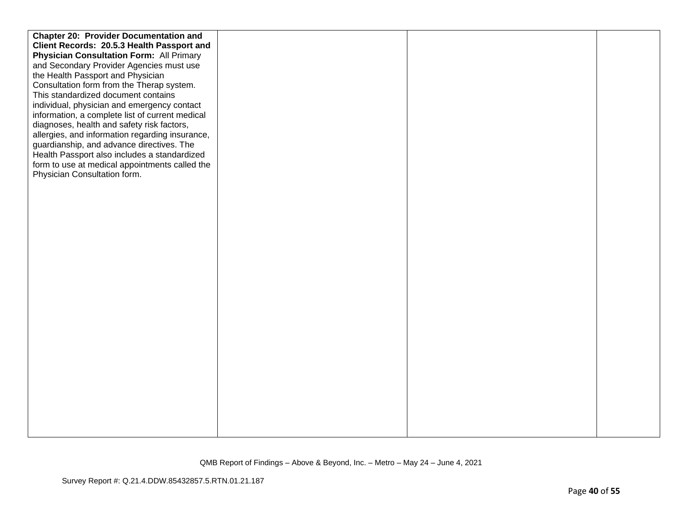| <b>Chapter 20: Provider Documentation and</b>   |  |
|-------------------------------------------------|--|
| Client Records: 20.5.3 Health Passport and      |  |
| <b>Physician Consultation Form: All Primary</b> |  |
| and Secondary Provider Agencies must use        |  |
| the Health Passport and Physician               |  |
| Consultation form from the Therap system.       |  |
| This standardized document contains             |  |
| individual, physician and emergency contact     |  |
| information, a complete list of current medical |  |
| diagnoses, health and safety risk factors,      |  |
| allergies, and information regarding insurance, |  |
| guardianship, and advance directives. The       |  |
| Health Passport also includes a standardized    |  |
| form to use at medical appointments called the  |  |
| Physician Consultation form.                    |  |
|                                                 |  |
|                                                 |  |
|                                                 |  |
|                                                 |  |
|                                                 |  |
|                                                 |  |
|                                                 |  |
|                                                 |  |
|                                                 |  |
|                                                 |  |
|                                                 |  |
|                                                 |  |
|                                                 |  |
|                                                 |  |
|                                                 |  |
|                                                 |  |
|                                                 |  |
|                                                 |  |
|                                                 |  |
|                                                 |  |
|                                                 |  |
|                                                 |  |
|                                                 |  |
|                                                 |  |
|                                                 |  |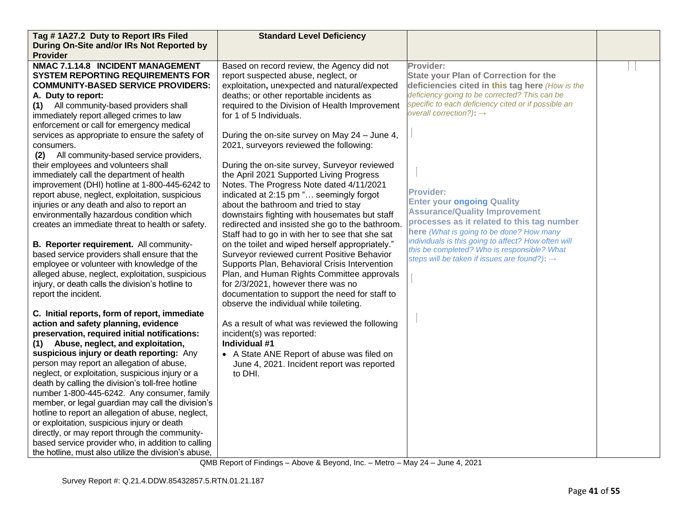| Tag #1A27.2 Duty to Report IRs Filed                 | <b>Standard Level Deficiency</b>                |                                                                                                 |  |
|------------------------------------------------------|-------------------------------------------------|-------------------------------------------------------------------------------------------------|--|
| During On-Site and/or IRs Not Reported by            |                                                 |                                                                                                 |  |
| <b>Provider</b>                                      |                                                 |                                                                                                 |  |
| NMAC 7.1.14.8 INCIDENT MANAGEMENT                    | Based on record review, the Agency did not      | Provider:                                                                                       |  |
| <b>SYSTEM REPORTING REQUIREMENTS FOR</b>             | report suspected abuse, neglect, or             | <b>State your Plan of Correction for the</b>                                                    |  |
| <b>COMMUNITY-BASED SERVICE PROVIDERS:</b>            | exploitation, unexpected and natural/expected   | deficiencies cited in this tag here (How is the                                                 |  |
| A. Duty to report:                                   | deaths; or other reportable incidents as        | deficiency going to be corrected? This can be                                                   |  |
| (1) All community-based providers shall              | required to the Division of Health Improvement  | specific to each deficiency cited or if possible an                                             |  |
| immediately report alleged crimes to law             | for 1 of 5 Individuals.                         | overall correction?): $\rightarrow$                                                             |  |
| enforcement or call for emergency medical            |                                                 |                                                                                                 |  |
| services as appropriate to ensure the safety of      | During the on-site survey on May 24 - June 4,   |                                                                                                 |  |
| consumers.                                           | 2021, surveyors reviewed the following:         |                                                                                                 |  |
| (2) All community-based service providers,           |                                                 |                                                                                                 |  |
| their employees and volunteers shall                 | During the on-site survey, Surveyor reviewed    |                                                                                                 |  |
| immediately call the department of health            | the April 2021 Supported Living Progress        |                                                                                                 |  |
| improvement (DHI) hotline at 1-800-445-6242 to       | Notes. The Progress Note dated 4/11/2021        |                                                                                                 |  |
| report abuse, neglect, exploitation, suspicious      | indicated at 2:15 pm " seemingly forgot         | <b>Provider:</b>                                                                                |  |
| injuries or any death and also to report an          | about the bathroom and tried to stay            | <b>Enter your ongoing Quality</b>                                                               |  |
| environmentally hazardous condition which            | downstairs fighting with housemates but staff   | <b>Assurance/Quality Improvement</b>                                                            |  |
| creates an immediate threat to health or safety.     | redirected and insisted she go to the bathroom. | processes as it related to this tag number                                                      |  |
|                                                      | Staff had to go in with her to see that she sat | here (What is going to be done? How many<br>individuals is this going to affect? How often will |  |
| B. Reporter requirement. All community-              | on the toilet and wiped herself appropriately." | this be completed? Who is responsible? What                                                     |  |
| based service providers shall ensure that the        | Surveyor reviewed current Positive Behavior     | steps will be taken if issues are found?): $\rightarrow$                                        |  |
| employee or volunteer with knowledge of the          | Supports Plan, Behavioral Crisis Intervention   |                                                                                                 |  |
| alleged abuse, neglect, exploitation, suspicious     | Plan, and Human Rights Committee approvals      |                                                                                                 |  |
| injury, or death calls the division's hotline to     | for 2/3/2021, however there was no              |                                                                                                 |  |
| report the incident.                                 | documentation to support the need for staff to  |                                                                                                 |  |
|                                                      | observe the individual while toileting.         |                                                                                                 |  |
| C. Initial reports, form of report, immediate        |                                                 |                                                                                                 |  |
| action and safety planning, evidence                 | As a result of what was reviewed the following  |                                                                                                 |  |
| preservation, required initial notifications:        | incident(s) was reported:                       |                                                                                                 |  |
| (1) Abuse, neglect, and exploitation,                | Individual #1                                   |                                                                                                 |  |
| suspicious injury or death reporting: Any            | • A State ANE Report of abuse was filed on      |                                                                                                 |  |
| person may report an allegation of abuse,            | June 4, 2021. Incident report was reported      |                                                                                                 |  |
| neglect, or exploitation, suspicious injury or a     | to DHI.                                         |                                                                                                 |  |
| death by calling the division's toll-free hotline    |                                                 |                                                                                                 |  |
| number 1-800-445-6242. Any consumer, family          |                                                 |                                                                                                 |  |
| member, or legal guardian may call the division's    |                                                 |                                                                                                 |  |
| hotline to report an allegation of abuse, neglect,   |                                                 |                                                                                                 |  |
| or exploitation, suspicious injury or death          |                                                 |                                                                                                 |  |
| directly, or may report through the community-       |                                                 |                                                                                                 |  |
| based service provider who, in addition to calling   |                                                 |                                                                                                 |  |
| the hotline, must also utilize the division's abuse, |                                                 |                                                                                                 |  |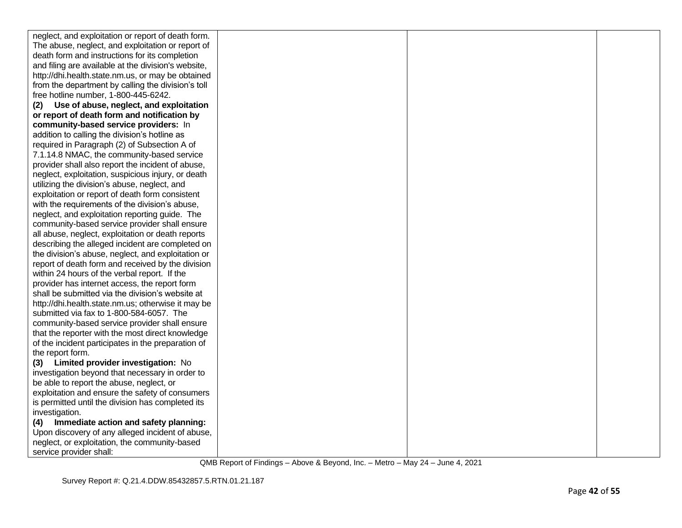| neglect, and exploitation or report of death form.  |  |  |
|-----------------------------------------------------|--|--|
| The abuse, neglect, and exploitation or report of   |  |  |
| death form and instructions for its completion      |  |  |
| and filing are available at the division's website, |  |  |
| http://dhi.health.state.nm.us, or may be obtained   |  |  |
| from the department by calling the division's toll  |  |  |
| free hotline number, 1-800-445-6242.                |  |  |
| Use of abuse, neglect, and exploitation<br>(2)      |  |  |
| or report of death form and notification by         |  |  |
| community-based service providers: In               |  |  |
| addition to calling the division's hotline as       |  |  |
| required in Paragraph (2) of Subsection A of        |  |  |
| 7.1.14.8 NMAC, the community-based service          |  |  |
| provider shall also report the incident of abuse,   |  |  |
| neglect, exploitation, suspicious injury, or death  |  |  |
| utilizing the division's abuse, neglect, and        |  |  |
| exploitation or report of death form consistent     |  |  |
| with the requirements of the division's abuse,      |  |  |
| neglect, and exploitation reporting guide. The      |  |  |
| community-based service provider shall ensure       |  |  |
| all abuse, neglect, exploitation or death reports   |  |  |
| describing the alleged incident are completed on    |  |  |
| the division's abuse, neglect, and exploitation or  |  |  |
| report of death form and received by the division   |  |  |
| within 24 hours of the verbal report. If the        |  |  |
| provider has internet access, the report form       |  |  |
| shall be submitted via the division's website at    |  |  |
| http://dhi.health.state.nm.us; otherwise it may be  |  |  |
| submitted via fax to 1-800-584-6057. The            |  |  |
| community-based service provider shall ensure       |  |  |
| that the reporter with the most direct knowledge    |  |  |
| of the incident participates in the preparation of  |  |  |
| the report form.                                    |  |  |
| (3) Limited provider investigation: No              |  |  |
| investigation beyond that necessary in order to     |  |  |
| be able to report the abuse, neglect, or            |  |  |
| exploitation and ensure the safety of consumers     |  |  |
| is permitted until the division has completed its   |  |  |
| investigation.                                      |  |  |
| Immediate action and safety planning:<br>(4)        |  |  |
| Upon discovery of any alleged incident of abuse,    |  |  |
| neglect, or exploitation, the community-based       |  |  |
| service provider shall:                             |  |  |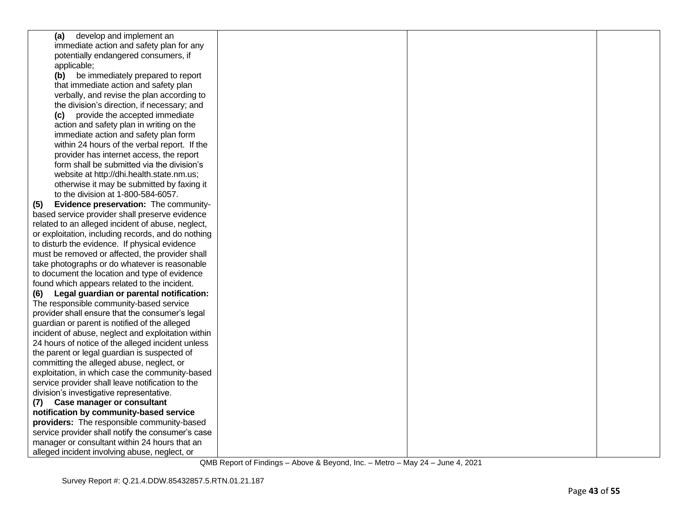| (a) develop and implement an                       |  |  |
|----------------------------------------------------|--|--|
| immediate action and safety plan for any           |  |  |
| potentially endangered consumers, if               |  |  |
| applicable;                                        |  |  |
| (b) be immediately prepared to report              |  |  |
| that immediate action and safety plan              |  |  |
| verbally, and revise the plan according to         |  |  |
| the division's direction, if necessary; and        |  |  |
| (c) provide the accepted immediate                 |  |  |
| action and safety plan in writing on the           |  |  |
| immediate action and safety plan form              |  |  |
| within 24 hours of the verbal report. If the       |  |  |
| provider has internet access, the report           |  |  |
| form shall be submitted via the division's         |  |  |
| website at http://dhi.health.state.nm.us;          |  |  |
| otherwise it may be submitted by faxing it         |  |  |
| to the division at 1-800-584-6057.                 |  |  |
| Evidence preservation: The community-<br>(5)       |  |  |
| based service provider shall preserve evidence     |  |  |
| related to an alleged incident of abuse, neglect,  |  |  |
| or exploitation, including records, and do nothing |  |  |
| to disturb the evidence. If physical evidence      |  |  |
| must be removed or affected, the provider shall    |  |  |
| take photographs or do whatever is reasonable      |  |  |
| to document the location and type of evidence      |  |  |
| found which appears related to the incident.       |  |  |
| Legal guardian or parental notification:<br>(6)    |  |  |
| The responsible community-based service            |  |  |
| provider shall ensure that the consumer's legal    |  |  |
| guardian or parent is notified of the alleged      |  |  |
| incident of abuse, neglect and exploitation within |  |  |
| 24 hours of notice of the alleged incident unless  |  |  |
| the parent or legal guardian is suspected of       |  |  |
| committing the alleged abuse, neglect, or          |  |  |
| exploitation, in which case the community-based    |  |  |
| service provider shall leave notification to the   |  |  |
| division's investigative representative.           |  |  |
| <b>Case manager or consultant</b><br>(7)           |  |  |
| notification by community-based service            |  |  |
| providers: The responsible community-based         |  |  |
| service provider shall notify the consumer's case  |  |  |
| manager or consultant within 24 hours that an      |  |  |
| alleged incident involving abuse, neglect, or      |  |  |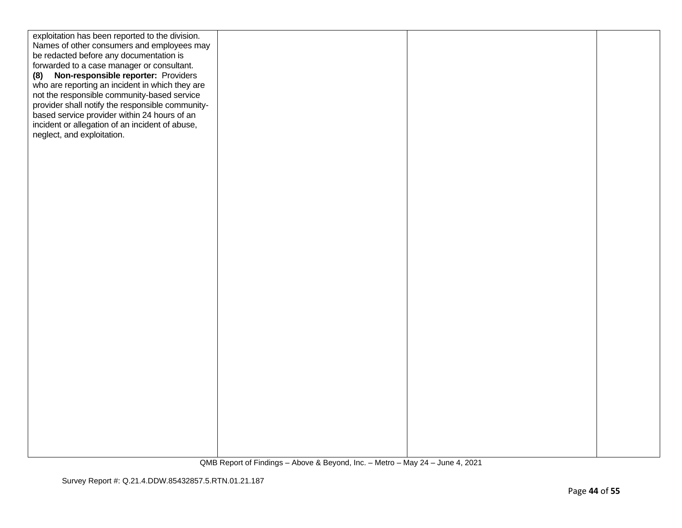| exploitation has been reported to the division.  |  |  |
|--------------------------------------------------|--|--|
| Names of other consumers and employees may       |  |  |
| be redacted before any documentation is          |  |  |
| forwarded to a case manager or consultant.       |  |  |
| (8) Non-responsible reporter: Providers          |  |  |
| who are reporting an incident in which they are  |  |  |
| not the responsible community-based service      |  |  |
| provider shall notify the responsible community- |  |  |
| based service provider within 24 hours of an     |  |  |
| incident or allegation of an incident of abuse,  |  |  |
| neglect, and exploitation.                       |  |  |
|                                                  |  |  |
|                                                  |  |  |
|                                                  |  |  |
|                                                  |  |  |
|                                                  |  |  |
|                                                  |  |  |
|                                                  |  |  |
|                                                  |  |  |
|                                                  |  |  |
|                                                  |  |  |
|                                                  |  |  |
|                                                  |  |  |
|                                                  |  |  |
|                                                  |  |  |
|                                                  |  |  |
|                                                  |  |  |
|                                                  |  |  |
|                                                  |  |  |
|                                                  |  |  |
|                                                  |  |  |
|                                                  |  |  |
|                                                  |  |  |
|                                                  |  |  |
|                                                  |  |  |
|                                                  |  |  |
|                                                  |  |  |
|                                                  |  |  |
|                                                  |  |  |
|                                                  |  |  |
|                                                  |  |  |
|                                                  |  |  |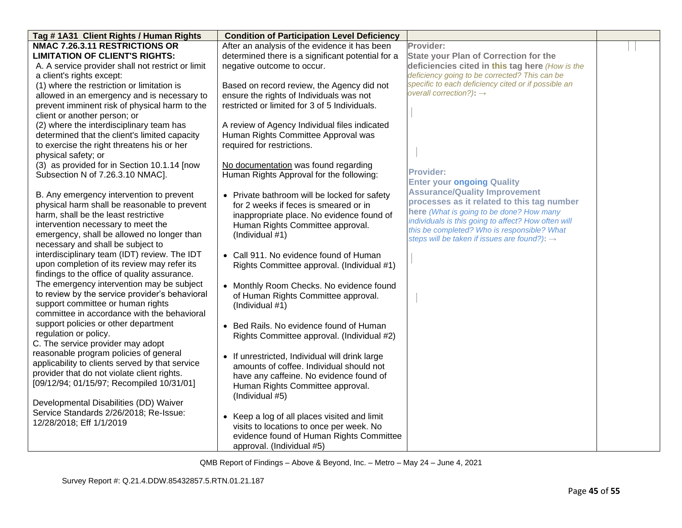| Tag #1A31 Client Rights / Human Rights            | <b>Condition of Participation Level Deficiency</b>                    |                                                          |  |
|---------------------------------------------------|-----------------------------------------------------------------------|----------------------------------------------------------|--|
| NMAC 7.26.3.11 RESTRICTIONS OR                    | After an analysis of the evidence it has been                         | Provider:                                                |  |
| <b>LIMITATION OF CLIENT'S RIGHTS:</b>             | determined there is a significant potential for a                     | <b>State your Plan of Correction for the</b>             |  |
| A. A service provider shall not restrict or limit | negative outcome to occur.                                            | deficiencies cited in this tag here (How is the          |  |
| a client's rights except:                         |                                                                       | deficiency going to be corrected? This can be            |  |
| (1) where the restriction or limitation is        | Based on record review, the Agency did not                            | specific to each deficiency cited or if possible an      |  |
| allowed in an emergency and is necessary to       | ensure the rights of Individuals was not                              | overall correction?): $\rightarrow$                      |  |
| prevent imminent risk of physical harm to the     | restricted or limited for 3 of 5 Individuals.                         |                                                          |  |
| client or another person; or                      |                                                                       |                                                          |  |
| (2) where the interdisciplinary team has          | A review of Agency Individual files indicated                         |                                                          |  |
| determined that the client's limited capacity     | Human Rights Committee Approval was                                   |                                                          |  |
| to exercise the right threatens his or her        | required for restrictions.                                            |                                                          |  |
| physical safety; or                               |                                                                       |                                                          |  |
| (3) as provided for in Section 10.1.14 [now       | No documentation was found regarding                                  |                                                          |  |
| Subsection N of 7.26.3.10 NMAC].                  | Human Rights Approval for the following:                              | <b>Provider:</b>                                         |  |
|                                                   |                                                                       | <b>Enter your ongoing Quality</b>                        |  |
| B. Any emergency intervention to prevent          | • Private bathroom will be locked for safety                          | <b>Assurance/Quality Improvement</b>                     |  |
| physical harm shall be reasonable to prevent      | for 2 weeks if feces is smeared or in                                 | processes as it related to this tag number               |  |
| harm, shall be the least restrictive              | inappropriate place. No evidence found of                             | here (What is going to be done? How many                 |  |
| intervention necessary to meet the                | Human Rights Committee approval.                                      | individuals is this going to affect? How often will      |  |
| emergency, shall be allowed no longer than        | (Individual #1)                                                       | this be completed? Who is responsible? What              |  |
| necessary and shall be subject to                 |                                                                       | steps will be taken if issues are found?): $\rightarrow$ |  |
| interdisciplinary team (IDT) review. The IDT      | Call 911. No evidence found of Human<br>$\bullet$                     |                                                          |  |
| upon completion of its review may refer its       | Rights Committee approval. (Individual #1)                            |                                                          |  |
| findings to the office of quality assurance.      |                                                                       |                                                          |  |
| The emergency intervention may be subject         | • Monthly Room Checks. No evidence found                              |                                                          |  |
| to review by the service provider's behavioral    | of Human Rights Committee approval.                                   |                                                          |  |
| support committee or human rights                 | (Individual #1)                                                       |                                                          |  |
| committee in accordance with the behavioral       |                                                                       |                                                          |  |
| support policies or other department              | • Bed Rails. No evidence found of Human                               |                                                          |  |
| regulation or policy.                             | Rights Committee approval. (Individual #2)                            |                                                          |  |
| C. The service provider may adopt                 |                                                                       |                                                          |  |
| reasonable program policies of general            | • If unrestricted, Individual will drink large                        |                                                          |  |
| applicability to clients served by that service   | amounts of coffee. Individual should not                              |                                                          |  |
| provider that do not violate client rights.       | have any caffeine. No evidence found of                               |                                                          |  |
| [09/12/94; 01/15/97; Recompiled 10/31/01]         | Human Rights Committee approval.                                      |                                                          |  |
|                                                   | (Individual #5)                                                       |                                                          |  |
| Developmental Disabilities (DD) Waiver            |                                                                       |                                                          |  |
| Service Standards 2/26/2018; Re-Issue:            | • Keep a log of all places visited and limit                          |                                                          |  |
| 12/28/2018; Eff 1/1/2019                          | visits to locations to once per week. No                              |                                                          |  |
|                                                   |                                                                       |                                                          |  |
|                                                   | evidence found of Human Rights Committee<br>approval. (Individual #5) |                                                          |  |
|                                                   |                                                                       |                                                          |  |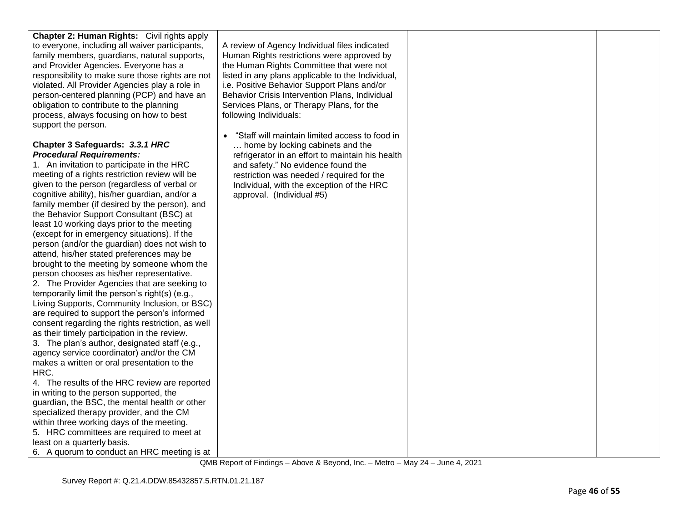| Chapter 2: Human Rights: Civil rights apply<br>to everyone, including all waiver participants,<br>family members, guardians, natural supports,<br>and Provider Agencies. Everyone has a<br>responsibility to make sure those rights are not<br>violated. All Provider Agencies play a role in<br>person-centered planning (PCP) and have an<br>obligation to contribute to the planning<br>process, always focusing on how to best<br>support the person. | A review of Agency Individual files indicated<br>Human Rights restrictions were approved by<br>the Human Rights Committee that were not<br>listed in any plans applicable to the Individual,<br>i.e. Positive Behavior Support Plans and/or<br>Behavior Crisis Intervention Plans, Individual<br>Services Plans, or Therapy Plans, for the<br>following Individuals:<br>"Staff will maintain limited access to food in |  |
|-----------------------------------------------------------------------------------------------------------------------------------------------------------------------------------------------------------------------------------------------------------------------------------------------------------------------------------------------------------------------------------------------------------------------------------------------------------|------------------------------------------------------------------------------------------------------------------------------------------------------------------------------------------------------------------------------------------------------------------------------------------------------------------------------------------------------------------------------------------------------------------------|--|
| Chapter 3 Safeguards: 3.3.1 HRC                                                                                                                                                                                                                                                                                                                                                                                                                           | home by locking cabinets and the                                                                                                                                                                                                                                                                                                                                                                                       |  |
| <b>Procedural Requirements:</b>                                                                                                                                                                                                                                                                                                                                                                                                                           | refrigerator in an effort to maintain his health                                                                                                                                                                                                                                                                                                                                                                       |  |
| 1. An invitation to participate in the HRC                                                                                                                                                                                                                                                                                                                                                                                                                | and safety." No evidence found the                                                                                                                                                                                                                                                                                                                                                                                     |  |
| meeting of a rights restriction review will be                                                                                                                                                                                                                                                                                                                                                                                                            | restriction was needed / required for the                                                                                                                                                                                                                                                                                                                                                                              |  |
| given to the person (regardless of verbal or                                                                                                                                                                                                                                                                                                                                                                                                              | Individual, with the exception of the HRC                                                                                                                                                                                                                                                                                                                                                                              |  |
| cognitive ability), his/her guardian, and/or a<br>family member (if desired by the person), and                                                                                                                                                                                                                                                                                                                                                           | approval. (Individual #5)                                                                                                                                                                                                                                                                                                                                                                                              |  |
| the Behavior Support Consultant (BSC) at                                                                                                                                                                                                                                                                                                                                                                                                                  |                                                                                                                                                                                                                                                                                                                                                                                                                        |  |
| least 10 working days prior to the meeting                                                                                                                                                                                                                                                                                                                                                                                                                |                                                                                                                                                                                                                                                                                                                                                                                                                        |  |
| (except for in emergency situations). If the                                                                                                                                                                                                                                                                                                                                                                                                              |                                                                                                                                                                                                                                                                                                                                                                                                                        |  |
| person (and/or the guardian) does not wish to                                                                                                                                                                                                                                                                                                                                                                                                             |                                                                                                                                                                                                                                                                                                                                                                                                                        |  |
| attend, his/her stated preferences may be                                                                                                                                                                                                                                                                                                                                                                                                                 |                                                                                                                                                                                                                                                                                                                                                                                                                        |  |
| brought to the meeting by someone whom the                                                                                                                                                                                                                                                                                                                                                                                                                |                                                                                                                                                                                                                                                                                                                                                                                                                        |  |
| person chooses as his/her representative.                                                                                                                                                                                                                                                                                                                                                                                                                 |                                                                                                                                                                                                                                                                                                                                                                                                                        |  |
| 2. The Provider Agencies that are seeking to<br>temporarily limit the person's right(s) (e.g.,                                                                                                                                                                                                                                                                                                                                                            |                                                                                                                                                                                                                                                                                                                                                                                                                        |  |
| Living Supports, Community Inclusion, or BSC)                                                                                                                                                                                                                                                                                                                                                                                                             |                                                                                                                                                                                                                                                                                                                                                                                                                        |  |
| are required to support the person's informed                                                                                                                                                                                                                                                                                                                                                                                                             |                                                                                                                                                                                                                                                                                                                                                                                                                        |  |
| consent regarding the rights restriction, as well                                                                                                                                                                                                                                                                                                                                                                                                         |                                                                                                                                                                                                                                                                                                                                                                                                                        |  |
| as their timely participation in the review.                                                                                                                                                                                                                                                                                                                                                                                                              |                                                                                                                                                                                                                                                                                                                                                                                                                        |  |
| 3. The plan's author, designated staff (e.g.,                                                                                                                                                                                                                                                                                                                                                                                                             |                                                                                                                                                                                                                                                                                                                                                                                                                        |  |
| agency service coordinator) and/or the CM                                                                                                                                                                                                                                                                                                                                                                                                                 |                                                                                                                                                                                                                                                                                                                                                                                                                        |  |
| makes a written or oral presentation to the                                                                                                                                                                                                                                                                                                                                                                                                               |                                                                                                                                                                                                                                                                                                                                                                                                                        |  |
| HRC.<br>4. The results of the HRC review are reported                                                                                                                                                                                                                                                                                                                                                                                                     |                                                                                                                                                                                                                                                                                                                                                                                                                        |  |
| in writing to the person supported, the                                                                                                                                                                                                                                                                                                                                                                                                                   |                                                                                                                                                                                                                                                                                                                                                                                                                        |  |
| guardian, the BSC, the mental health or other                                                                                                                                                                                                                                                                                                                                                                                                             |                                                                                                                                                                                                                                                                                                                                                                                                                        |  |
| specialized therapy provider, and the CM                                                                                                                                                                                                                                                                                                                                                                                                                  |                                                                                                                                                                                                                                                                                                                                                                                                                        |  |
| within three working days of the meeting.                                                                                                                                                                                                                                                                                                                                                                                                                 |                                                                                                                                                                                                                                                                                                                                                                                                                        |  |
| 5. HRC committees are required to meet at                                                                                                                                                                                                                                                                                                                                                                                                                 |                                                                                                                                                                                                                                                                                                                                                                                                                        |  |
| least on a quarterly basis.                                                                                                                                                                                                                                                                                                                                                                                                                               |                                                                                                                                                                                                                                                                                                                                                                                                                        |  |
| 6. A quorum to conduct an HRC meeting is at                                                                                                                                                                                                                                                                                                                                                                                                               |                                                                                                                                                                                                                                                                                                                                                                                                                        |  |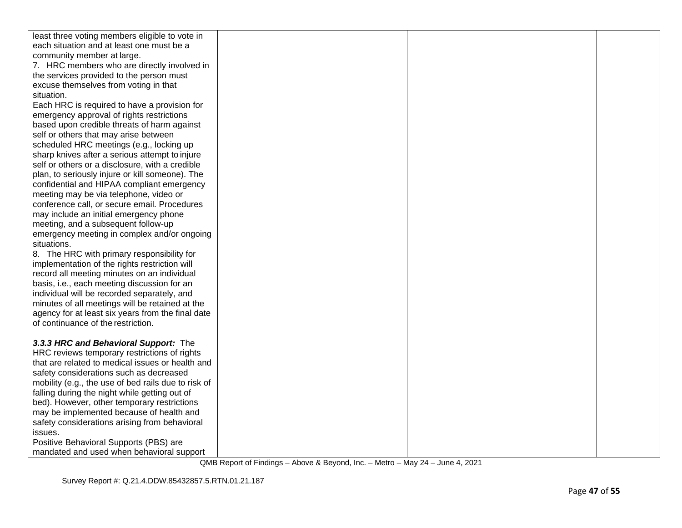| least three voting members eligible to vote in      |  |  |
|-----------------------------------------------------|--|--|
| each situation and at least one must be a           |  |  |
| community member at large.                          |  |  |
| 7. HRC members who are directly involved in         |  |  |
| the services provided to the person must            |  |  |
| excuse themselves from voting in that               |  |  |
| situation.                                          |  |  |
| Each HRC is required to have a provision for        |  |  |
| emergency approval of rights restrictions           |  |  |
| based upon credible threats of harm against         |  |  |
| self or others that may arise between               |  |  |
| scheduled HRC meetings (e.g., locking up            |  |  |
| sharp knives after a serious attempt to injure      |  |  |
| self or others or a disclosure, with a credible     |  |  |
| plan, to seriously injure or kill someone). The     |  |  |
| confidential and HIPAA compliant emergency          |  |  |
| meeting may be via telephone, video or              |  |  |
| conference call, or secure email. Procedures        |  |  |
| may include an initial emergency phone              |  |  |
| meeting, and a subsequent follow-up                 |  |  |
| emergency meeting in complex and/or ongoing         |  |  |
| situations.                                         |  |  |
| 8. The HRC with primary responsibility for          |  |  |
| implementation of the rights restriction will       |  |  |
| record all meeting minutes on an individual         |  |  |
| basis, i.e., each meeting discussion for an         |  |  |
| individual will be recorded separately, and         |  |  |
| minutes of all meetings will be retained at the     |  |  |
| agency for at least six years from the final date   |  |  |
| of continuance of the restriction.                  |  |  |
|                                                     |  |  |
| 3.3.3 HRC and Behavioral Support: The               |  |  |
| HRC reviews temporary restrictions of rights        |  |  |
| that are related to medical issues or health and    |  |  |
| safety considerations such as decreased             |  |  |
| mobility (e.g., the use of bed rails due to risk of |  |  |
| falling during the night while getting out of       |  |  |
| bed). However, other temporary restrictions         |  |  |
| may be implemented because of health and            |  |  |
| safety considerations arising from behavioral       |  |  |
| issues.<br>Positive Behavioral Supports (PBS) are   |  |  |
|                                                     |  |  |
| mandated and used when behavioral support           |  |  |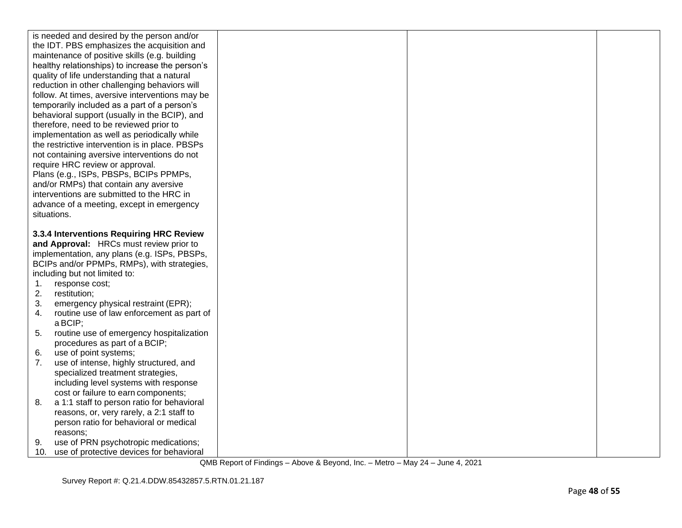|                                                 | is needed and desired by the person and/or         |  |  |
|-------------------------------------------------|----------------------------------------------------|--|--|
|                                                 | the IDT. PBS emphasizes the acquisition and        |  |  |
| maintenance of positive skills (e.g. building   |                                                    |  |  |
| healthy relationships) to increase the person's |                                                    |  |  |
|                                                 | quality of life understanding that a natural       |  |  |
|                                                 | reduction in other challenging behaviors will      |  |  |
|                                                 | follow. At times, aversive interventions may be    |  |  |
|                                                 | temporarily included as a part of a person's       |  |  |
|                                                 | behavioral support (usually in the BCIP), and      |  |  |
|                                                 | therefore, need to be reviewed prior to            |  |  |
|                                                 | implementation as well as periodically while       |  |  |
|                                                 | the restrictive intervention is in place. PBSPs    |  |  |
|                                                 | not containing aversive interventions do not       |  |  |
|                                                 | require HRC review or approval.                    |  |  |
|                                                 | Plans (e.g., ISPs, PBSPs, BCIPs PPMPs,             |  |  |
|                                                 | and/or RMPs) that contain any aversive             |  |  |
|                                                 | interventions are submitted to the HRC in          |  |  |
|                                                 | advance of a meeting, except in emergency          |  |  |
| situations.                                     |                                                    |  |  |
|                                                 |                                                    |  |  |
|                                                 | 3.3.4 Interventions Requiring HRC Review           |  |  |
|                                                 | and Approval: HRCs must review prior to            |  |  |
|                                                 |                                                    |  |  |
|                                                 | implementation, any plans (e.g. ISPs, PBSPs,       |  |  |
|                                                 | BCIPs and/or PPMPs, RMPs), with strategies,        |  |  |
|                                                 | including but not limited to:                      |  |  |
| 1.                                              | response cost;                                     |  |  |
| 2.                                              | restitution;                                       |  |  |
| 3.                                              | emergency physical restraint (EPR);                |  |  |
| 4.                                              | routine use of law enforcement as part of          |  |  |
|                                                 | a BCIP;                                            |  |  |
| 5.                                              | routine use of emergency hospitalization           |  |  |
|                                                 | procedures as part of a BCIP;                      |  |  |
| 6.                                              | use of point systems;                              |  |  |
| 7.                                              | use of intense, highly structured, and             |  |  |
|                                                 | specialized treatment strategies,                  |  |  |
|                                                 | including level systems with response              |  |  |
| 8.                                              | cost or failure to earn components;                |  |  |
|                                                 | a 1:1 staff to person ratio for behavioral         |  |  |
|                                                 | reasons, or, very rarely, a 2:1 staff to           |  |  |
|                                                 | person ratio for behavioral or medical<br>reasons: |  |  |
| 9.                                              | use of PRN psychotropic medications;               |  |  |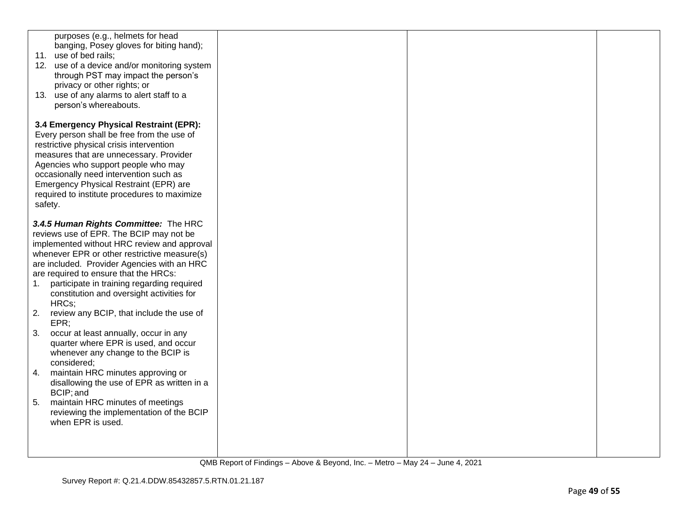|             | purposes (e.g., helmets for head<br>banging, Posey gloves for biting hand);<br>11. use of bed rails;<br>12. use of a device and/or monitoring system<br>through PST may impact the person's<br>privacy or other rights; or<br>13. use of any alarms to alert staff to a<br>person's whereabouts.                                                                            |  |  |
|-------------|-----------------------------------------------------------------------------------------------------------------------------------------------------------------------------------------------------------------------------------------------------------------------------------------------------------------------------------------------------------------------------|--|--|
|             | 3.4 Emergency Physical Restraint (EPR):<br>Every person shall be free from the use of<br>restrictive physical crisis intervention<br>measures that are unnecessary. Provider<br>Agencies who support people who may<br>occasionally need intervention such as<br>Emergency Physical Restraint (EPR) are<br>required to institute procedures to maximize<br>safety.          |  |  |
| $1_{\cdot}$ | 3.4.5 Human Rights Committee: The HRC<br>reviews use of EPR. The BCIP may not be<br>implemented without HRC review and approval<br>whenever EPR or other restrictive measure(s)<br>are included. Provider Agencies with an HRC<br>are required to ensure that the HRCs:<br>participate in training regarding required<br>constitution and oversight activities for<br>HRCs; |  |  |
| 2.<br>3.    | review any BCIP, that include the use of<br>EPR;<br>occur at least annually, occur in any<br>quarter where EPR is used, and occur<br>whenever any change to the BCIP is<br>considered;                                                                                                                                                                                      |  |  |
| 4.<br>5.    | maintain HRC minutes approving or<br>disallowing the use of EPR as written in a<br>BCIP; and<br>maintain HRC minutes of meetings<br>reviewing the implementation of the BCIP<br>when EPR is used.                                                                                                                                                                           |  |  |
|             |                                                                                                                                                                                                                                                                                                                                                                             |  |  |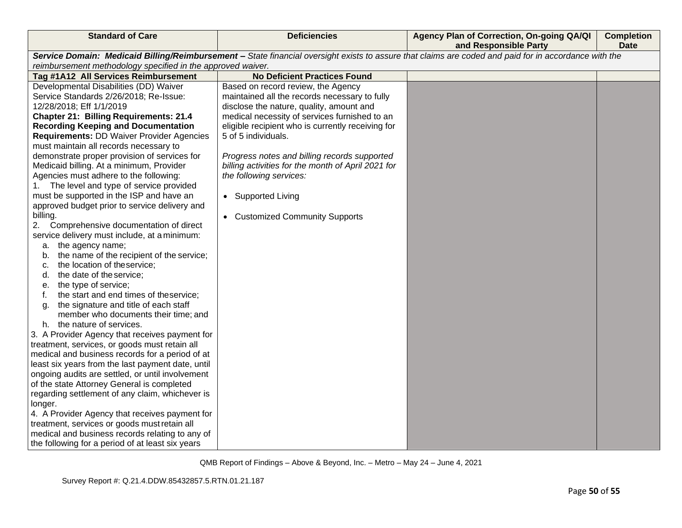| Service Domain: Medicaid Billing/Reimbursement - State financial oversight exists to assure that claims are coded and paid for in accordance with the<br>reimbursement methodology specified in the approved waiver. | <b>Standard of Care</b>              | <b>Deficiencies</b>                 | Agency Plan of Correction, On-going QA/QI<br>and Responsible Party | <b>Completion</b><br><b>Date</b> |
|----------------------------------------------------------------------------------------------------------------------------------------------------------------------------------------------------------------------|--------------------------------------|-------------------------------------|--------------------------------------------------------------------|----------------------------------|
|                                                                                                                                                                                                                      |                                      |                                     |                                                                    |                                  |
|                                                                                                                                                                                                                      |                                      |                                     |                                                                    |                                  |
|                                                                                                                                                                                                                      | Tag #1A12 All Services Reimbursement | <b>No Deficient Practices Found</b> |                                                                    |                                  |
| Developmental Disabilities (DD) Waiver<br>Based on record review, the Agency                                                                                                                                         |                                      |                                     |                                                                    |                                  |
| Service Standards 2/26/2018; Re-Issue:<br>maintained all the records necessary to fully                                                                                                                              |                                      |                                     |                                                                    |                                  |
| 12/28/2018; Eff 1/1/2019<br>disclose the nature, quality, amount and                                                                                                                                                 |                                      |                                     |                                                                    |                                  |
| medical necessity of services furnished to an<br><b>Chapter 21: Billing Requirements: 21.4</b>                                                                                                                       |                                      |                                     |                                                                    |                                  |
| <b>Recording Keeping and Documentation</b><br>eligible recipient who is currently receiving for                                                                                                                      |                                      |                                     |                                                                    |                                  |
| <b>Requirements: DD Waiver Provider Agencies</b><br>5 of 5 individuals.                                                                                                                                              |                                      |                                     |                                                                    |                                  |
| must maintain all records necessary to                                                                                                                                                                               |                                      |                                     |                                                                    |                                  |
| demonstrate proper provision of services for<br>Progress notes and billing records supported                                                                                                                         |                                      |                                     |                                                                    |                                  |
| Medicaid billing. At a minimum, Provider<br>billing activities for the month of April 2021 for                                                                                                                       |                                      |                                     |                                                                    |                                  |
| Agencies must adhere to the following:<br>the following services:                                                                                                                                                    |                                      |                                     |                                                                    |                                  |
| 1. The level and type of service provided                                                                                                                                                                            |                                      |                                     |                                                                    |                                  |
| must be supported in the ISP and have an<br>• Supported Living                                                                                                                                                       |                                      |                                     |                                                                    |                                  |
| approved budget prior to service delivery and                                                                                                                                                                        |                                      |                                     |                                                                    |                                  |
| billing.<br>• Customized Community Supports                                                                                                                                                                          |                                      |                                     |                                                                    |                                  |
| Comprehensive documentation of direct<br>2.                                                                                                                                                                          |                                      |                                     |                                                                    |                                  |
| service delivery must include, at a minimum:                                                                                                                                                                         |                                      |                                     |                                                                    |                                  |
| a. the agency name;                                                                                                                                                                                                  |                                      |                                     |                                                                    |                                  |
| the name of the recipient of the service;<br>b.                                                                                                                                                                      |                                      |                                     |                                                                    |                                  |
| the location of theservice;<br>C.                                                                                                                                                                                    |                                      |                                     |                                                                    |                                  |
| the date of the service;<br>d.                                                                                                                                                                                       |                                      |                                     |                                                                    |                                  |
| the type of service;<br>е.                                                                                                                                                                                           |                                      |                                     |                                                                    |                                  |
| the start and end times of theservice;<br>t.                                                                                                                                                                         |                                      |                                     |                                                                    |                                  |
| the signature and title of each staff<br>q.<br>member who documents their time; and                                                                                                                                  |                                      |                                     |                                                                    |                                  |
| h. the nature of services.                                                                                                                                                                                           |                                      |                                     |                                                                    |                                  |
| 3. A Provider Agency that receives payment for                                                                                                                                                                       |                                      |                                     |                                                                    |                                  |
| treatment, services, or goods must retain all                                                                                                                                                                        |                                      |                                     |                                                                    |                                  |
| medical and business records for a period of at                                                                                                                                                                      |                                      |                                     |                                                                    |                                  |
| least six years from the last payment date, until                                                                                                                                                                    |                                      |                                     |                                                                    |                                  |
| ongoing audits are settled, or until involvement                                                                                                                                                                     |                                      |                                     |                                                                    |                                  |
| of the state Attorney General is completed                                                                                                                                                                           |                                      |                                     |                                                                    |                                  |
| regarding settlement of any claim, whichever is                                                                                                                                                                      |                                      |                                     |                                                                    |                                  |
| longer.                                                                                                                                                                                                              |                                      |                                     |                                                                    |                                  |
| 4. A Provider Agency that receives payment for                                                                                                                                                                       |                                      |                                     |                                                                    |                                  |
| treatment, services or goods must retain all                                                                                                                                                                         |                                      |                                     |                                                                    |                                  |
| medical and business records relating to any of                                                                                                                                                                      |                                      |                                     |                                                                    |                                  |
| the following for a period of at least six years                                                                                                                                                                     |                                      |                                     |                                                                    |                                  |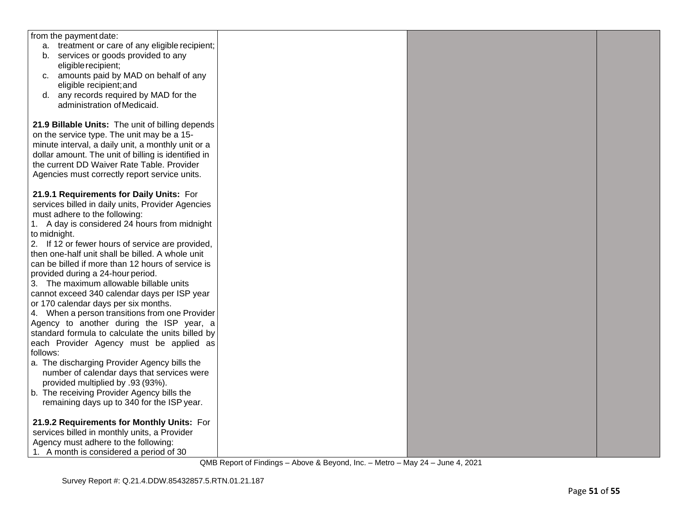| from the payment date:                                                               |  |  |
|--------------------------------------------------------------------------------------|--|--|
| a. treatment or care of any eligible recipient;                                      |  |  |
| b. services or goods provided to any                                                 |  |  |
| eligible recipient;                                                                  |  |  |
| c. amounts paid by MAD on behalf of any                                              |  |  |
| eligible recipient; and                                                              |  |  |
| d. any records required by MAD for the                                               |  |  |
| administration of Medicaid.                                                          |  |  |
|                                                                                      |  |  |
| 21.9 Billable Units: The unit of billing depends                                     |  |  |
| on the service type. The unit may be a 15-                                           |  |  |
| minute interval, a daily unit, a monthly unit or a                                   |  |  |
| dollar amount. The unit of billing is identified in                                  |  |  |
| the current DD Waiver Rate Table. Provider                                           |  |  |
| Agencies must correctly report service units.                                        |  |  |
|                                                                                      |  |  |
| 21.9.1 Requirements for Daily Units: For                                             |  |  |
| services billed in daily units, Provider Agencies                                    |  |  |
| must adhere to the following:                                                        |  |  |
| 1. A day is considered 24 hours from midnight                                        |  |  |
| to midnight.                                                                         |  |  |
| 2. If 12 or fewer hours of service are provided,                                     |  |  |
| then one-half unit shall be billed. A whole unit                                     |  |  |
| can be billed if more than 12 hours of service is                                    |  |  |
| provided during a 24-hour period.                                                    |  |  |
| 3. The maximum allowable billable units                                              |  |  |
| cannot exceed 340 calendar days per ISP year<br>or 170 calendar days per six months. |  |  |
| 4. When a person transitions from one Provider                                       |  |  |
| Agency to another during the ISP year, a                                             |  |  |
| standard formula to calculate the units billed by                                    |  |  |
| each Provider Agency must be applied as                                              |  |  |
| follows:                                                                             |  |  |
| a. The discharging Provider Agency bills the                                         |  |  |
| number of calendar days that services were                                           |  |  |
| provided multiplied by .93 (93%).                                                    |  |  |
| b. The receiving Provider Agency bills the                                           |  |  |
| remaining days up to 340 for the ISP year.                                           |  |  |
|                                                                                      |  |  |
| 21.9.2 Requirements for Monthly Units: For                                           |  |  |
| services billed in monthly units, a Provider                                         |  |  |
| Agency must adhere to the following:                                                 |  |  |
| 1. A month is considered a period of 30                                              |  |  |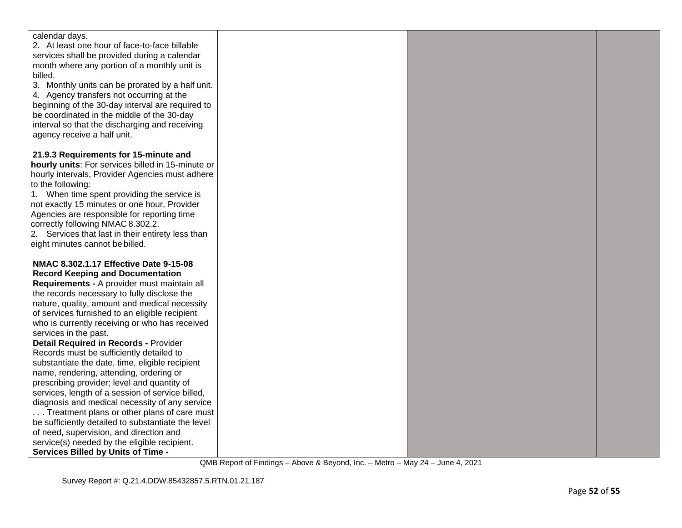| calendar days.<br>2. At least one hour of face-to-face billable<br>services shall be provided during a calendar<br>month where any portion of a monthly unit is<br>billed.<br>3. Monthly units can be prorated by a half unit.<br>4. Agency transfers not occurring at the<br>beginning of the 30-day interval are required to<br>be coordinated in the middle of the 30-day<br>interval so that the discharging and receiving<br>agency receive a half unit.<br>21.9.3 Requirements for 15-minute and<br>hourly units: For services billed in 15-minute or<br>hourly intervals, Provider Agencies must adhere<br>to the following:<br>1. When time spent providing the service is<br>not exactly 15 minutes or one hour, Provider<br>Agencies are responsible for reporting time<br>correctly following NMAC 8.302.2.<br>2. Services that last in their entirety less than<br>eight minutes cannot be billed.<br>NMAC 8.302.1.17 Effective Date 9-15-08<br><b>Record Keeping and Documentation</b> |
|-----------------------------------------------------------------------------------------------------------------------------------------------------------------------------------------------------------------------------------------------------------------------------------------------------------------------------------------------------------------------------------------------------------------------------------------------------------------------------------------------------------------------------------------------------------------------------------------------------------------------------------------------------------------------------------------------------------------------------------------------------------------------------------------------------------------------------------------------------------------------------------------------------------------------------------------------------------------------------------------------------|
|                                                                                                                                                                                                                                                                                                                                                                                                                                                                                                                                                                                                                                                                                                                                                                                                                                                                                                                                                                                                     |
|                                                                                                                                                                                                                                                                                                                                                                                                                                                                                                                                                                                                                                                                                                                                                                                                                                                                                                                                                                                                     |
|                                                                                                                                                                                                                                                                                                                                                                                                                                                                                                                                                                                                                                                                                                                                                                                                                                                                                                                                                                                                     |
|                                                                                                                                                                                                                                                                                                                                                                                                                                                                                                                                                                                                                                                                                                                                                                                                                                                                                                                                                                                                     |
|                                                                                                                                                                                                                                                                                                                                                                                                                                                                                                                                                                                                                                                                                                                                                                                                                                                                                                                                                                                                     |
|                                                                                                                                                                                                                                                                                                                                                                                                                                                                                                                                                                                                                                                                                                                                                                                                                                                                                                                                                                                                     |
|                                                                                                                                                                                                                                                                                                                                                                                                                                                                                                                                                                                                                                                                                                                                                                                                                                                                                                                                                                                                     |
|                                                                                                                                                                                                                                                                                                                                                                                                                                                                                                                                                                                                                                                                                                                                                                                                                                                                                                                                                                                                     |
|                                                                                                                                                                                                                                                                                                                                                                                                                                                                                                                                                                                                                                                                                                                                                                                                                                                                                                                                                                                                     |
|                                                                                                                                                                                                                                                                                                                                                                                                                                                                                                                                                                                                                                                                                                                                                                                                                                                                                                                                                                                                     |
|                                                                                                                                                                                                                                                                                                                                                                                                                                                                                                                                                                                                                                                                                                                                                                                                                                                                                                                                                                                                     |
|                                                                                                                                                                                                                                                                                                                                                                                                                                                                                                                                                                                                                                                                                                                                                                                                                                                                                                                                                                                                     |
|                                                                                                                                                                                                                                                                                                                                                                                                                                                                                                                                                                                                                                                                                                                                                                                                                                                                                                                                                                                                     |
|                                                                                                                                                                                                                                                                                                                                                                                                                                                                                                                                                                                                                                                                                                                                                                                                                                                                                                                                                                                                     |
|                                                                                                                                                                                                                                                                                                                                                                                                                                                                                                                                                                                                                                                                                                                                                                                                                                                                                                                                                                                                     |
|                                                                                                                                                                                                                                                                                                                                                                                                                                                                                                                                                                                                                                                                                                                                                                                                                                                                                                                                                                                                     |
|                                                                                                                                                                                                                                                                                                                                                                                                                                                                                                                                                                                                                                                                                                                                                                                                                                                                                                                                                                                                     |
|                                                                                                                                                                                                                                                                                                                                                                                                                                                                                                                                                                                                                                                                                                                                                                                                                                                                                                                                                                                                     |
|                                                                                                                                                                                                                                                                                                                                                                                                                                                                                                                                                                                                                                                                                                                                                                                                                                                                                                                                                                                                     |
|                                                                                                                                                                                                                                                                                                                                                                                                                                                                                                                                                                                                                                                                                                                                                                                                                                                                                                                                                                                                     |
|                                                                                                                                                                                                                                                                                                                                                                                                                                                                                                                                                                                                                                                                                                                                                                                                                                                                                                                                                                                                     |
|                                                                                                                                                                                                                                                                                                                                                                                                                                                                                                                                                                                                                                                                                                                                                                                                                                                                                                                                                                                                     |
|                                                                                                                                                                                                                                                                                                                                                                                                                                                                                                                                                                                                                                                                                                                                                                                                                                                                                                                                                                                                     |
|                                                                                                                                                                                                                                                                                                                                                                                                                                                                                                                                                                                                                                                                                                                                                                                                                                                                                                                                                                                                     |
| Requirements - A provider must maintain all                                                                                                                                                                                                                                                                                                                                                                                                                                                                                                                                                                                                                                                                                                                                                                                                                                                                                                                                                         |
| the records necessary to fully disclose the                                                                                                                                                                                                                                                                                                                                                                                                                                                                                                                                                                                                                                                                                                                                                                                                                                                                                                                                                         |
| nature, quality, amount and medical necessity                                                                                                                                                                                                                                                                                                                                                                                                                                                                                                                                                                                                                                                                                                                                                                                                                                                                                                                                                       |
| of services furnished to an eligible recipient                                                                                                                                                                                                                                                                                                                                                                                                                                                                                                                                                                                                                                                                                                                                                                                                                                                                                                                                                      |
| who is currently receiving or who has received                                                                                                                                                                                                                                                                                                                                                                                                                                                                                                                                                                                                                                                                                                                                                                                                                                                                                                                                                      |
| services in the past.                                                                                                                                                                                                                                                                                                                                                                                                                                                                                                                                                                                                                                                                                                                                                                                                                                                                                                                                                                               |
| <b>Detail Required in Records - Provider</b>                                                                                                                                                                                                                                                                                                                                                                                                                                                                                                                                                                                                                                                                                                                                                                                                                                                                                                                                                        |
| Records must be sufficiently detailed to                                                                                                                                                                                                                                                                                                                                                                                                                                                                                                                                                                                                                                                                                                                                                                                                                                                                                                                                                            |
| substantiate the date, time, eligible recipient                                                                                                                                                                                                                                                                                                                                                                                                                                                                                                                                                                                                                                                                                                                                                                                                                                                                                                                                                     |
| name, rendering, attending, ordering or                                                                                                                                                                                                                                                                                                                                                                                                                                                                                                                                                                                                                                                                                                                                                                                                                                                                                                                                                             |
| prescribing provider; level and quantity of                                                                                                                                                                                                                                                                                                                                                                                                                                                                                                                                                                                                                                                                                                                                                                                                                                                                                                                                                         |
| services, length of a session of service billed,                                                                                                                                                                                                                                                                                                                                                                                                                                                                                                                                                                                                                                                                                                                                                                                                                                                                                                                                                    |
| diagnosis and medical necessity of any service                                                                                                                                                                                                                                                                                                                                                                                                                                                                                                                                                                                                                                                                                                                                                                                                                                                                                                                                                      |
| Treatment plans or other plans of care must                                                                                                                                                                                                                                                                                                                                                                                                                                                                                                                                                                                                                                                                                                                                                                                                                                                                                                                                                         |
| be sufficiently detailed to substantiate the level                                                                                                                                                                                                                                                                                                                                                                                                                                                                                                                                                                                                                                                                                                                                                                                                                                                                                                                                                  |
| of need, supervision, and direction and                                                                                                                                                                                                                                                                                                                                                                                                                                                                                                                                                                                                                                                                                                                                                                                                                                                                                                                                                             |
| service(s) needed by the eligible recipient.                                                                                                                                                                                                                                                                                                                                                                                                                                                                                                                                                                                                                                                                                                                                                                                                                                                                                                                                                        |
| <b>Services Billed by Units of Time -</b>                                                                                                                                                                                                                                                                                                                                                                                                                                                                                                                                                                                                                                                                                                                                                                                                                                                                                                                                                           |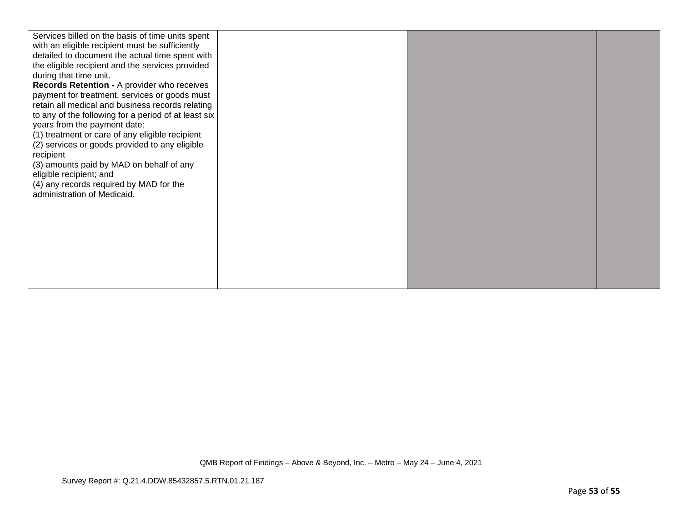| Services billed on the basis of time units spent<br>with an eligible recipient must be sufficiently<br>detailed to document the actual time spent with<br>the eligible recipient and the services provided<br>during that time unit.<br>Records Retention - A provider who receives<br>payment for treatment, services or goods must<br>retain all medical and business records relating<br>to any of the following for a period of at least six<br>years from the payment date:<br>(1) treatment or care of any eligible recipient<br>(2) services or goods provided to any eligible<br>recipient<br>(3) amounts paid by MAD on behalf of any<br>eligible recipient; and<br>(4) any records required by MAD for the<br>administration of Medicaid. |  |  |
|-----------------------------------------------------------------------------------------------------------------------------------------------------------------------------------------------------------------------------------------------------------------------------------------------------------------------------------------------------------------------------------------------------------------------------------------------------------------------------------------------------------------------------------------------------------------------------------------------------------------------------------------------------------------------------------------------------------------------------------------------------|--|--|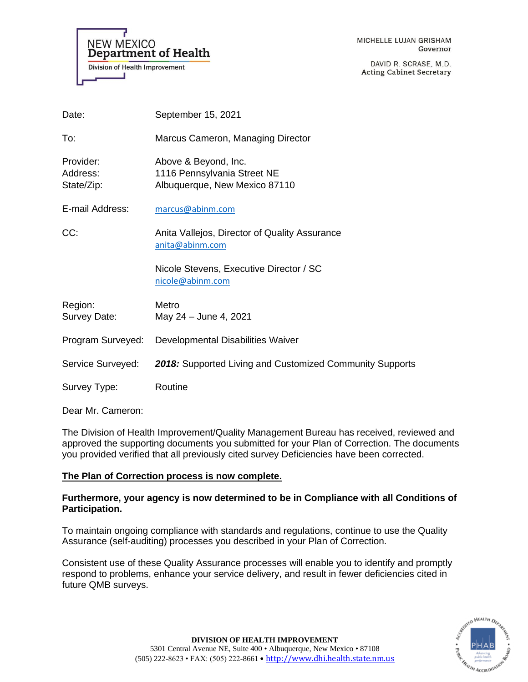**NEW MEXICO Department of Health Division of Health Improvement** 

MICHELLE LUJAN GRISHAM Governor

DAVID R. SCRASE, M.D. **Acting Cabinet Secretary** 

| Date:                               | September 15, 2021                                                                   |
|-------------------------------------|--------------------------------------------------------------------------------------|
| To:                                 | Marcus Cameron, Managing Director                                                    |
| Provider:<br>Address:<br>State/Zip: | Above & Beyond, Inc.<br>1116 Pennsylvania Street NE<br>Albuquerque, New Mexico 87110 |
| E-mail Address:                     | marcus@abinm.com                                                                     |
| CC:                                 | Anita Vallejos, Director of Quality Assurance<br>anita@abinm.com                     |
|                                     | Nicole Stevens, Executive Director / SC<br>nicole@abinm.com                          |
| Region:<br>Survey Date:             | Metro<br>May 24 - June 4, 2021                                                       |
| Program Surveyed:                   | Developmental Disabilities Waiver                                                    |
| Service Surveyed:                   | 2018: Supported Living and Customized Community Supports                             |
| Survey Type:                        | Routine                                                                              |

Dear Mr. Cameron:

The Division of Health Improvement/Quality Management Bureau has received, reviewed and approved the supporting documents you submitted for your Plan of Correction. The documents you provided verified that all previously cited survey Deficiencies have been corrected.

# **The Plan of Correction process is now complete.**

## **Furthermore, your agency is now determined to be in Compliance with all Conditions of Participation.**

To maintain ongoing compliance with standards and regulations, continue to use the Quality Assurance (self-auditing) processes you described in your Plan of Correction.

Consistent use of these Quality Assurance processes will enable you to identify and promptly respond to problems, enhance your service delivery, and result in fewer deficiencies cited in future QMB surveys.